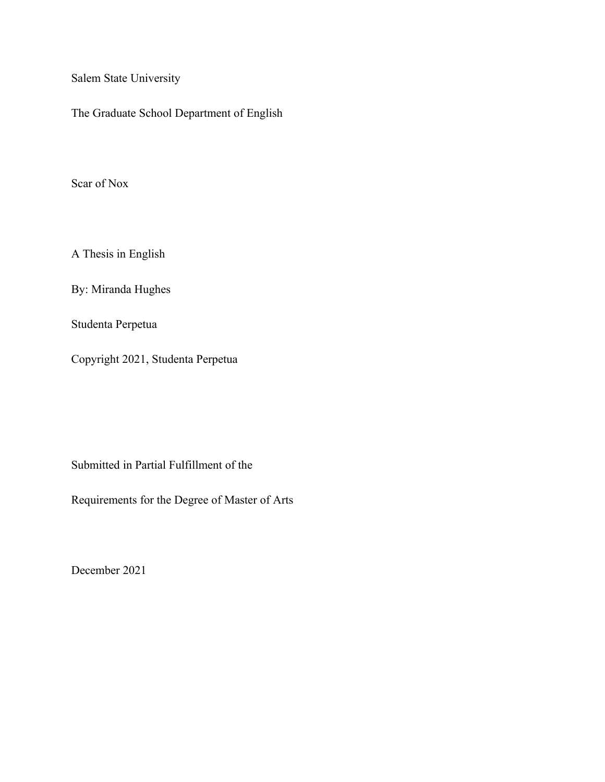Salem State University

The Graduate School Department of English

Scar of Nox

A Thesis in English

By: Miranda Hughes

Studenta Perpetua

Copyright 2021, Studenta Perpetua

Submitted in Partial Fulfillment of the

Requirements for the Degree of Master of Arts

December 2021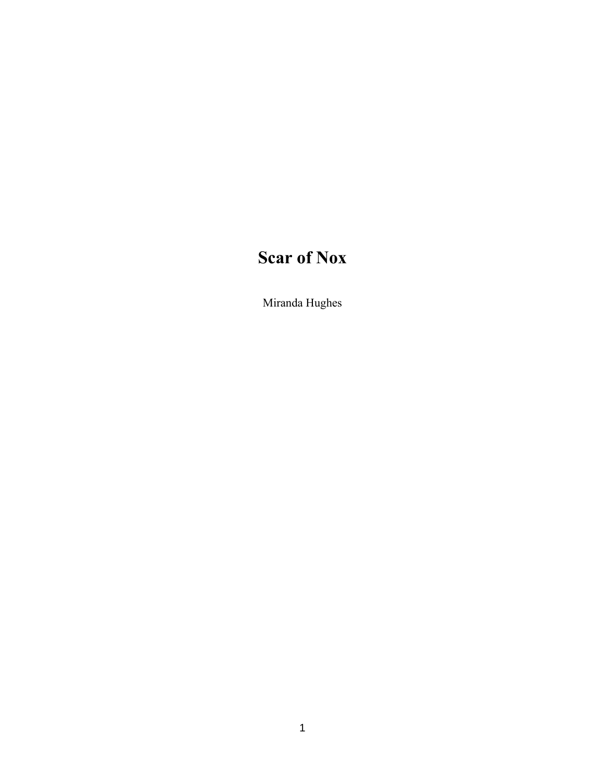# **Scar of Nox**

Miranda Hughes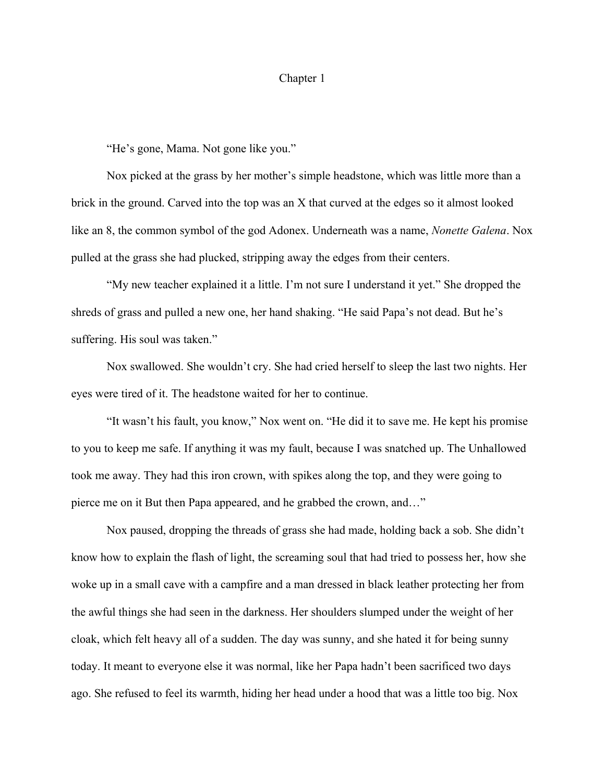## Chapter 1

"He's gone, Mama. Not gone like you."

Nox picked at the grass by her mother's simple headstone, which was little more than a brick in the ground. Carved into the top was an X that curved at the edges so it almost looked like an 8, the common symbol of the god Adonex. Underneath was a name, *Nonette Galena*. Nox pulled at the grass she had plucked, stripping away the edges from their centers.

"My new teacher explained it a little. I'm not sure I understand it yet." She dropped the shreds of grass and pulled a new one, her hand shaking. "He said Papa's not dead. But he's suffering. His soul was taken."

Nox swallowed. She wouldn't cry. She had cried herself to sleep the last two nights. Her eyes were tired of it. The headstone waited for her to continue.

"It wasn't his fault, you know," Nox went on. "He did it to save me. He kept his promise to you to keep me safe. If anything it was my fault, because I was snatched up. The Unhallowed took me away. They had this iron crown, with spikes along the top, and they were going to pierce me on it But then Papa appeared, and he grabbed the crown, and…"

Nox paused, dropping the threads of grass she had made, holding back a sob. She didn't know how to explain the flash of light, the screaming soul that had tried to possess her, how she woke up in a small cave with a campfire and a man dressed in black leather protecting her from the awful things she had seen in the darkness. Her shoulders slumped under the weight of her cloak, which felt heavy all of a sudden. The day was sunny, and she hated it for being sunny today. It meant to everyone else it was normal, like her Papa hadn't been sacrificed two days ago. She refused to feel its warmth, hiding her head under a hood that was a little too big. Nox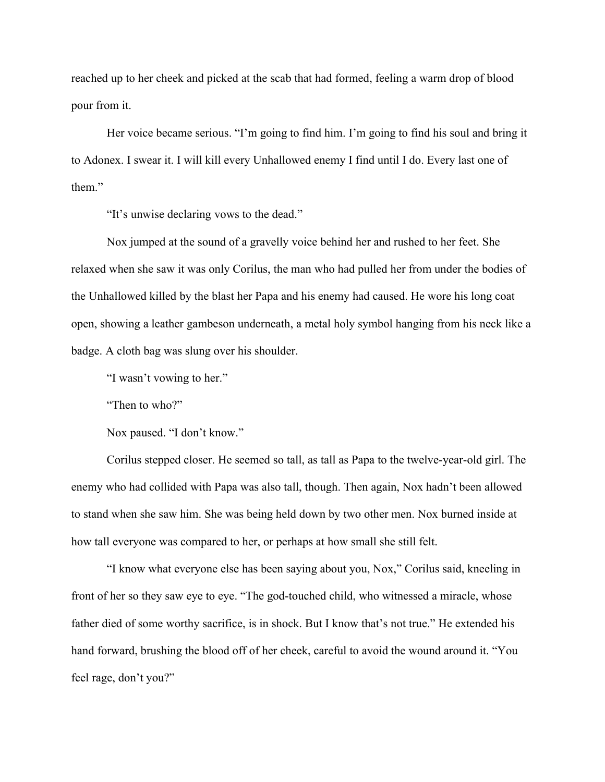reached up to her cheek and picked at the scab that had formed, feeling a warm drop of blood pour from it.

Her voice became serious. "I'm going to find him. I'm going to find his soul and bring it to Adonex. I swear it. I will kill every Unhallowed enemy I find until I do. Every last one of them"

"It's unwise declaring vows to the dead."

Nox jumped at the sound of a gravelly voice behind her and rushed to her feet. She relaxed when she saw it was only Corilus, the man who had pulled her from under the bodies of the Unhallowed killed by the blast her Papa and his enemy had caused. He wore his long coat open, showing a leather gambeson underneath, a metal holy symbol hanging from his neck like a badge. A cloth bag was slung over his shoulder.

"I wasn't vowing to her."

"Then to who?"

Nox paused. "I don't know."

Corilus stepped closer. He seemed so tall, as tall as Papa to the twelve-year-old girl. The enemy who had collided with Papa was also tall, though. Then again, Nox hadn't been allowed to stand when she saw him. She was being held down by two other men. Nox burned inside at how tall everyone was compared to her, or perhaps at how small she still felt.

"I know what everyone else has been saying about you, Nox," Corilus said, kneeling in front of her so they saw eye to eye. "The god-touched child, who witnessed a miracle, whose father died of some worthy sacrifice, is in shock. But I know that's not true." He extended his hand forward, brushing the blood off of her cheek, careful to avoid the wound around it. "You feel rage, don't you?"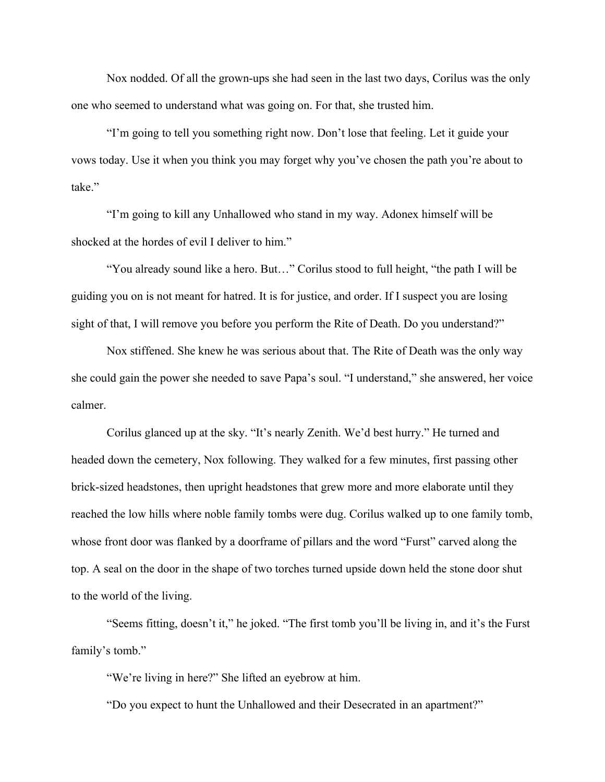Nox nodded. Of all the grown-ups she had seen in the last two days, Corilus was the only one who seemed to understand what was going on. For that, she trusted him.

"I'm going to tell you something right now. Don't lose that feeling. Let it guide your vows today. Use it when you think you may forget why you've chosen the path you're about to take"

"I'm going to kill any Unhallowed who stand in my way. Adonex himself will be shocked at the hordes of evil I deliver to him."

"You already sound like a hero. But…" Corilus stood to full height, "the path I will be guiding you on is not meant for hatred. It is for justice, and order. If I suspect you are losing sight of that, I will remove you before you perform the Rite of Death. Do you understand?"

Nox stiffened. She knew he was serious about that. The Rite of Death was the only way she could gain the power she needed to save Papa's soul. "I understand," she answered, her voice calmer.

Corilus glanced up at the sky. "It's nearly Zenith. We'd best hurry." He turned and headed down the cemetery, Nox following. They walked for a few minutes, first passing other brick-sized headstones, then upright headstones that grew more and more elaborate until they reached the low hills where noble family tombs were dug. Corilus walked up to one family tomb, whose front door was flanked by a doorframe of pillars and the word "Furst" carved along the top. A seal on the door in the shape of two torches turned upside down held the stone door shut to the world of the living.

"Seems fitting, doesn't it," he joked. "The first tomb you'll be living in, and it's the Furst family's tomb."

"We're living in here?" She lifted an eyebrow at him.

"Do you expect to hunt the Unhallowed and their Desecrated in an apartment?"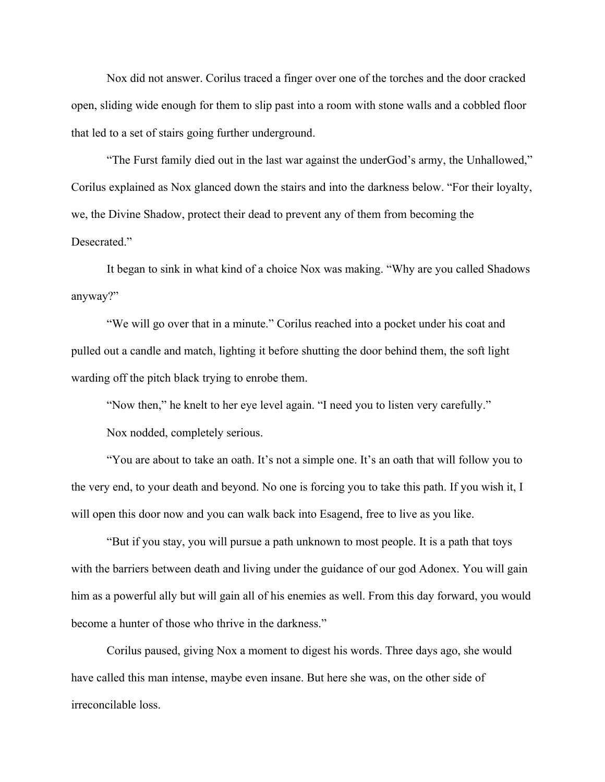Nox did not answer. Corilus traced a finger over one of the torches and the door cracked open, sliding wide enough for them to slip past into a room with stone walls and a cobbled floor that led to a set of stairs going further underground.

"The Furst family died out in the last war against the underGod's army, the Unhallowed," Corilus explained as Nox glanced down the stairs and into the darkness below. "For their loyalty, we, the Divine Shadow, protect their dead to prevent any of them from becoming the Desecrated."

It began to sink in what kind of a choice Nox was making. "Why are you called Shadows anyway?"

"We will go over that in a minute." Corilus reached into a pocket under his coat and pulled out a candle and match, lighting it before shutting the door behind them, the soft light warding off the pitch black trying to enrobe them.

"Now then," he knelt to her eye level again. "I need you to listen very carefully."

Nox nodded, completely serious.

"You are about to take an oath. It's not a simple one. It's an oath that will follow you to the very end, to your death and beyond. No one is forcing you to take this path. If you wish it, I will open this door now and you can walk back into Esagend, free to live as you like.

"But if you stay, you will pursue a path unknown to most people. It is a path that toys with the barriers between death and living under the guidance of our god Adonex. You will gain him as a powerful ally but will gain all of his enemies as well. From this day forward, you would become a hunter of those who thrive in the darkness."

Corilus paused, giving Nox a moment to digest his words. Three days ago, she would have called this man intense, maybe even insane. But here she was, on the other side of irreconcilable loss.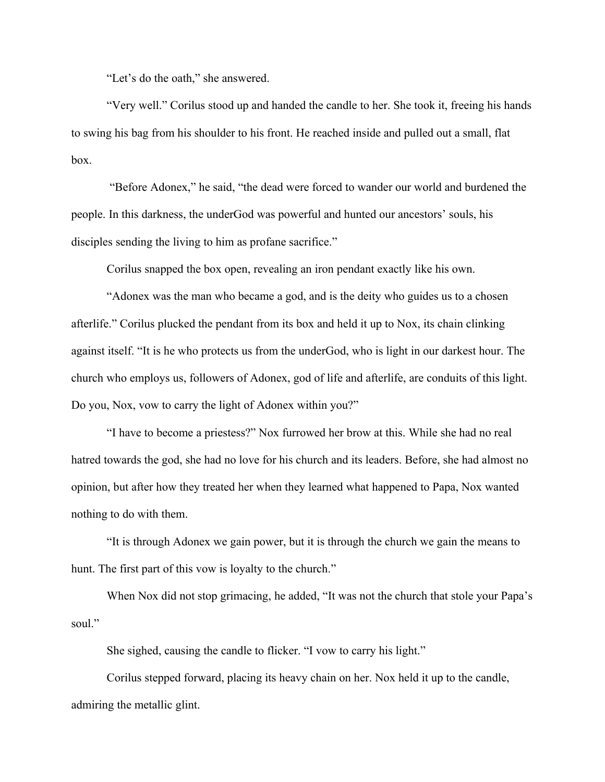"Let's do the oath," she answered.

"Very well." Corilus stood up and handed the candle to her. She took it, freeing his hands to swing his bag from his shoulder to his front. He reached inside and pulled out a small, flat box.

"Before Adonex," he said, "the dead were forced to wander our world and burdened the people. In this darkness, the underGod was powerful and hunted our ancestors' souls, his disciples sending the living to him as profane sacrifice."

Corilus snapped the box open, revealing an iron pendant exactly like his own.

"Adonex was the man who became a god, and is the deity who guides us to a chosen afterlife." Corilus plucked the pendant from its box and held it up to Nox, its chain clinking against itself. "It is he who protects us from the underGod, who is light in our darkest hour. The church who employs us, followers of Adonex, god of life and afterlife, are conduits of this light. Do you, Nox, vow to carry the light of Adonex within you?"

"I have to become a priestess?" Nox furrowed her brow at this. While she had no real hatred towards the god, she had no love for his church and its leaders. Before, she had almost no opinion, but after how they treated her when they learned what happened to Papa, Nox wanted nothing to do with them.

"It is through Adonex we gain power, but it is through the church we gain the means to hunt. The first part of this vow is loyalty to the church."

When Nox did not stop grimacing, he added, "It was not the church that stole your Papa's soul."

She sighed, causing the candle to flicker. "I vow to carry his light."

Corilus stepped forward, placing its heavy chain on her. Nox held it up to the candle, admiring the metallic glint.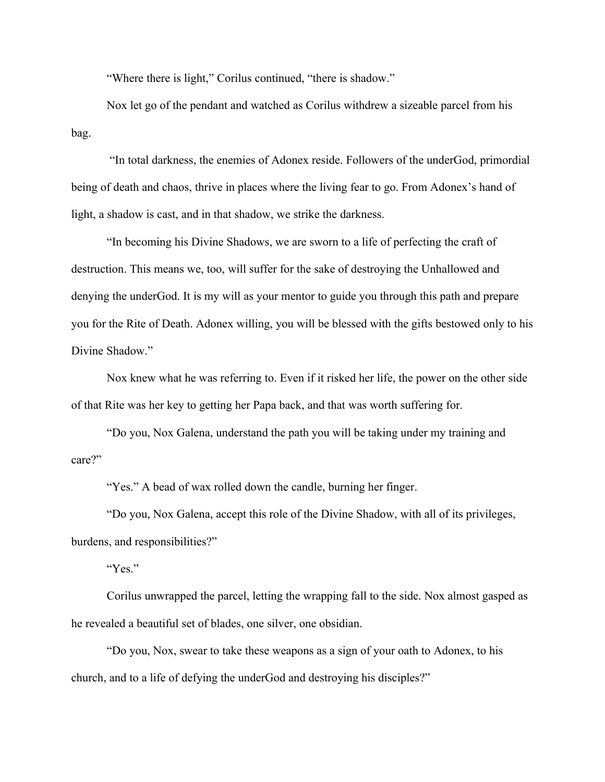"Where there is light," Corilus continued, "there is shadow."

Nox let go of the pendant and watched as Corilus withdrew a sizeable parcel from his bag.

 "In total darkness, the enemies of Adonex reside. Followers of the underGod, primordial being of death and chaos, thrive in places where the living fear to go. From Adonex's hand of light, a shadow is cast, and in that shadow, we strike the darkness.

"In becoming his Divine Shadows, we are sworn to a life of perfecting the craft of destruction. This means we, too, will suffer for the sake of destroying the Unhallowed and denying the underGod. It is my will as your mentor to guide you through this path and prepare you for the Rite of Death. Adonex willing, you will be blessed with the gifts bestowed only to his Divine Shadow."

Nox knew what he was referring to. Even if it risked her life, the power on the other side of that Rite was her key to getting her Papa back, and that was worth suffering for.

"Do you, Nox Galena, understand the path you will be taking under my training and care?"

"Yes." A bead of wax rolled down the candle, burning her finger.

"Do you, Nox Galena, accept this role of the Divine Shadow, with all of its privileges, burdens, and responsibilities?"

"Yes."

Corilus unwrapped the parcel, letting the wrapping fall to the side. Nox almost gasped as he revealed a beautiful set of blades, one silver, one obsidian.

"Do you, Nox, swear to take these weapons as a sign of your oath to Adonex, to his church, and to a life of defying the underGod and destroying his disciples?"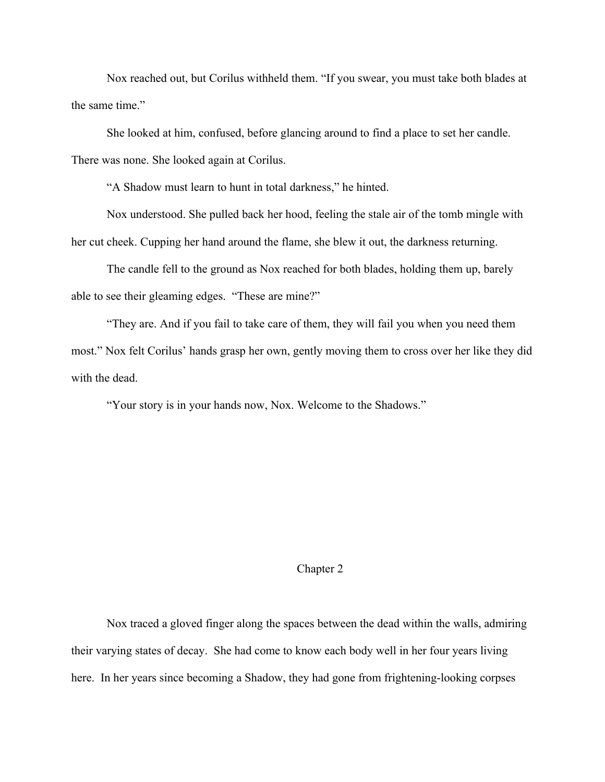Nox reached out, but Corilus withheld them. "If you swear, you must take both blades at the same time."

She looked at him, confused, before glancing around to find a place to set her candle. There was none. She looked again at Corilus.

"A Shadow must learn to hunt in total darkness," he hinted.

Nox understood. She pulled back her hood, feeling the stale air of the tomb mingle with her cut cheek. Cupping her hand around the flame, she blew it out, the darkness returning.

The candle fell to the ground as Nox reached for both blades, holding them up, barely able to see their gleaming edges. "These are mine?"

"They are. And if you fail to take care of them, they will fail you when you need them most." Nox felt Corilus' hands grasp her own, gently moving them to cross over her like they did with the dead.

"Your story is in your hands now, Nox. Welcome to the Shadows."

#### Chapter 2

Nox traced a gloved finger along the spaces between the dead within the walls, admiring their varying states of decay. She had come to know each body well in her four years living here. In her years since becoming a Shadow, they had gone from frightening-looking corpses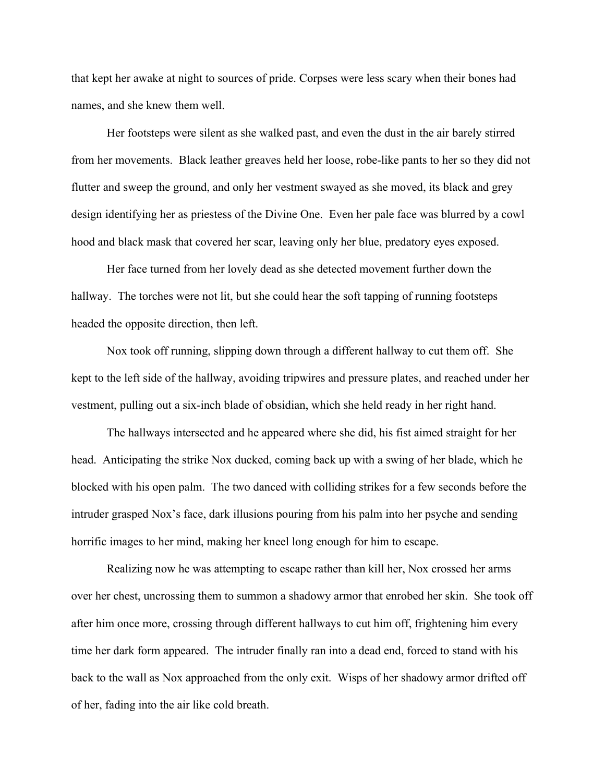that kept her awake at night to sources of pride. Corpses were less scary when their bones had names, and she knew them well.

Her footsteps were silent as she walked past, and even the dust in the air barely stirred from her movements. Black leather greaves held her loose, robe-like pants to her so they did not flutter and sweep the ground, and only her vestment swayed as she moved, its black and grey design identifying her as priestess of the Divine One. Even her pale face was blurred by a cowl hood and black mask that covered her scar, leaving only her blue, predatory eyes exposed.

Her face turned from her lovely dead as she detected movement further down the hallway. The torches were not lit, but she could hear the soft tapping of running footsteps headed the opposite direction, then left.

Nox took off running, slipping down through a different hallway to cut them off. She kept to the left side of the hallway, avoiding tripwires and pressure plates, and reached under her vestment, pulling out a six-inch blade of obsidian, which she held ready in her right hand.

The hallways intersected and he appeared where she did, his fist aimed straight for her head. Anticipating the strike Nox ducked, coming back up with a swing of her blade, which he blocked with his open palm. The two danced with colliding strikes for a few seconds before the intruder grasped Nox's face, dark illusions pouring from his palm into her psyche and sending horrific images to her mind, making her kneel long enough for him to escape.

Realizing now he was attempting to escape rather than kill her, Nox crossed her arms over her chest, uncrossing them to summon a shadowy armor that enrobed her skin. She took off after him once more, crossing through different hallways to cut him off, frightening him every time her dark form appeared. The intruder finally ran into a dead end, forced to stand with his back to the wall as Nox approached from the only exit. Wisps of her shadowy armor drifted off of her, fading into the air like cold breath.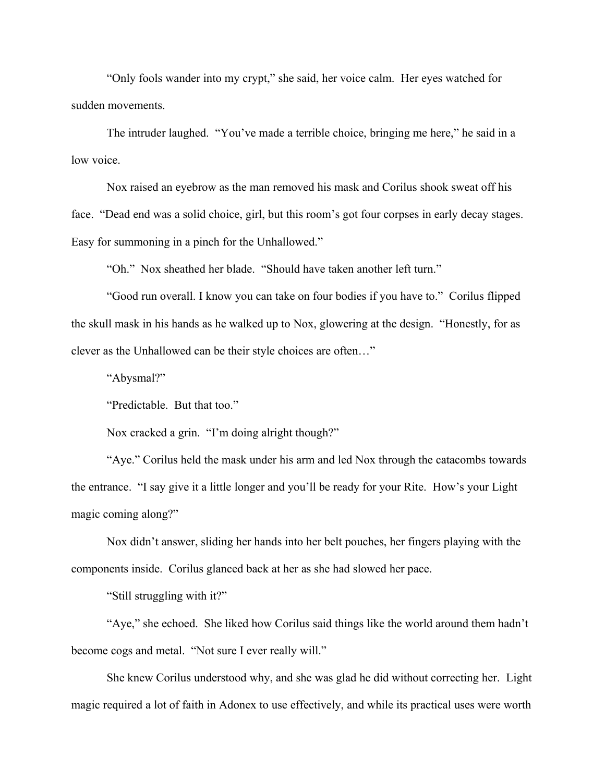"Only fools wander into my crypt," she said, her voice calm. Her eyes watched for sudden movements.

The intruder laughed. "You've made a terrible choice, bringing me here," he said in a low voice.

Nox raised an eyebrow as the man removed his mask and Corilus shook sweat off his face. "Dead end was a solid choice, girl, but this room's got four corpses in early decay stages. Easy for summoning in a pinch for the Unhallowed."

"Oh." Nox sheathed her blade. "Should have taken another left turn."

"Good run overall. I know you can take on four bodies if you have to." Corilus flipped the skull mask in his hands as he walked up to Nox, glowering at the design. "Honestly, for as clever as the Unhallowed can be their style choices are often…"

"Abysmal?"

"Predictable. But that too."

Nox cracked a grin. "I'm doing alright though?"

"Aye." Corilus held the mask under his arm and led Nox through the catacombs towards the entrance. "I say give it a little longer and you'll be ready for your Rite. How's your Light magic coming along?"

Nox didn't answer, sliding her hands into her belt pouches, her fingers playing with the components inside. Corilus glanced back at her as she had slowed her pace.

"Still struggling with it?"

"Aye," she echoed. She liked how Corilus said things like the world around them hadn't become cogs and metal. "Not sure I ever really will."

She knew Corilus understood why, and she was glad he did without correcting her. Light magic required a lot of faith in Adonex to use effectively, and while its practical uses were worth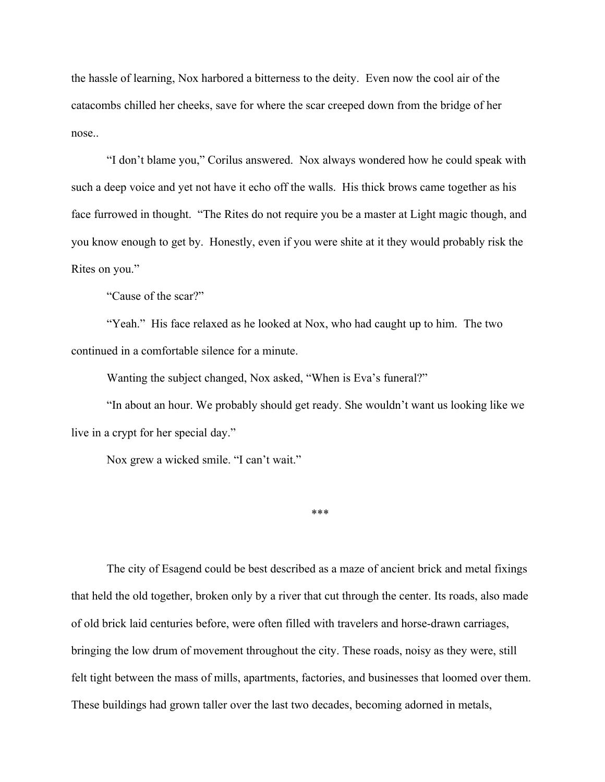the hassle of learning, Nox harbored a bitterness to the deity. Even now the cool air of the catacombs chilled her cheeks, save for where the scar creeped down from the bridge of her nose..

"I don't blame you," Corilus answered. Nox always wondered how he could speak with such a deep voice and yet not have it echo off the walls. His thick brows came together as his face furrowed in thought. "The Rites do not require you be a master at Light magic though, and you know enough to get by. Honestly, even if you were shite at it they would probably risk the Rites on you."

"Cause of the scar?"

"Yeah." His face relaxed as he looked at Nox, who had caught up to him. The two continued in a comfortable silence for a minute.

Wanting the subject changed, Nox asked, "When is Eva's funeral?"

"In about an hour. We probably should get ready. She wouldn't want us looking like we live in a crypt for her special day."

Nox grew a wicked smile. "I can't wait."

\*\*\*

The city of Esagend could be best described as a maze of ancient brick and metal fixings that held the old together, broken only by a river that cut through the center. Its roads, also made of old brick laid centuries before, were often filled with travelers and horse-drawn carriages, bringing the low drum of movement throughout the city. These roads, noisy as they were, still felt tight between the mass of mills, apartments, factories, and businesses that loomed over them. These buildings had grown taller over the last two decades, becoming adorned in metals,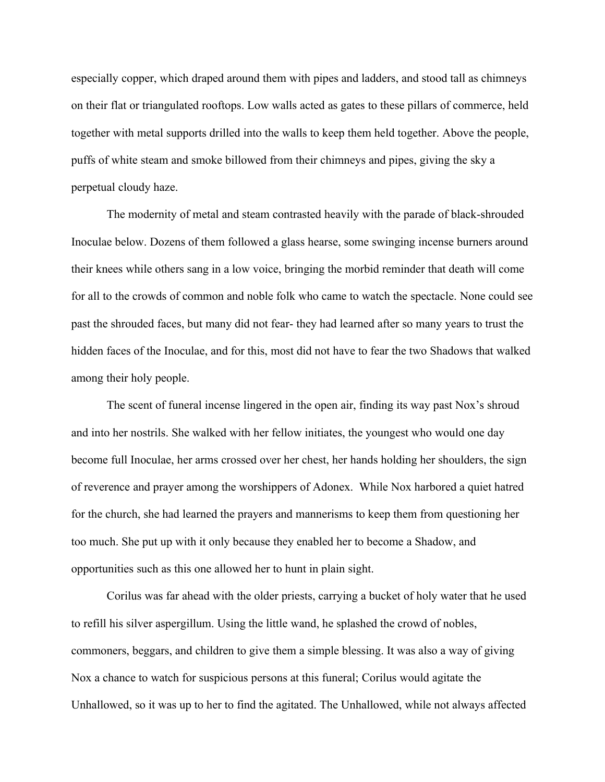especially copper, which draped around them with pipes and ladders, and stood tall as chimneys on their flat or triangulated rooftops. Low walls acted as gates to these pillars of commerce, held together with metal supports drilled into the walls to keep them held together. Above the people, puffs of white steam and smoke billowed from their chimneys and pipes, giving the sky a perpetual cloudy haze.

The modernity of metal and steam contrasted heavily with the parade of black-shrouded Inoculae below. Dozens of them followed a glass hearse, some swinging incense burners around their knees while others sang in a low voice, bringing the morbid reminder that death will come for all to the crowds of common and noble folk who came to watch the spectacle. None could see past the shrouded faces, but many did not fear- they had learned after so many years to trust the hidden faces of the Inoculae, and for this, most did not have to fear the two Shadows that walked among their holy people.

The scent of funeral incense lingered in the open air, finding its way past Nox's shroud and into her nostrils. She walked with her fellow initiates, the youngest who would one day become full Inoculae, her arms crossed over her chest, her hands holding her shoulders, the sign of reverence and prayer among the worshippers of Adonex. While Nox harbored a quiet hatred for the church, she had learned the prayers and mannerisms to keep them from questioning her too much. She put up with it only because they enabled her to become a Shadow, and opportunities such as this one allowed her to hunt in plain sight.

Corilus was far ahead with the older priests, carrying a bucket of holy water that he used to refill his silver aspergillum. Using the little wand, he splashed the crowd of nobles, commoners, beggars, and children to give them a simple blessing. It was also a way of giving Nox a chance to watch for suspicious persons at this funeral; Corilus would agitate the Unhallowed, so it was up to her to find the agitated. The Unhallowed, while not always affected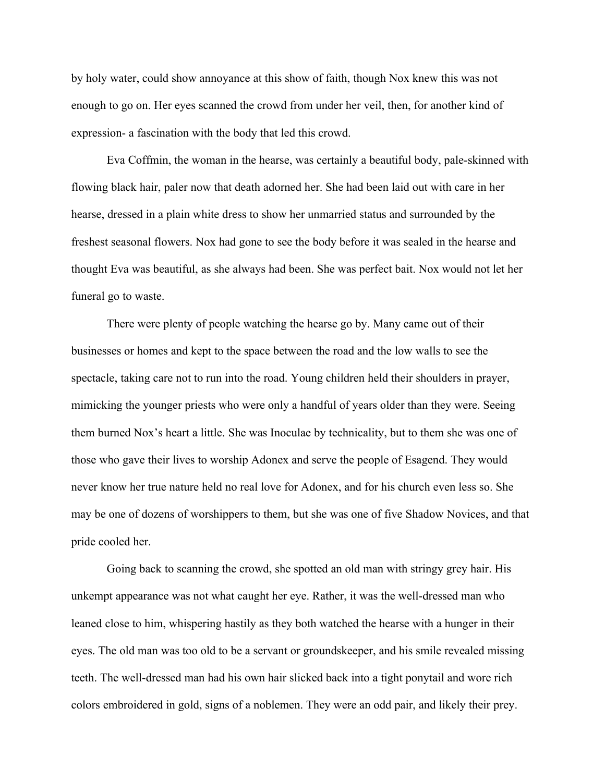by holy water, could show annoyance at this show of faith, though Nox knew this was not enough to go on. Her eyes scanned the crowd from under her veil, then, for another kind of expression- a fascination with the body that led this crowd.

Eva Coffmin, the woman in the hearse, was certainly a beautiful body, pale-skinned with flowing black hair, paler now that death adorned her. She had been laid out with care in her hearse, dressed in a plain white dress to show her unmarried status and surrounded by the freshest seasonal flowers. Nox had gone to see the body before it was sealed in the hearse and thought Eva was beautiful, as she always had been. She was perfect bait. Nox would not let her funeral go to waste.

There were plenty of people watching the hearse go by. Many came out of their businesses or homes and kept to the space between the road and the low walls to see the spectacle, taking care not to run into the road. Young children held their shoulders in prayer, mimicking the younger priests who were only a handful of years older than they were. Seeing them burned Nox's heart a little. She was Inoculae by technicality, but to them she was one of those who gave their lives to worship Adonex and serve the people of Esagend. They would never know her true nature held no real love for Adonex, and for his church even less so. She may be one of dozens of worshippers to them, but she was one of five Shadow Novices, and that pride cooled her.

Going back to scanning the crowd, she spotted an old man with stringy grey hair. His unkempt appearance was not what caught her eye. Rather, it was the well-dressed man who leaned close to him, whispering hastily as they both watched the hearse with a hunger in their eyes. The old man was too old to be a servant or groundskeeper, and his smile revealed missing teeth. The well-dressed man had his own hair slicked back into a tight ponytail and wore rich colors embroidered in gold, signs of a noblemen. They were an odd pair, and likely their prey.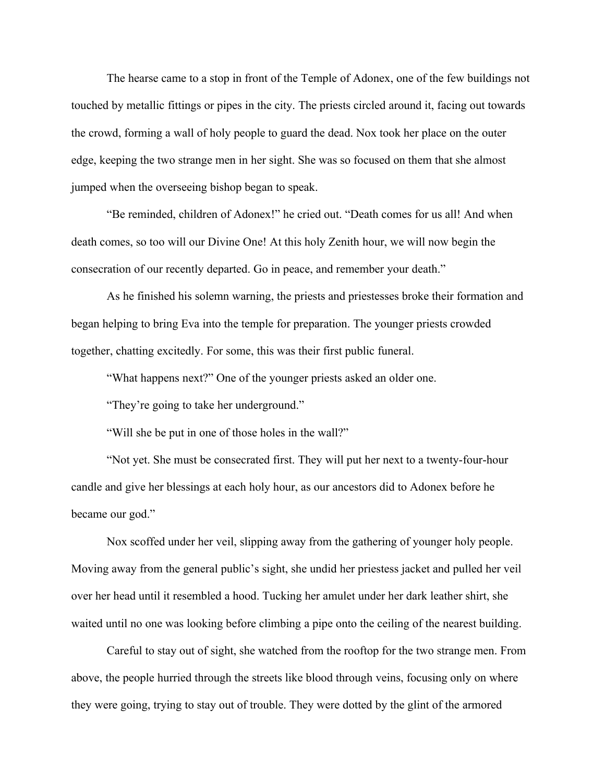The hearse came to a stop in front of the Temple of Adonex, one of the few buildings not touched by metallic fittings or pipes in the city. The priests circled around it, facing out towards the crowd, forming a wall of holy people to guard the dead. Nox took her place on the outer edge, keeping the two strange men in her sight. She was so focused on them that she almost jumped when the overseeing bishop began to speak.

"Be reminded, children of Adonex!" he cried out. "Death comes for us all! And when death comes, so too will our Divine One! At this holy Zenith hour, we will now begin the consecration of our recently departed. Go in peace, and remember your death."

As he finished his solemn warning, the priests and priestesses broke their formation and began helping to bring Eva into the temple for preparation. The younger priests crowded together, chatting excitedly. For some, this was their first public funeral.

"What happens next?" One of the younger priests asked an older one.

"They're going to take her underground."

"Will she be put in one of those holes in the wall?"

"Not yet. She must be consecrated first. They will put her next to a twenty-four-hour candle and give her blessings at each holy hour, as our ancestors did to Adonex before he became our god."

Nox scoffed under her veil, slipping away from the gathering of younger holy people. Moving away from the general public's sight, she undid her priestess jacket and pulled her veil over her head until it resembled a hood. Tucking her amulet under her dark leather shirt, she waited until no one was looking before climbing a pipe onto the ceiling of the nearest building.

Careful to stay out of sight, she watched from the rooftop for the two strange men. From above, the people hurried through the streets like blood through veins, focusing only on where they were going, trying to stay out of trouble. They were dotted by the glint of the armored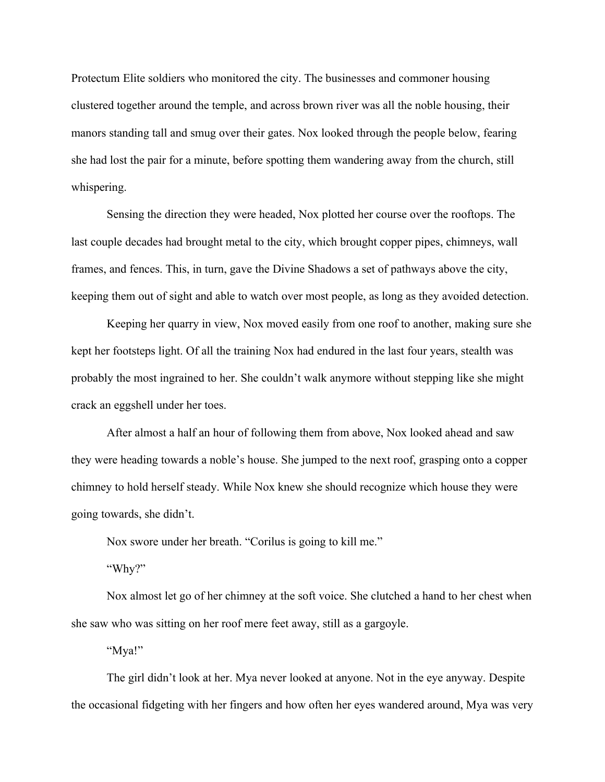Protectum Elite soldiers who monitored the city. The businesses and commoner housing clustered together around the temple, and across brown river was all the noble housing, their manors standing tall and smug over their gates. Nox looked through the people below, fearing she had lost the pair for a minute, before spotting them wandering away from the church, still whispering.

Sensing the direction they were headed, Nox plotted her course over the rooftops. The last couple decades had brought metal to the city, which brought copper pipes, chimneys, wall frames, and fences. This, in turn, gave the Divine Shadows a set of pathways above the city, keeping them out of sight and able to watch over most people, as long as they avoided detection.

Keeping her quarry in view, Nox moved easily from one roof to another, making sure she kept her footsteps light. Of all the training Nox had endured in the last four years, stealth was probably the most ingrained to her. She couldn't walk anymore without stepping like she might crack an eggshell under her toes.

After almost a half an hour of following them from above, Nox looked ahead and saw they were heading towards a noble's house. She jumped to the next roof, grasping onto a copper chimney to hold herself steady. While Nox knew she should recognize which house they were going towards, she didn't.

Nox swore under her breath. "Corilus is going to kill me."

"Why?"

Nox almost let go of her chimney at the soft voice. She clutched a hand to her chest when she saw who was sitting on her roof mere feet away, still as a gargoyle.

"Mya!"

The girl didn't look at her. Mya never looked at anyone. Not in the eye anyway. Despite the occasional fidgeting with her fingers and how often her eyes wandered around, Mya was very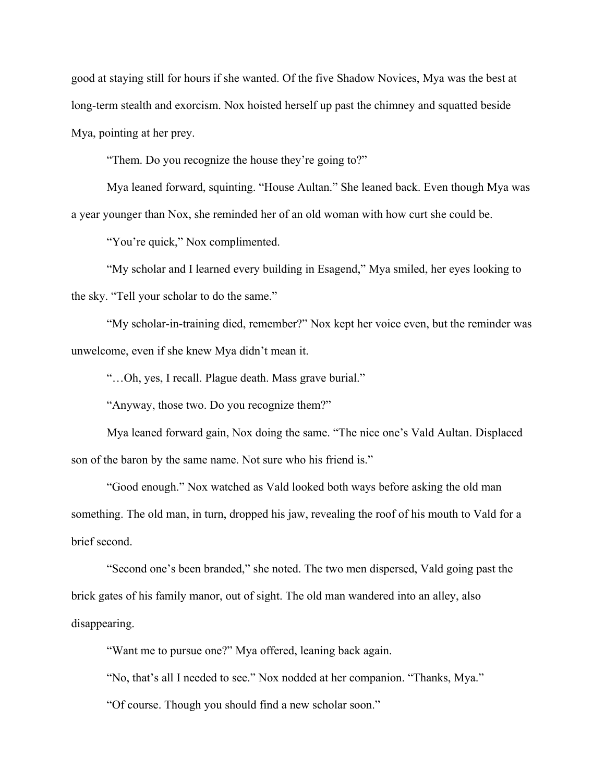good at staying still for hours if she wanted. Of the five Shadow Novices, Mya was the best at long-term stealth and exorcism. Nox hoisted herself up past the chimney and squatted beside Mya, pointing at her prey.

"Them. Do you recognize the house they're going to?"

Mya leaned forward, squinting. "House Aultan." She leaned back. Even though Mya was a year younger than Nox, she reminded her of an old woman with how curt she could be.

"You're quick," Nox complimented.

"My scholar and I learned every building in Esagend," Mya smiled, her eyes looking to the sky. "Tell your scholar to do the same."

"My scholar-in-training died, remember?" Nox kept her voice even, but the reminder was unwelcome, even if she knew Mya didn't mean it.

"…Oh, yes, I recall. Plague death. Mass grave burial."

"Anyway, those two. Do you recognize them?"

Mya leaned forward gain, Nox doing the same. "The nice one's Vald Aultan. Displaced son of the baron by the same name. Not sure who his friend is."

"Good enough." Nox watched as Vald looked both ways before asking the old man something. The old man, in turn, dropped his jaw, revealing the roof of his mouth to Vald for a brief second.

"Second one's been branded," she noted. The two men dispersed, Vald going past the brick gates of his family manor, out of sight. The old man wandered into an alley, also disappearing.

"Want me to pursue one?" Mya offered, leaning back again.

"No, that's all I needed to see." Nox nodded at her companion. "Thanks, Mya."

"Of course. Though you should find a new scholar soon."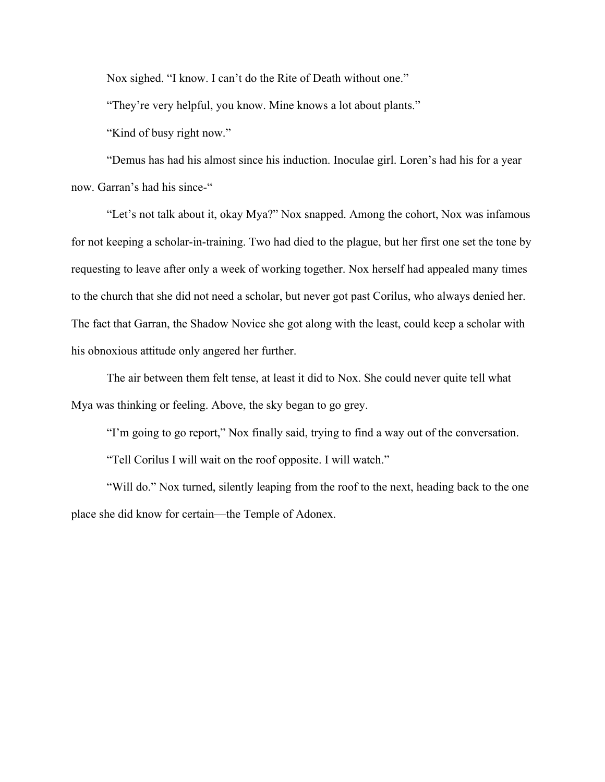Nox sighed. "I know. I can't do the Rite of Death without one."

"They're very helpful, you know. Mine knows a lot about plants."

"Kind of busy right now."

"Demus has had his almost since his induction. Inoculae girl. Loren's had his for a year now. Garran's had his since-"

"Let's not talk about it, okay Mya?" Nox snapped. Among the cohort, Nox was infamous for not keeping a scholar-in-training. Two had died to the plague, but her first one set the tone by requesting to leave after only a week of working together. Nox herself had appealed many times to the church that she did not need a scholar, but never got past Corilus, who always denied her. The fact that Garran, the Shadow Novice she got along with the least, could keep a scholar with his obnoxious attitude only angered her further.

The air between them felt tense, at least it did to Nox. She could never quite tell what Mya was thinking or feeling. Above, the sky began to go grey.

"I'm going to go report," Nox finally said, trying to find a way out of the conversation.

"Tell Corilus I will wait on the roof opposite. I will watch."

"Will do." Nox turned, silently leaping from the roof to the next, heading back to the one place she did know for certain—the Temple of Adonex.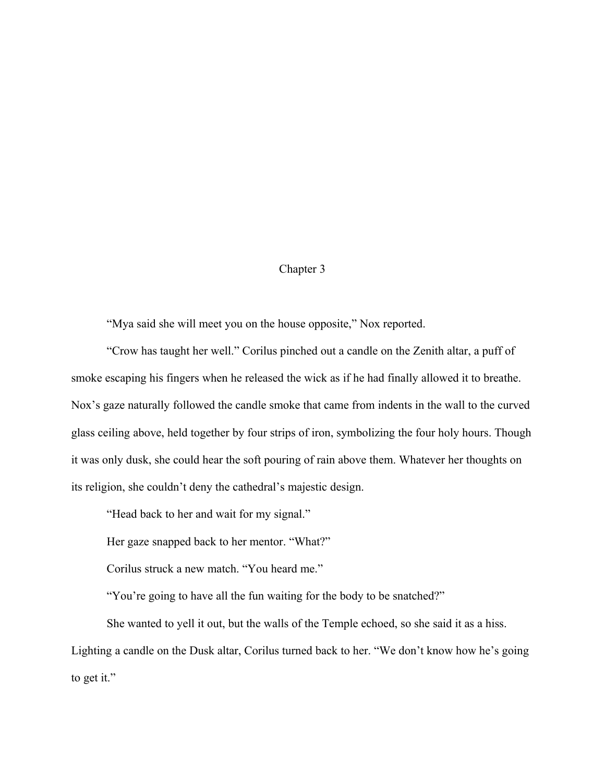# Chapter 3

"Mya said she will meet you on the house opposite," Nox reported.

"Crow has taught her well." Corilus pinched out a candle on the Zenith altar, a puff of smoke escaping his fingers when he released the wick as if he had finally allowed it to breathe. Nox's gaze naturally followed the candle smoke that came from indents in the wall to the curved glass ceiling above, held together by four strips of iron, symbolizing the four holy hours. Though it was only dusk, she could hear the soft pouring of rain above them. Whatever her thoughts on its religion, she couldn't deny the cathedral's majestic design.

"Head back to her and wait for my signal."

Her gaze snapped back to her mentor. "What?"

Corilus struck a new match. "You heard me."

"You're going to have all the fun waiting for the body to be snatched?"

She wanted to yell it out, but the walls of the Temple echoed, so she said it as a hiss. Lighting a candle on the Dusk altar, Corilus turned back to her. "We don't know how he's going to get it."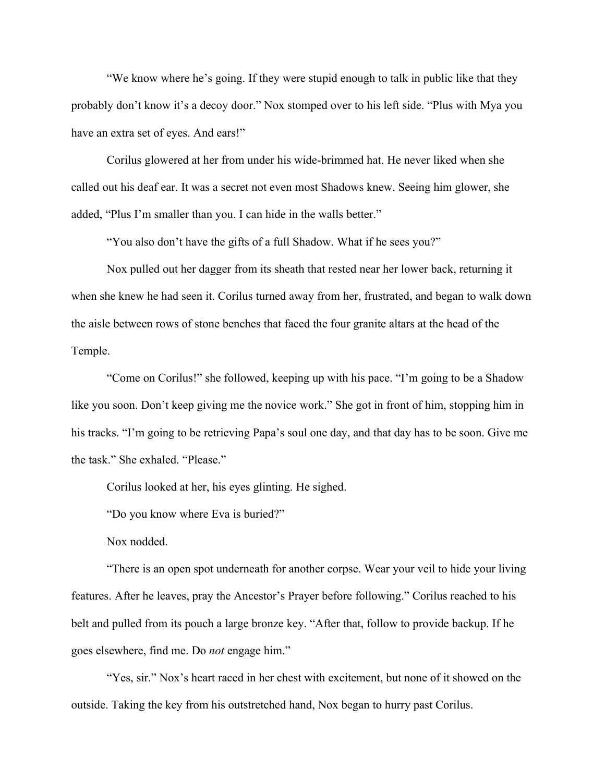"We know where he's going. If they were stupid enough to talk in public like that they probably don't know it's a decoy door." Nox stomped over to his left side. "Plus with Mya you have an extra set of eyes. And ears!"

Corilus glowered at her from under his wide-brimmed hat. He never liked when she called out his deaf ear. It was a secret not even most Shadows knew. Seeing him glower, she added, "Plus I'm smaller than you. I can hide in the walls better."

"You also don't have the gifts of a full Shadow. What if he sees you?"

Nox pulled out her dagger from its sheath that rested near her lower back, returning it when she knew he had seen it. Corilus turned away from her, frustrated, and began to walk down the aisle between rows of stone benches that faced the four granite altars at the head of the Temple.

"Come on Corilus!" she followed, keeping up with his pace. "I'm going to be a Shadow like you soon. Don't keep giving me the novice work." She got in front of him, stopping him in his tracks. "I'm going to be retrieving Papa's soul one day, and that day has to be soon. Give me the task." She exhaled. "Please."

Corilus looked at her, his eyes glinting. He sighed.

"Do you know where Eva is buried?"

Nox nodded.

"There is an open spot underneath for another corpse. Wear your veil to hide your living features. After he leaves, pray the Ancestor's Prayer before following." Corilus reached to his belt and pulled from its pouch a large bronze key. "After that, follow to provide backup. If he goes elsewhere, find me. Do *not* engage him."

"Yes, sir." Nox's heart raced in her chest with excitement, but none of it showed on the outside. Taking the key from his outstretched hand, Nox began to hurry past Corilus.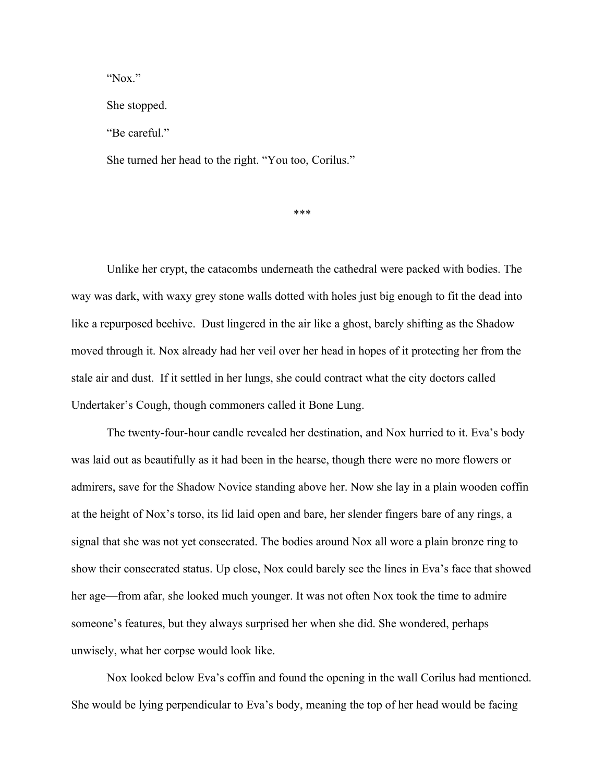"Nox."

She stopped.

"Be careful."

She turned her head to the right. "You too, Corilus."

\*\*\*

Unlike her crypt, the catacombs underneath the cathedral were packed with bodies. The way was dark, with waxy grey stone walls dotted with holes just big enough to fit the dead into like a repurposed beehive. Dust lingered in the air like a ghost, barely shifting as the Shadow moved through it. Nox already had her veil over her head in hopes of it protecting her from the stale air and dust. If it settled in her lungs, she could contract what the city doctors called Undertaker's Cough, though commoners called it Bone Lung.

The twenty-four-hour candle revealed her destination, and Nox hurried to it. Eva's body was laid out as beautifully as it had been in the hearse, though there were no more flowers or admirers, save for the Shadow Novice standing above her. Now she lay in a plain wooden coffin at the height of Nox's torso, its lid laid open and bare, her slender fingers bare of any rings, a signal that she was not yet consecrated. The bodies around Nox all wore a plain bronze ring to show their consecrated status. Up close, Nox could barely see the lines in Eva's face that showed her age—from afar, she looked much younger. It was not often Nox took the time to admire someone's features, but they always surprised her when she did. She wondered, perhaps unwisely, what her corpse would look like.

Nox looked below Eva's coffin and found the opening in the wall Corilus had mentioned. She would be lying perpendicular to Eva's body, meaning the top of her head would be facing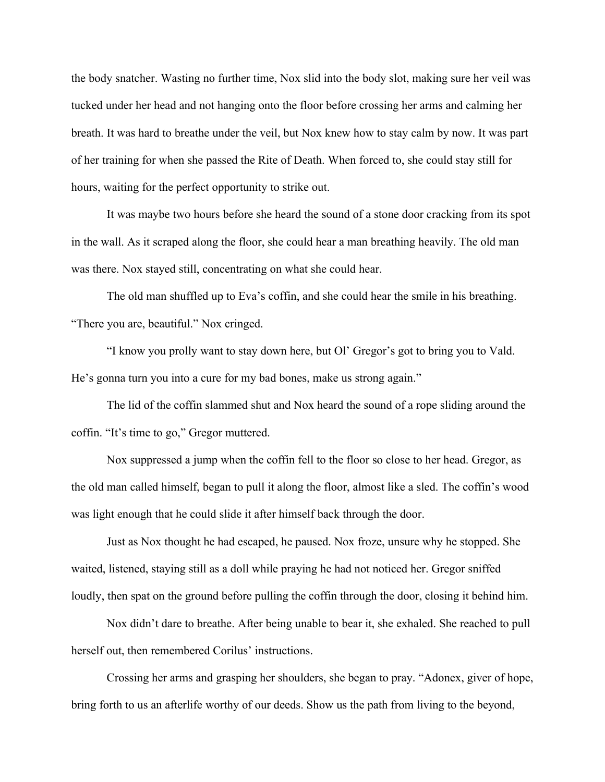the body snatcher. Wasting no further time, Nox slid into the body slot, making sure her veil was tucked under her head and not hanging onto the floor before crossing her arms and calming her breath. It was hard to breathe under the veil, but Nox knew how to stay calm by now. It was part of her training for when she passed the Rite of Death. When forced to, she could stay still for hours, waiting for the perfect opportunity to strike out.

It was maybe two hours before she heard the sound of a stone door cracking from its spot in the wall. As it scraped along the floor, she could hear a man breathing heavily. The old man was there. Nox stayed still, concentrating on what she could hear.

The old man shuffled up to Eva's coffin, and she could hear the smile in his breathing. "There you are, beautiful." Nox cringed.

"I know you prolly want to stay down here, but Ol' Gregor's got to bring you to Vald. He's gonna turn you into a cure for my bad bones, make us strong again."

The lid of the coffin slammed shut and Nox heard the sound of a rope sliding around the coffin. "It's time to go," Gregor muttered.

Nox suppressed a jump when the coffin fell to the floor so close to her head. Gregor, as the old man called himself, began to pull it along the floor, almost like a sled. The coffin's wood was light enough that he could slide it after himself back through the door.

Just as Nox thought he had escaped, he paused. Nox froze, unsure why he stopped. She waited, listened, staying still as a doll while praying he had not noticed her. Gregor sniffed loudly, then spat on the ground before pulling the coffin through the door, closing it behind him.

Nox didn't dare to breathe. After being unable to bear it, she exhaled. She reached to pull herself out, then remembered Corilus' instructions.

Crossing her arms and grasping her shoulders, she began to pray. "Adonex, giver of hope, bring forth to us an afterlife worthy of our deeds. Show us the path from living to the beyond,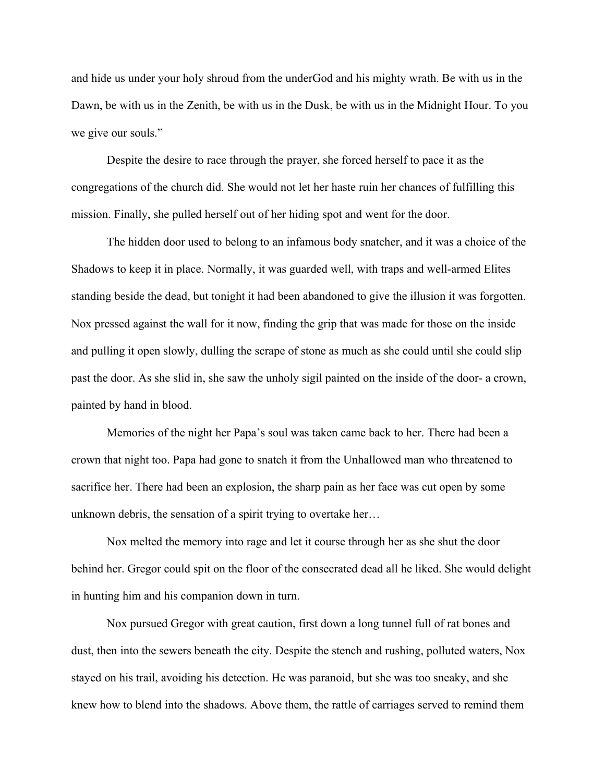and hide us under your holy shroud from the underGod and his mighty wrath. Be with us in the Dawn, be with us in the Zenith, be with us in the Dusk, be with us in the Midnight Hour. To you we give our souls."

Despite the desire to race through the prayer, she forced herself to pace it as the congregations of the church did. She would not let her haste ruin her chances of fulfilling this mission. Finally, she pulled herself out of her hiding spot and went for the door.

The hidden door used to belong to an infamous body snatcher, and it was a choice of the Shadows to keep it in place. Normally, it was guarded well, with traps and well-armed Elites standing beside the dead, but tonight it had been abandoned to give the illusion it was forgotten. Nox pressed against the wall for it now, finding the grip that was made for those on the inside and pulling it open slowly, dulling the scrape of stone as much as she could until she could slip past the door. As she slid in, she saw the unholy sigil painted on the inside of the door- a crown, painted by hand in blood.

Memories of the night her Papa's soul was taken came back to her. There had been a crown that night too. Papa had gone to snatch it from the Unhallowed man who threatened to sacrifice her. There had been an explosion, the sharp pain as her face was cut open by some unknown debris, the sensation of a spirit trying to overtake her…

Nox melted the memory into rage and let it course through her as she shut the door behind her. Gregor could spit on the floor of the consecrated dead all he liked. She would delight in hunting him and his companion down in turn.

Nox pursued Gregor with great caution, first down a long tunnel full of rat bones and dust, then into the sewers beneath the city. Despite the stench and rushing, polluted waters, Nox stayed on his trail, avoiding his detection. He was paranoid, but she was too sneaky, and she knew how to blend into the shadows. Above them, the rattle of carriages served to remind them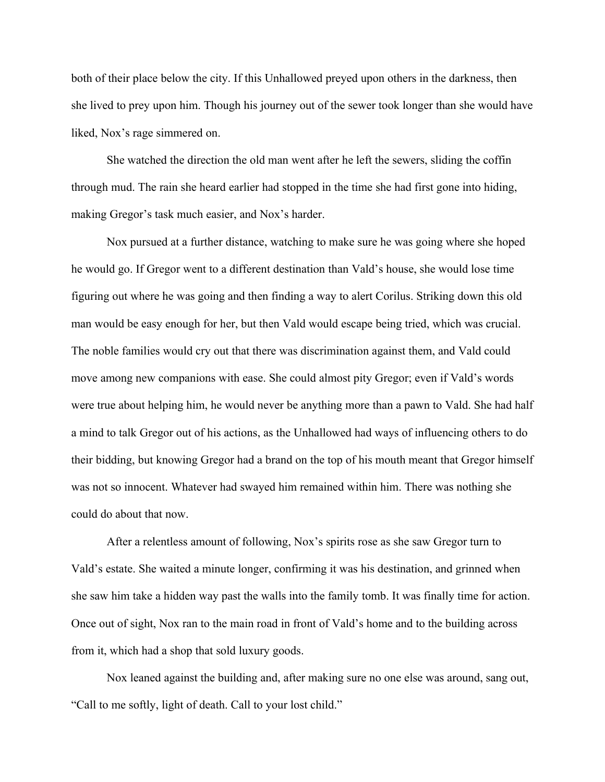both of their place below the city. If this Unhallowed preyed upon others in the darkness, then she lived to prey upon him. Though his journey out of the sewer took longer than she would have liked, Nox's rage simmered on.

She watched the direction the old man went after he left the sewers, sliding the coffin through mud. The rain she heard earlier had stopped in the time she had first gone into hiding, making Gregor's task much easier, and Nox's harder.

Nox pursued at a further distance, watching to make sure he was going where she hoped he would go. If Gregor went to a different destination than Vald's house, she would lose time figuring out where he was going and then finding a way to alert Corilus. Striking down this old man would be easy enough for her, but then Vald would escape being tried, which was crucial. The noble families would cry out that there was discrimination against them, and Vald could move among new companions with ease. She could almost pity Gregor; even if Vald's words were true about helping him, he would never be anything more than a pawn to Vald. She had half a mind to talk Gregor out of his actions, as the Unhallowed had ways of influencing others to do their bidding, but knowing Gregor had a brand on the top of his mouth meant that Gregor himself was not so innocent. Whatever had swayed him remained within him. There was nothing she could do about that now.

After a relentless amount of following, Nox's spirits rose as she saw Gregor turn to Vald's estate. She waited a minute longer, confirming it was his destination, and grinned when she saw him take a hidden way past the walls into the family tomb. It was finally time for action. Once out of sight, Nox ran to the main road in front of Vald's home and to the building across from it, which had a shop that sold luxury goods.

Nox leaned against the building and, after making sure no one else was around, sang out, "Call to me softly, light of death. Call to your lost child."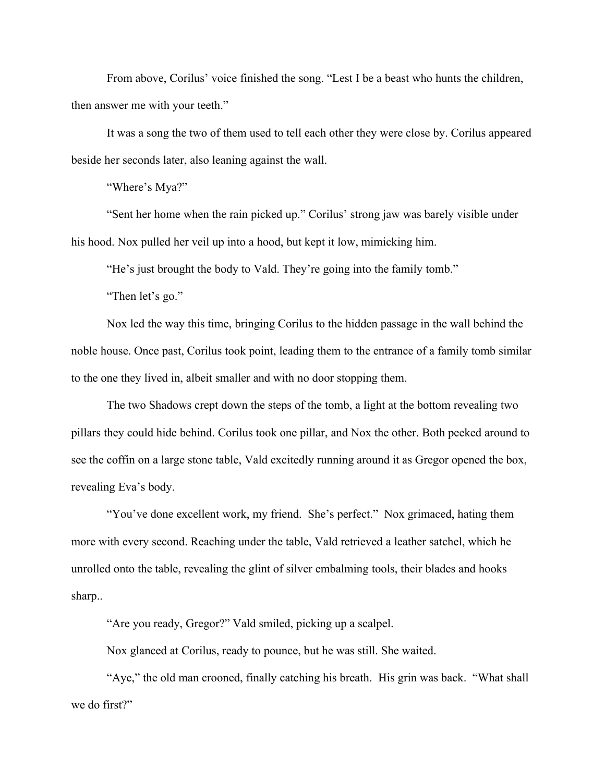From above, Corilus' voice finished the song. "Lest I be a beast who hunts the children, then answer me with your teeth."

It was a song the two of them used to tell each other they were close by. Corilus appeared beside her seconds later, also leaning against the wall.

"Where's Mya?"

"Sent her home when the rain picked up." Corilus' strong jaw was barely visible under his hood. Nox pulled her veil up into a hood, but kept it low, mimicking him.

"He's just brought the body to Vald. They're going into the family tomb."

"Then let's go."

Nox led the way this time, bringing Corilus to the hidden passage in the wall behind the noble house. Once past, Corilus took point, leading them to the entrance of a family tomb similar to the one they lived in, albeit smaller and with no door stopping them.

The two Shadows crept down the steps of the tomb, a light at the bottom revealing two pillars they could hide behind. Corilus took one pillar, and Nox the other. Both peeked around to see the coffin on a large stone table, Vald excitedly running around it as Gregor opened the box, revealing Eva's body.

"You've done excellent work, my friend. She's perfect." Nox grimaced, hating them more with every second. Reaching under the table, Vald retrieved a leather satchel, which he unrolled onto the table, revealing the glint of silver embalming tools, their blades and hooks sharp..

"Are you ready, Gregor?" Vald smiled, picking up a scalpel.

Nox glanced at Corilus, ready to pounce, but he was still. She waited.

"Aye," the old man crooned, finally catching his breath. His grin was back. "What shall we do first?"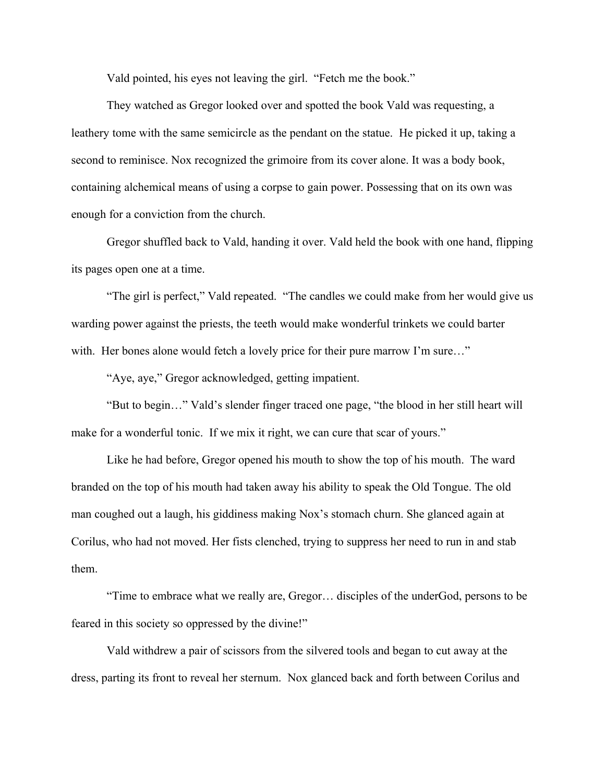Vald pointed, his eyes not leaving the girl. "Fetch me the book."

They watched as Gregor looked over and spotted the book Vald was requesting, a leathery tome with the same semicircle as the pendant on the statue. He picked it up, taking a second to reminisce. Nox recognized the grimoire from its cover alone. It was a body book, containing alchemical means of using a corpse to gain power. Possessing that on its own was enough for a conviction from the church.

Gregor shuffled back to Vald, handing it over. Vald held the book with one hand, flipping its pages open one at a time.

"The girl is perfect," Vald repeated. "The candles we could make from her would give us warding power against the priests, the teeth would make wonderful trinkets we could barter with. Her bones alone would fetch a lovely price for their pure marrow I'm sure..."

"Aye, aye," Gregor acknowledged, getting impatient.

"But to begin…" Vald's slender finger traced one page, "the blood in her still heart will make for a wonderful tonic. If we mix it right, we can cure that scar of yours."

Like he had before, Gregor opened his mouth to show the top of his mouth. The ward branded on the top of his mouth had taken away his ability to speak the Old Tongue. The old man coughed out a laugh, his giddiness making Nox's stomach churn. She glanced again at Corilus, who had not moved. Her fists clenched, trying to suppress her need to run in and stab them.

"Time to embrace what we really are, Gregor… disciples of the underGod, persons to be feared in this society so oppressed by the divine!"

Vald withdrew a pair of scissors from the silvered tools and began to cut away at the dress, parting its front to reveal her sternum. Nox glanced back and forth between Corilus and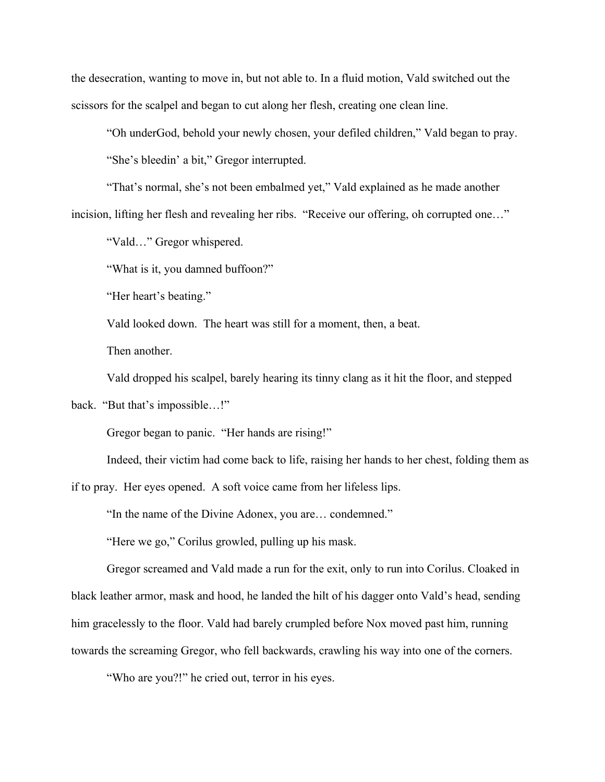the desecration, wanting to move in, but not able to. In a fluid motion, Vald switched out the scissors for the scalpel and began to cut along her flesh, creating one clean line.

"Oh underGod, behold your newly chosen, your defiled children," Vald began to pray.

"She's bleedin' a bit," Gregor interrupted.

"That's normal, she's not been embalmed yet," Vald explained as he made another incision, lifting her flesh and revealing her ribs. "Receive our offering, oh corrupted one…"

"Vald…" Gregor whispered.

"What is it, you damned buffoon?"

"Her heart's beating."

Vald looked down. The heart was still for a moment, then, a beat.

Then another.

Vald dropped his scalpel, barely hearing its tinny clang as it hit the floor, and stepped

back. "But that's impossible…!"

Gregor began to panic. "Her hands are rising!"

Indeed, their victim had come back to life, raising her hands to her chest, folding them as

if to pray. Her eyes opened. A soft voice came from her lifeless lips.

"In the name of the Divine Adonex, you are… condemned."

"Here we go," Corilus growled, pulling up his mask.

Gregor screamed and Vald made a run for the exit, only to run into Corilus. Cloaked in black leather armor, mask and hood, he landed the hilt of his dagger onto Vald's head, sending him gracelessly to the floor. Vald had barely crumpled before Nox moved past him, running towards the screaming Gregor, who fell backwards, crawling his way into one of the corners.

"Who are you?!" he cried out, terror in his eyes.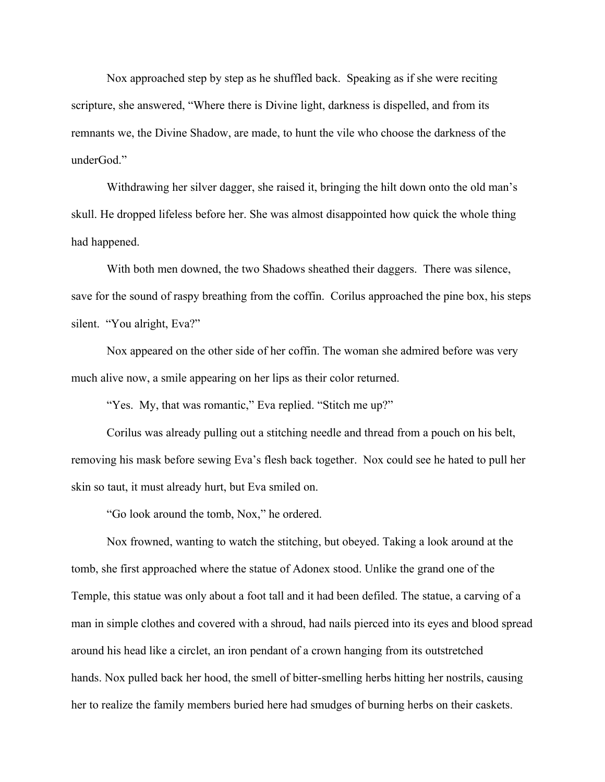Nox approached step by step as he shuffled back. Speaking as if she were reciting scripture, she answered, "Where there is Divine light, darkness is dispelled, and from its remnants we, the Divine Shadow, are made, to hunt the vile who choose the darkness of the underGod."

Withdrawing her silver dagger, she raised it, bringing the hilt down onto the old man's skull. He dropped lifeless before her. She was almost disappointed how quick the whole thing had happened.

With both men downed, the two Shadows sheathed their daggers. There was silence, save for the sound of raspy breathing from the coffin. Corilus approached the pine box, his steps silent. "You alright, Eva?"

Nox appeared on the other side of her coffin. The woman she admired before was very much alive now, a smile appearing on her lips as their color returned.

"Yes. My, that was romantic," Eva replied. "Stitch me up?"

Corilus was already pulling out a stitching needle and thread from a pouch on his belt, removing his mask before sewing Eva's flesh back together. Nox could see he hated to pull her skin so taut, it must already hurt, but Eva smiled on.

"Go look around the tomb, Nox," he ordered.

Nox frowned, wanting to watch the stitching, but obeyed. Taking a look around at the tomb, she first approached where the statue of Adonex stood. Unlike the grand one of the Temple, this statue was only about a foot tall and it had been defiled. The statue, a carving of a man in simple clothes and covered with a shroud, had nails pierced into its eyes and blood spread around his head like a circlet, an iron pendant of a crown hanging from its outstretched hands. Nox pulled back her hood, the smell of bitter-smelling herbs hitting her nostrils, causing her to realize the family members buried here had smudges of burning herbs on their caskets.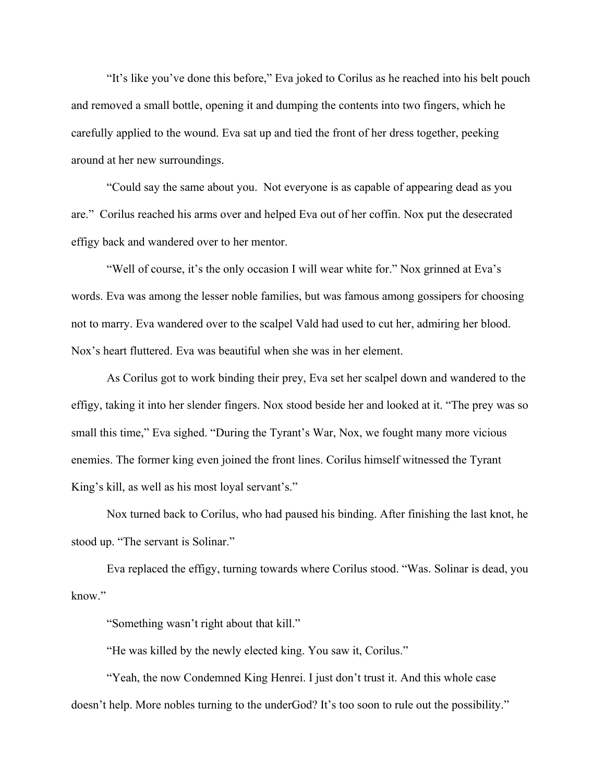"It's like you've done this before," Eva joked to Corilus as he reached into his belt pouch and removed a small bottle, opening it and dumping the contents into two fingers, which he carefully applied to the wound. Eva sat up and tied the front of her dress together, peeking around at her new surroundings.

"Could say the same about you. Not everyone is as capable of appearing dead as you are." Corilus reached his arms over and helped Eva out of her coffin. Nox put the desecrated effigy back and wandered over to her mentor.

"Well of course, it's the only occasion I will wear white for." Nox grinned at Eva's words. Eva was among the lesser noble families, but was famous among gossipers for choosing not to marry. Eva wandered over to the scalpel Vald had used to cut her, admiring her blood. Nox's heart fluttered. Eva was beautiful when she was in her element.

As Corilus got to work binding their prey, Eva set her scalpel down and wandered to the effigy, taking it into her slender fingers. Nox stood beside her and looked at it. "The prey was so small this time," Eva sighed. "During the Tyrant's War, Nox, we fought many more vicious enemies. The former king even joined the front lines. Corilus himself witnessed the Tyrant King's kill, as well as his most loyal servant's."

Nox turned back to Corilus, who had paused his binding. After finishing the last knot, he stood up. "The servant is Solinar."

Eva replaced the effigy, turning towards where Corilus stood. "Was. Solinar is dead, you know."

"Something wasn't right about that kill."

"He was killed by the newly elected king. You saw it, Corilus."

"Yeah, the now Condemned King Henrei. I just don't trust it. And this whole case doesn't help. More nobles turning to the underGod? It's too soon to rule out the possibility."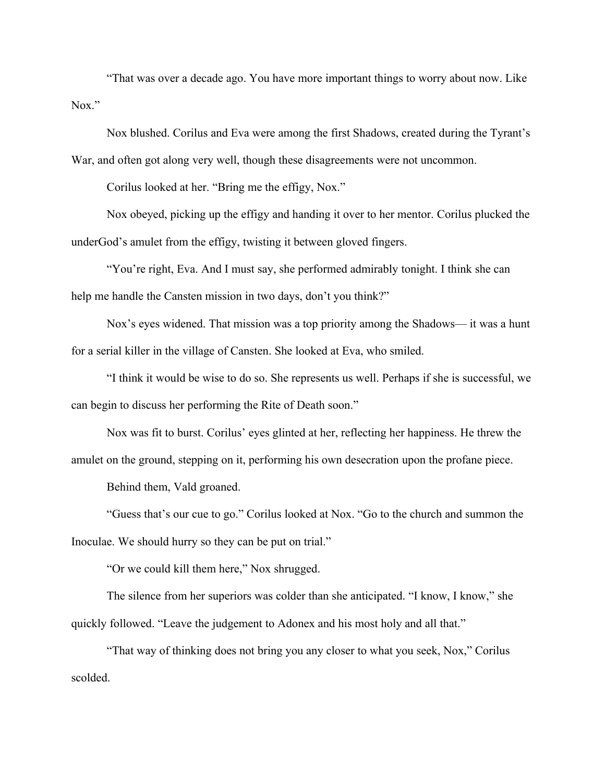"That was over a decade ago. You have more important things to worry about now. Like Nox."

Nox blushed. Corilus and Eva were among the first Shadows, created during the Tyrant's War, and often got along very well, though these disagreements were not uncommon.

Corilus looked at her. "Bring me the effigy, Nox."

Nox obeyed, picking up the effigy and handing it over to her mentor. Corilus plucked the underGod's amulet from the effigy, twisting it between gloved fingers.

"You're right, Eva. And I must say, she performed admirably tonight. I think she can help me handle the Cansten mission in two days, don't you think?"

Nox's eyes widened. That mission was a top priority among the Shadows— it was a hunt for a serial killer in the village of Cansten. She looked at Eva, who smiled.

"I think it would be wise to do so. She represents us well. Perhaps if she is successful, we can begin to discuss her performing the Rite of Death soon."

Nox was fit to burst. Corilus' eyes glinted at her, reflecting her happiness. He threw the amulet on the ground, stepping on it, performing his own desecration upon the profane piece.

Behind them, Vald groaned.

"Guess that's our cue to go." Corilus looked at Nox. "Go to the church and summon the Inoculae. We should hurry so they can be put on trial."

"Or we could kill them here," Nox shrugged.

The silence from her superiors was colder than she anticipated. "I know, I know," she quickly followed. "Leave the judgement to Adonex and his most holy and all that."

"That way of thinking does not bring you any closer to what you seek, Nox," Corilus scolded.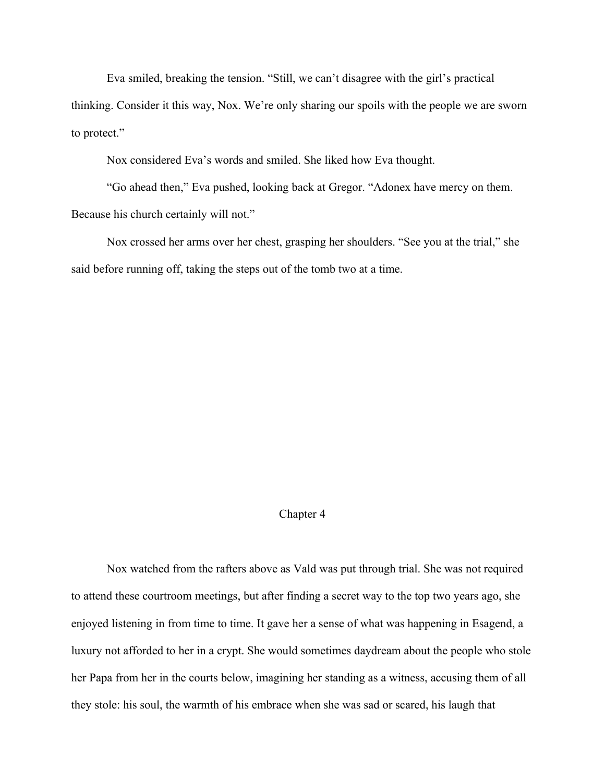Eva smiled, breaking the tension. "Still, we can't disagree with the girl's practical

thinking. Consider it this way, Nox. We're only sharing our spoils with the people we are sworn to protect."

Nox considered Eva's words and smiled. She liked how Eva thought.

"Go ahead then," Eva pushed, looking back at Gregor. "Adonex have mercy on them. Because his church certainly will not."

Nox crossed her arms over her chest, grasping her shoulders. "See you at the trial," she said before running off, taking the steps out of the tomb two at a time.

## Chapter 4

Nox watched from the rafters above as Vald was put through trial. She was not required to attend these courtroom meetings, but after finding a secret way to the top two years ago, she enjoyed listening in from time to time. It gave her a sense of what was happening in Esagend, a luxury not afforded to her in a crypt. She would sometimes daydream about the people who stole her Papa from her in the courts below, imagining her standing as a witness, accusing them of all they stole: his soul, the warmth of his embrace when she was sad or scared, his laugh that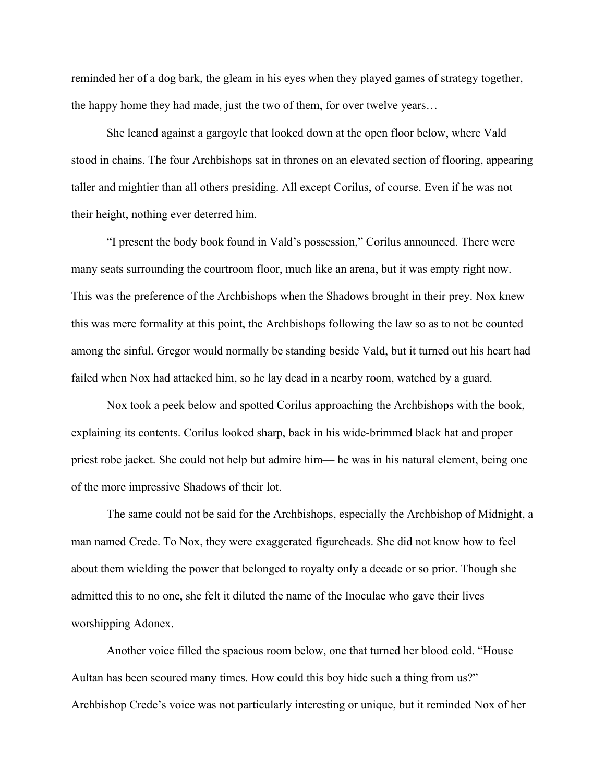reminded her of a dog bark, the gleam in his eyes when they played games of strategy together, the happy home they had made, just the two of them, for over twelve years…

She leaned against a gargoyle that looked down at the open floor below, where Vald stood in chains. The four Archbishops sat in thrones on an elevated section of flooring, appearing taller and mightier than all others presiding. All except Corilus, of course. Even if he was not their height, nothing ever deterred him.

"I present the body book found in Vald's possession," Corilus announced. There were many seats surrounding the courtroom floor, much like an arena, but it was empty right now. This was the preference of the Archbishops when the Shadows brought in their prey. Nox knew this was mere formality at this point, the Archbishops following the law so as to not be counted among the sinful. Gregor would normally be standing beside Vald, but it turned out his heart had failed when Nox had attacked him, so he lay dead in a nearby room, watched by a guard.

Nox took a peek below and spotted Corilus approaching the Archbishops with the book, explaining its contents. Corilus looked sharp, back in his wide-brimmed black hat and proper priest robe jacket. She could not help but admire him— he was in his natural element, being one of the more impressive Shadows of their lot.

The same could not be said for the Archbishops, especially the Archbishop of Midnight, a man named Crede. To Nox, they were exaggerated figureheads. She did not know how to feel about them wielding the power that belonged to royalty only a decade or so prior. Though she admitted this to no one, she felt it diluted the name of the Inoculae who gave their lives worshipping Adonex.

Another voice filled the spacious room below, one that turned her blood cold. "House Aultan has been scoured many times. How could this boy hide such a thing from us?" Archbishop Crede's voice was not particularly interesting or unique, but it reminded Nox of her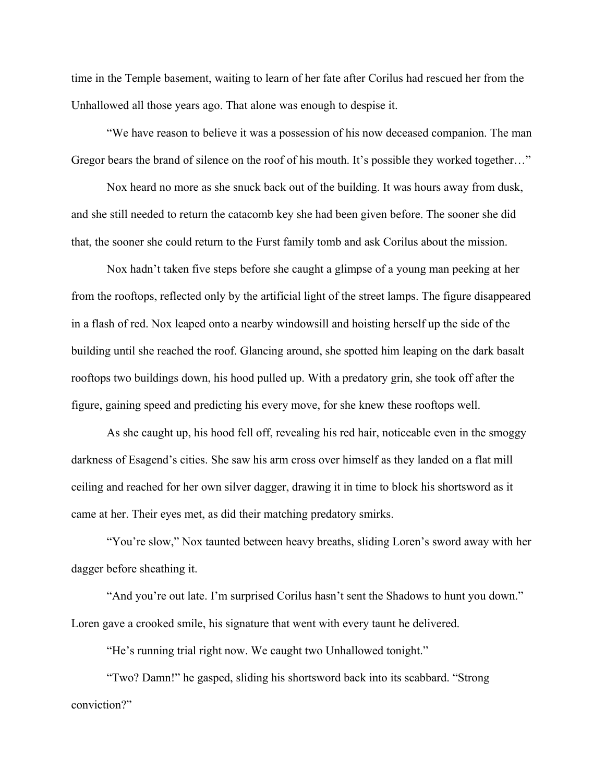time in the Temple basement, waiting to learn of her fate after Corilus had rescued her from the Unhallowed all those years ago. That alone was enough to despise it.

"We have reason to believe it was a possession of his now deceased companion. The man Gregor bears the brand of silence on the roof of his mouth. It's possible they worked together…"

Nox heard no more as she snuck back out of the building. It was hours away from dusk, and she still needed to return the catacomb key she had been given before. The sooner she did that, the sooner she could return to the Furst family tomb and ask Corilus about the mission.

Nox hadn't taken five steps before she caught a glimpse of a young man peeking at her from the rooftops, reflected only by the artificial light of the street lamps. The figure disappeared in a flash of red. Nox leaped onto a nearby windowsill and hoisting herself up the side of the building until she reached the roof. Glancing around, she spotted him leaping on the dark basalt rooftops two buildings down, his hood pulled up. With a predatory grin, she took off after the figure, gaining speed and predicting his every move, for she knew these rooftops well.

As she caught up, his hood fell off, revealing his red hair, noticeable even in the smoggy darkness of Esagend's cities. She saw his arm cross over himself as they landed on a flat mill ceiling and reached for her own silver dagger, drawing it in time to block his shortsword as it came at her. Their eyes met, as did their matching predatory smirks.

"You're slow," Nox taunted between heavy breaths, sliding Loren's sword away with her dagger before sheathing it.

"And you're out late. I'm surprised Corilus hasn't sent the Shadows to hunt you down." Loren gave a crooked smile, his signature that went with every taunt he delivered.

"He's running trial right now. We caught two Unhallowed tonight."

"Two? Damn!" he gasped, sliding his shortsword back into its scabbard. "Strong conviction?"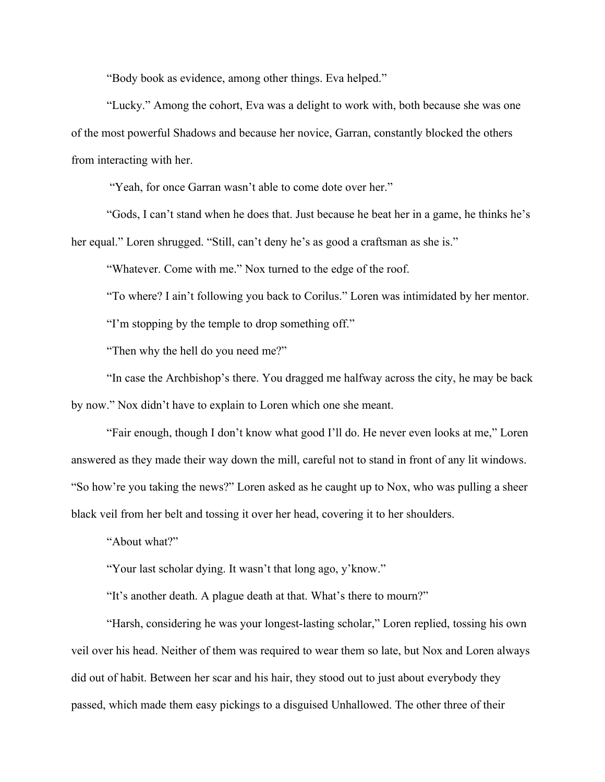"Body book as evidence, among other things. Eva helped."

"Lucky." Among the cohort, Eva was a delight to work with, both because she was one of the most powerful Shadows and because her novice, Garran, constantly blocked the others from interacting with her.

"Yeah, for once Garran wasn't able to come dote over her."

"Gods, I can't stand when he does that. Just because he beat her in a game, he thinks he's her equal." Loren shrugged. "Still, can't deny he's as good a craftsman as she is."

"Whatever. Come with me." Nox turned to the edge of the roof.

"To where? I ain't following you back to Corilus." Loren was intimidated by her mentor.

"I'm stopping by the temple to drop something off."

"Then why the hell do you need me?"

"In case the Archbishop's there. You dragged me halfway across the city, he may be back by now." Nox didn't have to explain to Loren which one she meant.

"Fair enough, though I don't know what good I'll do. He never even looks at me," Loren answered as they made their way down the mill, careful not to stand in front of any lit windows. "So how're you taking the news?" Loren asked as he caught up to Nox, who was pulling a sheer black veil from her belt and tossing it over her head, covering it to her shoulders.

"About what?"

"Your last scholar dying. It wasn't that long ago, y'know."

"It's another death. A plague death at that. What's there to mourn?"

"Harsh, considering he was your longest-lasting scholar," Loren replied, tossing his own veil over his head. Neither of them was required to wear them so late, but Nox and Loren always did out of habit. Between her scar and his hair, they stood out to just about everybody they passed, which made them easy pickings to a disguised Unhallowed. The other three of their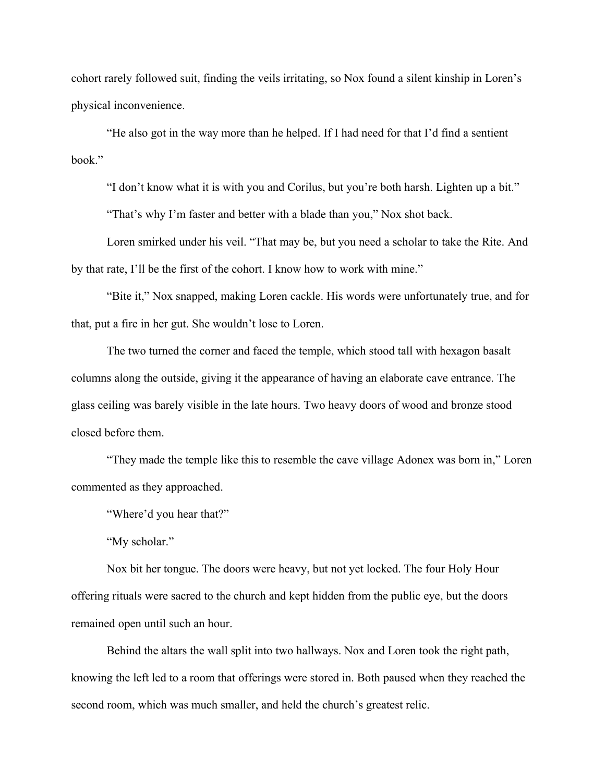cohort rarely followed suit, finding the veils irritating, so Nox found a silent kinship in Loren's physical inconvenience.

"He also got in the way more than he helped. If I had need for that I'd find a sentient book."

"I don't know what it is with you and Corilus, but you're both harsh. Lighten up a bit."

"That's why I'm faster and better with a blade than you," Nox shot back.

Loren smirked under his veil. "That may be, but you need a scholar to take the Rite. And by that rate, I'll be the first of the cohort. I know how to work with mine."

"Bite it," Nox snapped, making Loren cackle. His words were unfortunately true, and for that, put a fire in her gut. She wouldn't lose to Loren.

The two turned the corner and faced the temple, which stood tall with hexagon basalt columns along the outside, giving it the appearance of having an elaborate cave entrance. The glass ceiling was barely visible in the late hours. Two heavy doors of wood and bronze stood closed before them.

"They made the temple like this to resemble the cave village Adonex was born in," Loren commented as they approached.

"Where'd you hear that?"

"My scholar."

Nox bit her tongue. The doors were heavy, but not yet locked. The four Holy Hour offering rituals were sacred to the church and kept hidden from the public eye, but the doors remained open until such an hour.

Behind the altars the wall split into two hallways. Nox and Loren took the right path, knowing the left led to a room that offerings were stored in. Both paused when they reached the second room, which was much smaller, and held the church's greatest relic.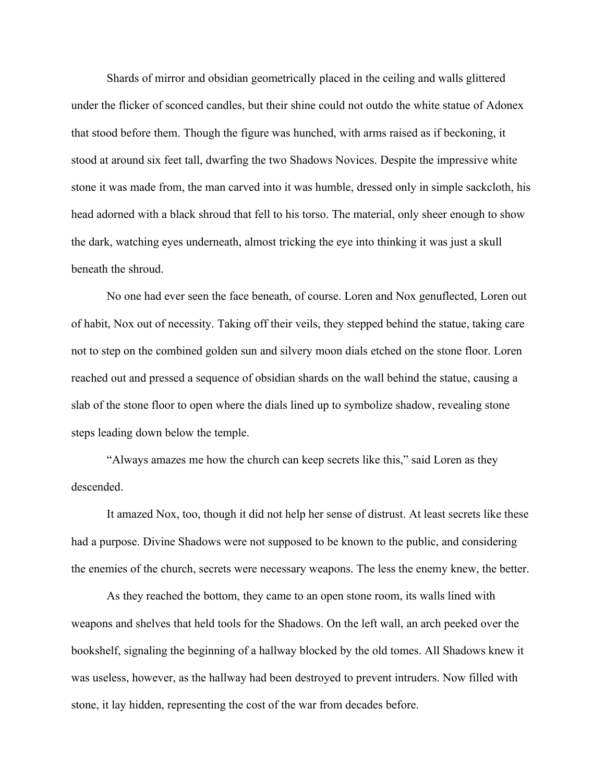Shards of mirror and obsidian geometrically placed in the ceiling and walls glittered under the flicker of sconced candles, but their shine could not outdo the white statue of Adonex that stood before them. Though the figure was hunched, with arms raised as if beckoning, it stood at around six feet tall, dwarfing the two Shadows Novices. Despite the impressive white stone it was made from, the man carved into it was humble, dressed only in simple sackcloth, his head adorned with a black shroud that fell to his torso. The material, only sheer enough to show the dark, watching eyes underneath, almost tricking the eye into thinking it was just a skull beneath the shroud.

No one had ever seen the face beneath, of course. Loren and Nox genuflected, Loren out of habit, Nox out of necessity. Taking off their veils, they stepped behind the statue, taking care not to step on the combined golden sun and silvery moon dials etched on the stone floor. Loren reached out and pressed a sequence of obsidian shards on the wall behind the statue, causing a slab of the stone floor to open where the dials lined up to symbolize shadow, revealing stone steps leading down below the temple.

"Always amazes me how the church can keep secrets like this," said Loren as they descended.

It amazed Nox, too, though it did not help her sense of distrust. At least secrets like these had a purpose. Divine Shadows were not supposed to be known to the public, and considering the enemies of the church, secrets were necessary weapons. The less the enemy knew, the better.

As they reached the bottom, they came to an open stone room, its walls lined with weapons and shelves that held tools for the Shadows. On the left wall, an arch peeked over the bookshelf, signaling the beginning of a hallway blocked by the old tomes. All Shadows knew it was useless, however, as the hallway had been destroyed to prevent intruders. Now filled with stone, it lay hidden, representing the cost of the war from decades before.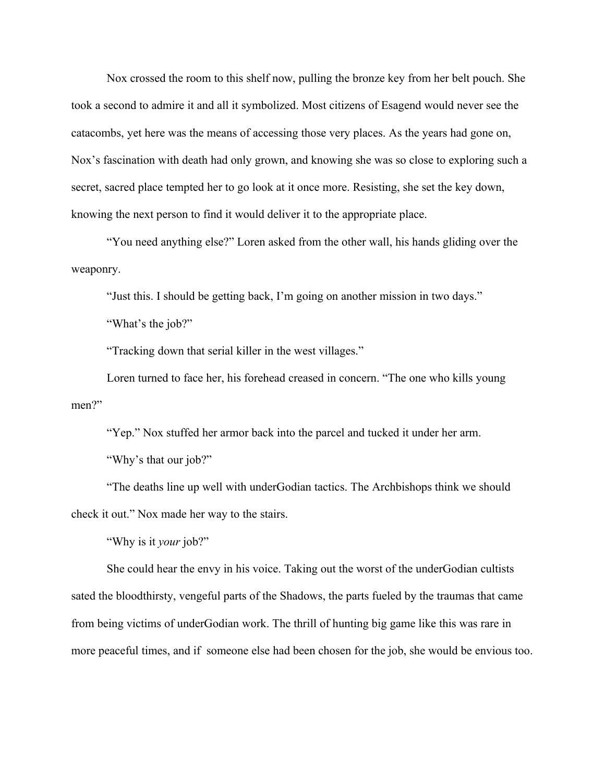Nox crossed the room to this shelf now, pulling the bronze key from her belt pouch. She took a second to admire it and all it symbolized. Most citizens of Esagend would never see the catacombs, yet here was the means of accessing those very places. As the years had gone on, Nox's fascination with death had only grown, and knowing she was so close to exploring such a secret, sacred place tempted her to go look at it once more. Resisting, she set the key down, knowing the next person to find it would deliver it to the appropriate place.

"You need anything else?" Loren asked from the other wall, his hands gliding over the weaponry.

"Just this. I should be getting back, I'm going on another mission in two days."

"What's the job?"

"Tracking down that serial killer in the west villages."

Loren turned to face her, his forehead creased in concern. "The one who kills young men?"

"Yep." Nox stuffed her armor back into the parcel and tucked it under her arm. "Why's that our job?"

"The deaths line up well with underGodian tactics. The Archbishops think we should check it out." Nox made her way to the stairs.

"Why is it *your* job?"

She could hear the envy in his voice. Taking out the worst of the underGodian cultists sated the bloodthirsty, vengeful parts of the Shadows, the parts fueled by the traumas that came from being victims of underGodian work. The thrill of hunting big game like this was rare in more peaceful times, and if someone else had been chosen for the job, she would be envious too.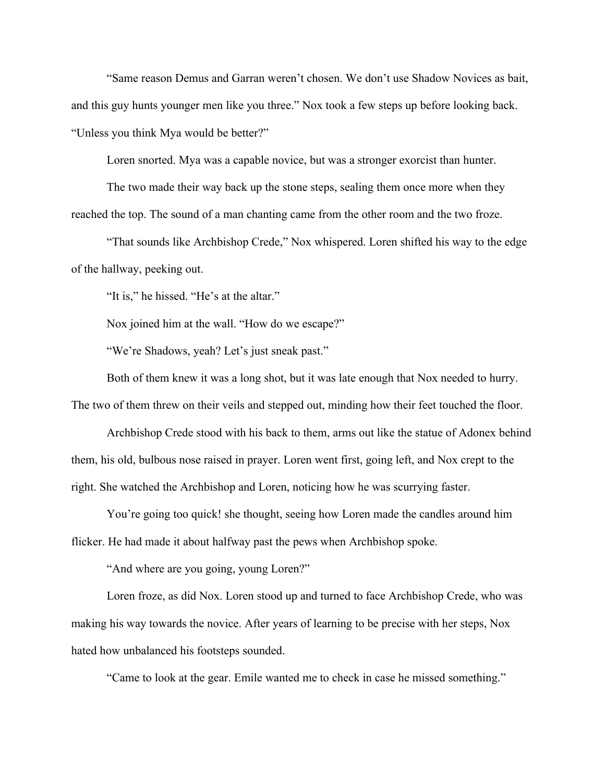"Same reason Demus and Garran weren't chosen. We don't use Shadow Novices as bait, and this guy hunts younger men like you three." Nox took a few steps up before looking back. "Unless you think Mya would be better?"

Loren snorted. Mya was a capable novice, but was a stronger exorcist than hunter.

The two made their way back up the stone steps, sealing them once more when they reached the top. The sound of a man chanting came from the other room and the two froze.

"That sounds like Archbishop Crede," Nox whispered. Loren shifted his way to the edge of the hallway, peeking out.

"It is," he hissed. "He's at the altar."

Nox joined him at the wall. "How do we escape?"

"We're Shadows, yeah? Let's just sneak past."

Both of them knew it was a long shot, but it was late enough that Nox needed to hurry. The two of them threw on their veils and stepped out, minding how their feet touched the floor.

Archbishop Crede stood with his back to them, arms out like the statue of Adonex behind them, his old, bulbous nose raised in prayer. Loren went first, going left, and Nox crept to the right. She watched the Archbishop and Loren, noticing how he was scurrying faster.

You're going too quick! she thought, seeing how Loren made the candles around him flicker. He had made it about halfway past the pews when Archbishop spoke.

"And where are you going, young Loren?"

Loren froze, as did Nox. Loren stood up and turned to face Archbishop Crede, who was making his way towards the novice. After years of learning to be precise with her steps, Nox hated how unbalanced his footsteps sounded.

"Came to look at the gear. Emile wanted me to check in case he missed something."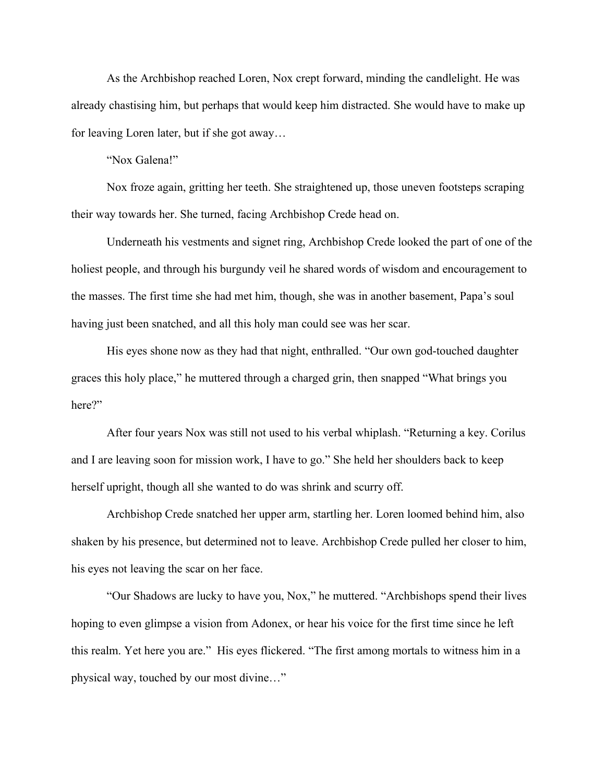As the Archbishop reached Loren, Nox crept forward, minding the candlelight. He was already chastising him, but perhaps that would keep him distracted. She would have to make up for leaving Loren later, but if she got away…

"Nox Galena!"

Nox froze again, gritting her teeth. She straightened up, those uneven footsteps scraping their way towards her. She turned, facing Archbishop Crede head on.

Underneath his vestments and signet ring, Archbishop Crede looked the part of one of the holiest people, and through his burgundy veil he shared words of wisdom and encouragement to the masses. The first time she had met him, though, she was in another basement, Papa's soul having just been snatched, and all this holy man could see was her scar.

His eyes shone now as they had that night, enthralled. "Our own god-touched daughter graces this holy place," he muttered through a charged grin, then snapped "What brings you here?"

After four years Nox was still not used to his verbal whiplash. "Returning a key. Corilus and I are leaving soon for mission work, I have to go." She held her shoulders back to keep herself upright, though all she wanted to do was shrink and scurry off.

Archbishop Crede snatched her upper arm, startling her. Loren loomed behind him, also shaken by his presence, but determined not to leave. Archbishop Crede pulled her closer to him, his eyes not leaving the scar on her face.

"Our Shadows are lucky to have you, Nox," he muttered. "Archbishops spend their lives hoping to even glimpse a vision from Adonex, or hear his voice for the first time since he left this realm. Yet here you are." His eyes flickered. "The first among mortals to witness him in a physical way, touched by our most divine…"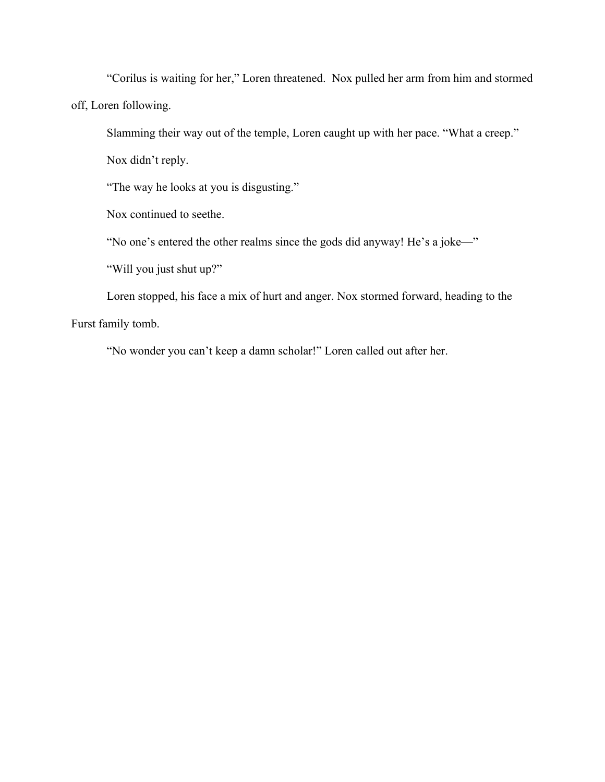"Corilus is waiting for her," Loren threatened. Nox pulled her arm from him and stormed off, Loren following.

Slamming their way out of the temple, Loren caught up with her pace. "What a creep."

Nox didn't reply.

"The way he looks at you is disgusting."

Nox continued to seethe.

"No one's entered the other realms since the gods did anyway! He's a joke—"

"Will you just shut up?"

Loren stopped, his face a mix of hurt and anger. Nox stormed forward, heading to the Furst family tomb.

"No wonder you can't keep a damn scholar!" Loren called out after her.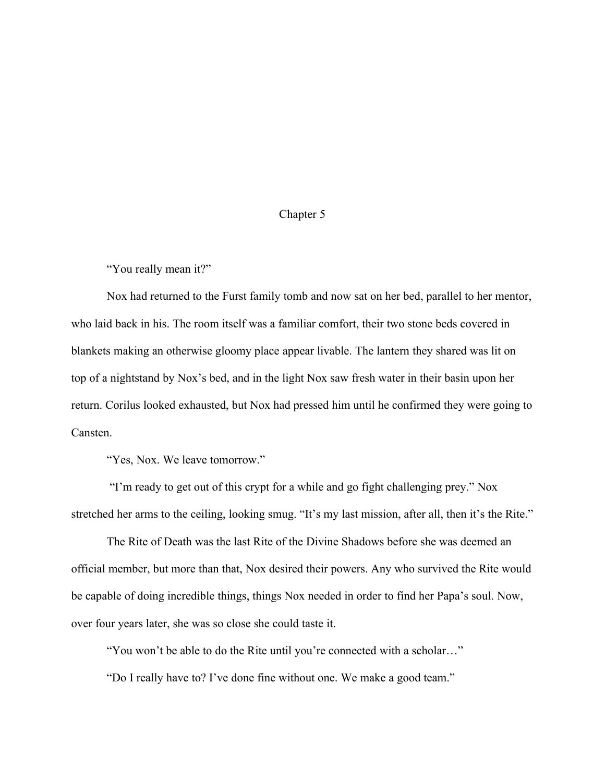## Chapter 5

"You really mean it?"

Nox had returned to the Furst family tomb and now sat on her bed, parallel to her mentor, who laid back in his. The room itself was a familiar comfort, their two stone beds covered in blankets making an otherwise gloomy place appear livable. The lantern they shared was lit on top of a nightstand by Nox's bed, and in the light Nox saw fresh water in their basin upon her return. Corilus looked exhausted, but Nox had pressed him until he confirmed they were going to Cansten.

"Yes, Nox. We leave tomorrow."

 "I'm ready to get out of this crypt for a while and go fight challenging prey." Nox stretched her arms to the ceiling, looking smug. "It's my last mission, after all, then it's the Rite."

The Rite of Death was the last Rite of the Divine Shadows before she was deemed an official member, but more than that, Nox desired their powers. Any who survived the Rite would be capable of doing incredible things, things Nox needed in order to find her Papa's soul. Now, over four years later, she was so close she could taste it.

"You won't be able to do the Rite until you're connected with a scholar…"

"Do I really have to? I've done fine without one. We make a good team."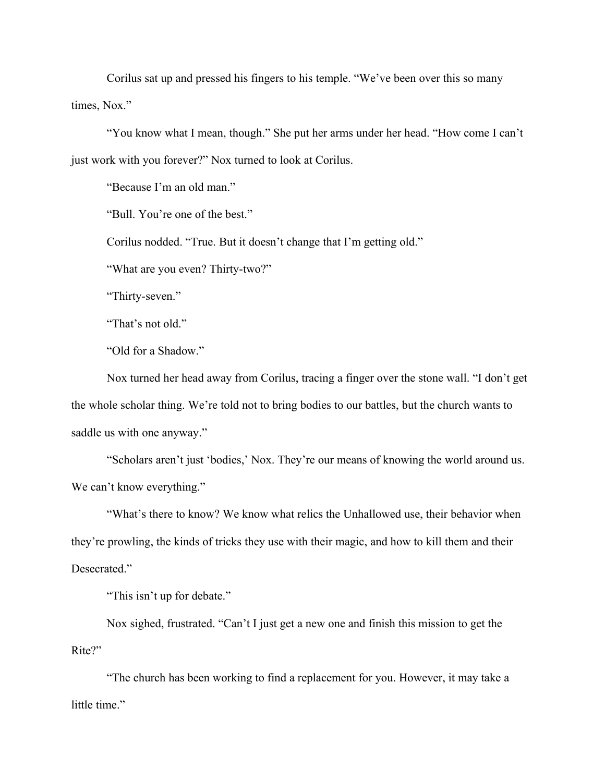Corilus sat up and pressed his fingers to his temple. "We've been over this so many times, Nox."

"You know what I mean, though." She put her arms under her head. "How come I can't just work with you forever?" Nox turned to look at Corilus.

"Because I'm an old man."

"Bull. You're one of the best."

Corilus nodded. "True. But it doesn't change that I'm getting old."

"What are you even? Thirty-two?"

"Thirty-seven."

"That's not old."

"Old for a Shadow."

Nox turned her head away from Corilus, tracing a finger over the stone wall. "I don't get the whole scholar thing. We're told not to bring bodies to our battles, but the church wants to saddle us with one anyway."

"Scholars aren't just 'bodies,' Nox. They're our means of knowing the world around us. We can't know everything."

"What's there to know? We know what relics the Unhallowed use, their behavior when they're prowling, the kinds of tricks they use with their magic, and how to kill them and their Desecrated."

"This isn't up for debate."

Nox sighed, frustrated. "Can't I just get a new one and finish this mission to get the Rite?"

"The church has been working to find a replacement for you. However, it may take a little time."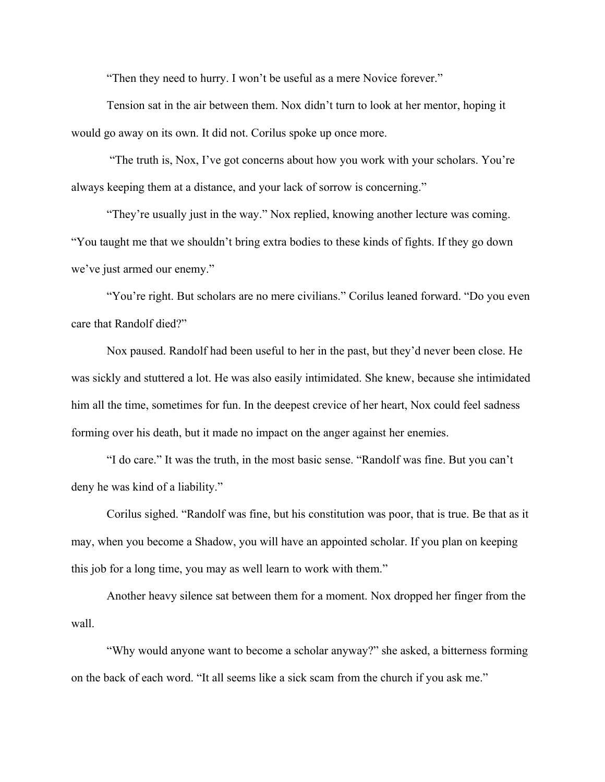"Then they need to hurry. I won't be useful as a mere Novice forever."

Tension sat in the air between them. Nox didn't turn to look at her mentor, hoping it would go away on its own. It did not. Corilus spoke up once more.

 "The truth is, Nox, I've got concerns about how you work with your scholars. You're always keeping them at a distance, and your lack of sorrow is concerning."

"They're usually just in the way." Nox replied, knowing another lecture was coming. "You taught me that we shouldn't bring extra bodies to these kinds of fights. If they go down we've just armed our enemy."

"You're right. But scholars are no mere civilians." Corilus leaned forward. "Do you even care that Randolf died?"

Nox paused. Randolf had been useful to her in the past, but they'd never been close. He was sickly and stuttered a lot. He was also easily intimidated. She knew, because she intimidated him all the time, sometimes for fun. In the deepest crevice of her heart, Nox could feel sadness forming over his death, but it made no impact on the anger against her enemies.

"I do care." It was the truth, in the most basic sense. "Randolf was fine. But you can't deny he was kind of a liability."

Corilus sighed. "Randolf was fine, but his constitution was poor, that is true. Be that as it may, when you become a Shadow, you will have an appointed scholar. If you plan on keeping this job for a long time, you may as well learn to work with them."

Another heavy silence sat between them for a moment. Nox dropped her finger from the wall.

"Why would anyone want to become a scholar anyway?" she asked, a bitterness forming on the back of each word. "It all seems like a sick scam from the church if you ask me."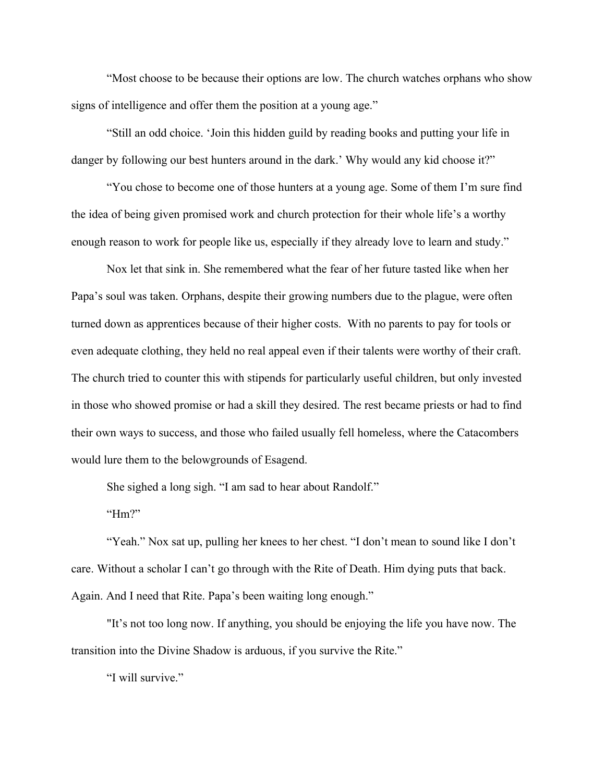"Most choose to be because their options are low. The church watches orphans who show signs of intelligence and offer them the position at a young age."

"Still an odd choice. 'Join this hidden guild by reading books and putting your life in danger by following our best hunters around in the dark.' Why would any kid choose it?"

"You chose to become one of those hunters at a young age. Some of them I'm sure find the idea of being given promised work and church protection for their whole life's a worthy enough reason to work for people like us, especially if they already love to learn and study."

Nox let that sink in. She remembered what the fear of her future tasted like when her Papa's soul was taken. Orphans, despite their growing numbers due to the plague, were often turned down as apprentices because of their higher costs. With no parents to pay for tools or even adequate clothing, they held no real appeal even if their talents were worthy of their craft. The church tried to counter this with stipends for particularly useful children, but only invested in those who showed promise or had a skill they desired. The rest became priests or had to find their own ways to success, and those who failed usually fell homeless, where the Catacombers would lure them to the belowgrounds of Esagend.

She sighed a long sigh. "I am sad to hear about Randolf."

" $Hm$ ?"

"Yeah." Nox sat up, pulling her knees to her chest. "I don't mean to sound like I don't care. Without a scholar I can't go through with the Rite of Death. Him dying puts that back. Again. And I need that Rite. Papa's been waiting long enough."

"It's not too long now. If anything, you should be enjoying the life you have now. The transition into the Divine Shadow is arduous, if you survive the Rite."

"I will survive."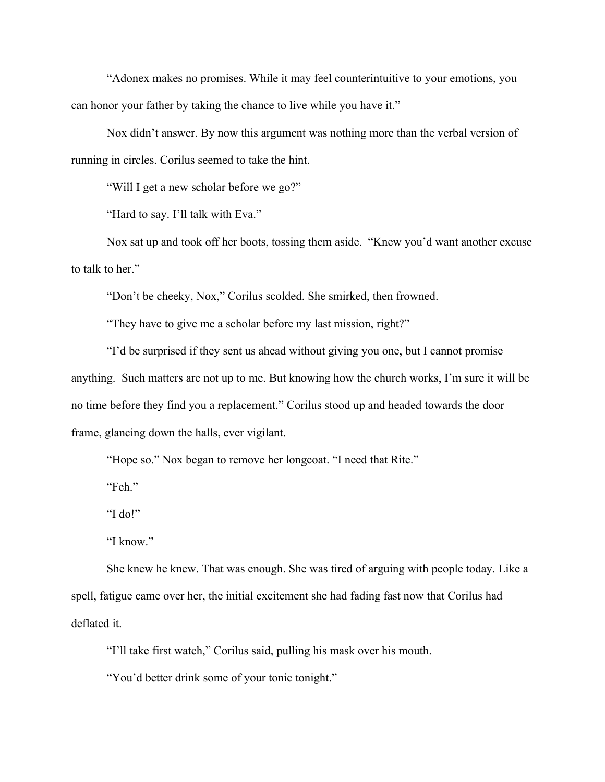"Adonex makes no promises. While it may feel counterintuitive to your emotions, you can honor your father by taking the chance to live while you have it."

Nox didn't answer. By now this argument was nothing more than the verbal version of running in circles. Corilus seemed to take the hint.

"Will I get a new scholar before we go?"

"Hard to say. I'll talk with Eva."

Nox sat up and took off her boots, tossing them aside. "Knew you'd want another excuse to talk to her."

"Don't be cheeky, Nox," Corilus scolded. She smirked, then frowned.

"They have to give me a scholar before my last mission, right?"

"I'd be surprised if they sent us ahead without giving you one, but I cannot promise anything. Such matters are not up to me. But knowing how the church works, I'm sure it will be no time before they find you a replacement." Corilus stood up and headed towards the door frame, glancing down the halls, ever vigilant.

"Hope so." Nox began to remove her longcoat. "I need that Rite."

"Feh."

"I do!"

"I know."

She knew he knew. That was enough. She was tired of arguing with people today. Like a spell, fatigue came over her, the initial excitement she had fading fast now that Corilus had deflated it.

"I'll take first watch," Corilus said, pulling his mask over his mouth.

"You'd better drink some of your tonic tonight."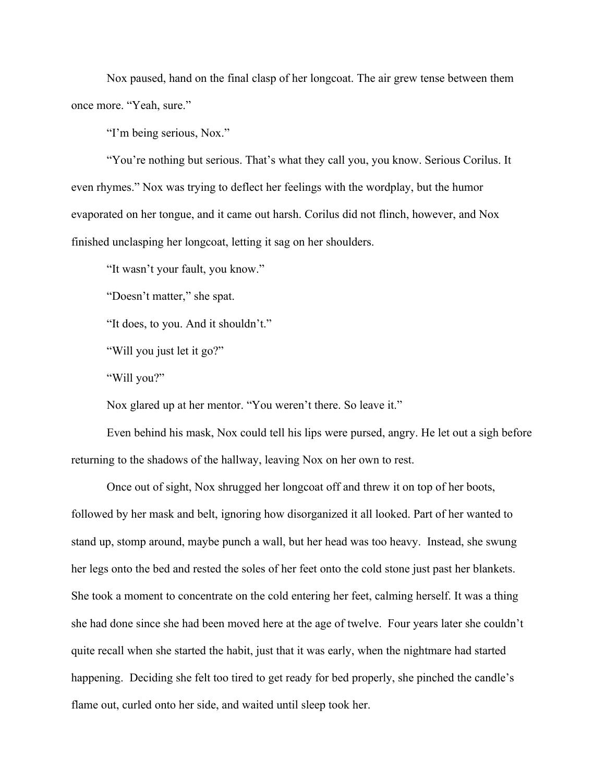Nox paused, hand on the final clasp of her longcoat. The air grew tense between them once more. "Yeah, sure."

"I'm being serious, Nox."

"You're nothing but serious. That's what they call you, you know. Serious Corilus. It even rhymes." Nox was trying to deflect her feelings with the wordplay, but the humor evaporated on her tongue, and it came out harsh. Corilus did not flinch, however, and Nox finished unclasping her longcoat, letting it sag on her shoulders.

"It wasn't your fault, you know."

"Doesn't matter," she spat.

"It does, to you. And it shouldn't."

"Will you just let it go?"

"Will you?"

Nox glared up at her mentor. "You weren't there. So leave it."

Even behind his mask, Nox could tell his lips were pursed, angry. He let out a sigh before returning to the shadows of the hallway, leaving Nox on her own to rest.

Once out of sight, Nox shrugged her longcoat off and threw it on top of her boots, followed by her mask and belt, ignoring how disorganized it all looked. Part of her wanted to stand up, stomp around, maybe punch a wall, but her head was too heavy. Instead, she swung her legs onto the bed and rested the soles of her feet onto the cold stone just past her blankets. She took a moment to concentrate on the cold entering her feet, calming herself. It was a thing she had done since she had been moved here at the age of twelve. Four years later she couldn't quite recall when she started the habit, just that it was early, when the nightmare had started happening. Deciding she felt too tired to get ready for bed properly, she pinched the candle's flame out, curled onto her side, and waited until sleep took her.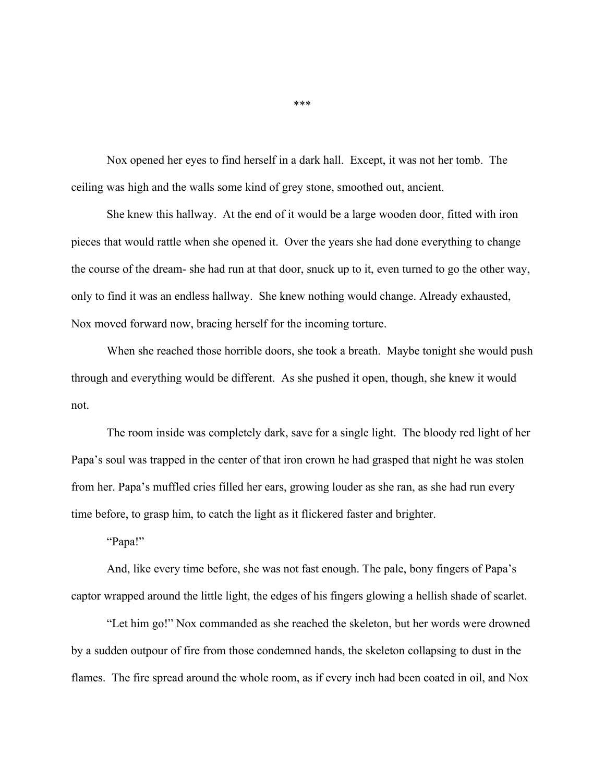Nox opened her eyes to find herself in a dark hall. Except, it was not her tomb. The ceiling was high and the walls some kind of grey stone, smoothed out, ancient.

She knew this hallway. At the end of it would be a large wooden door, fitted with iron pieces that would rattle when she opened it. Over the years she had done everything to change the course of the dream- she had run at that door, snuck up to it, even turned to go the other way, only to find it was an endless hallway. She knew nothing would change. Already exhausted, Nox moved forward now, bracing herself for the incoming torture.

When she reached those horrible doors, she took a breath. Maybe tonight she would push through and everything would be different. As she pushed it open, though, she knew it would not.

The room inside was completely dark, save for a single light. The bloody red light of her Papa's soul was trapped in the center of that iron crown he had grasped that night he was stolen from her. Papa's muffled cries filled her ears, growing louder as she ran, as she had run every time before, to grasp him, to catch the light as it flickered faster and brighter.

"Papa!"

And, like every time before, she was not fast enough. The pale, bony fingers of Papa's captor wrapped around the little light, the edges of his fingers glowing a hellish shade of scarlet.

"Let him go!" Nox commanded as she reached the skeleton, but her words were drowned by a sudden outpour of fire from those condemned hands, the skeleton collapsing to dust in the flames. The fire spread around the whole room, as if every inch had been coated in oil, and Nox

\*\*\*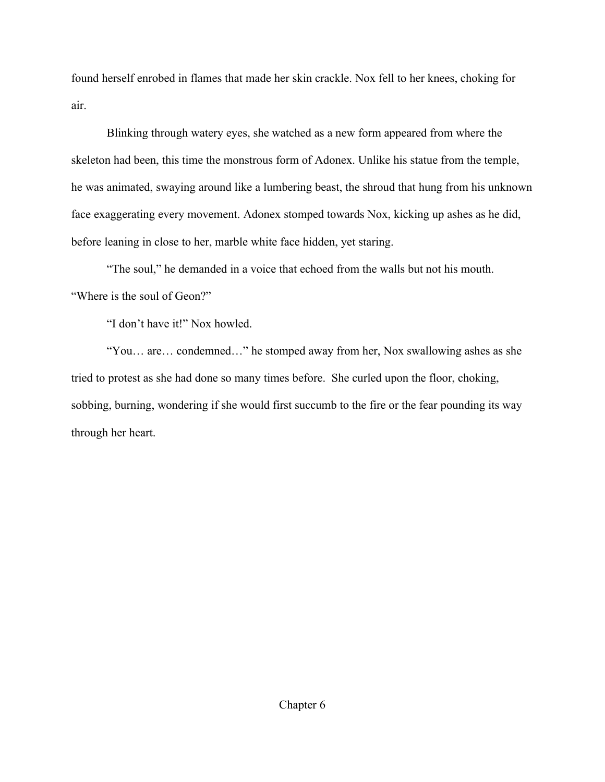found herself enrobed in flames that made her skin crackle. Nox fell to her knees, choking for air.

Blinking through watery eyes, she watched as a new form appeared from where the skeleton had been, this time the monstrous form of Adonex. Unlike his statue from the temple, he was animated, swaying around like a lumbering beast, the shroud that hung from his unknown face exaggerating every movement. Adonex stomped towards Nox, kicking up ashes as he did, before leaning in close to her, marble white face hidden, yet staring.

"The soul," he demanded in a voice that echoed from the walls but not his mouth. "Where is the soul of Geon?"

"I don't have it!" Nox howled.

"You… are… condemned…" he stomped away from her, Nox swallowing ashes as she tried to protest as she had done so many times before. She curled upon the floor, choking, sobbing, burning, wondering if she would first succumb to the fire or the fear pounding its way through her heart.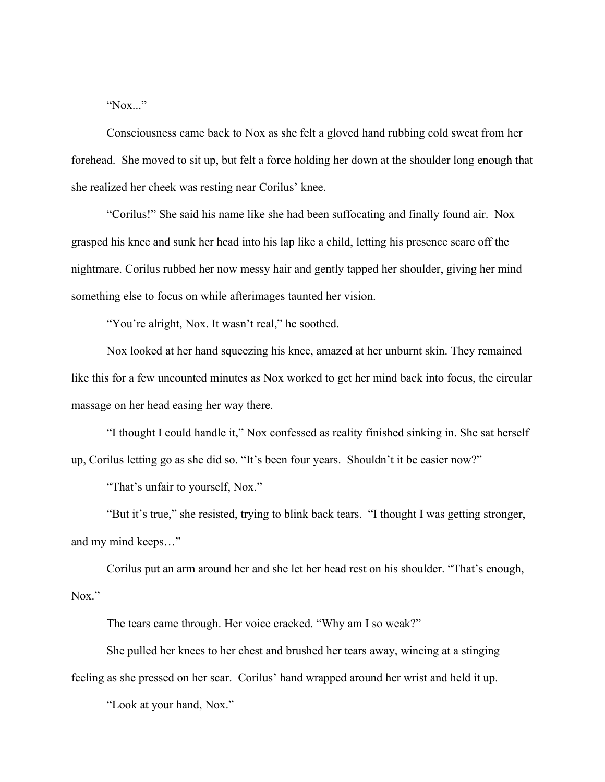"Nox..."

Consciousness came back to Nox as she felt a gloved hand rubbing cold sweat from her forehead. She moved to sit up, but felt a force holding her down at the shoulder long enough that she realized her cheek was resting near Corilus' knee.

"Corilus!" She said his name like she had been suffocating and finally found air. Nox grasped his knee and sunk her head into his lap like a child, letting his presence scare off the nightmare. Corilus rubbed her now messy hair and gently tapped her shoulder, giving her mind something else to focus on while afterimages taunted her vision.

"You're alright, Nox. It wasn't real," he soothed.

Nox looked at her hand squeezing his knee, amazed at her unburnt skin. They remained like this for a few uncounted minutes as Nox worked to get her mind back into focus, the circular massage on her head easing her way there.

"I thought I could handle it," Nox confessed as reality finished sinking in. She sat herself up, Corilus letting go as she did so. "It's been four years. Shouldn't it be easier now?"

"That's unfair to yourself, Nox."

"But it's true," she resisted, trying to blink back tears. "I thought I was getting stronger, and my mind keeps…"

Corilus put an arm around her and she let her head rest on his shoulder. "That's enough, Nox."

The tears came through. Her voice cracked. "Why am I so weak?"

She pulled her knees to her chest and brushed her tears away, wincing at a stinging feeling as she pressed on her scar. Corilus' hand wrapped around her wrist and held it up.

"Look at your hand, Nox."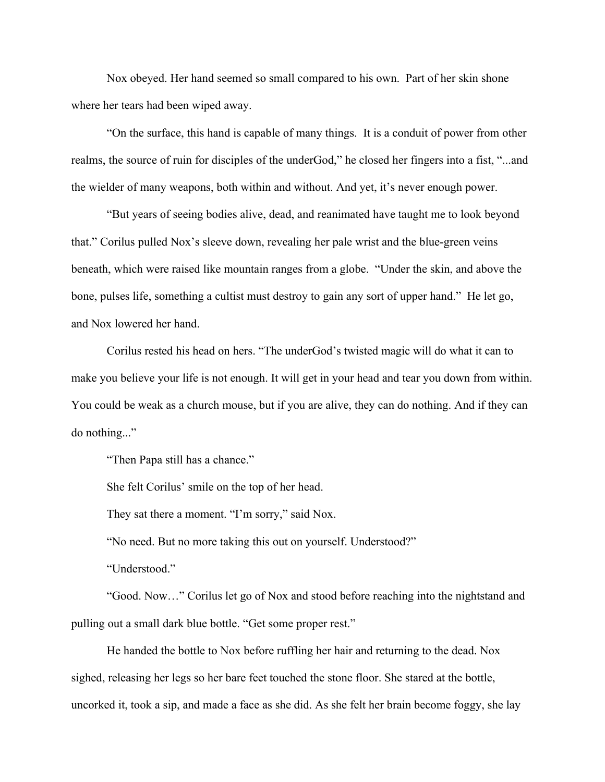Nox obeyed. Her hand seemed so small compared to his own. Part of her skin shone where her tears had been wiped away.

"On the surface, this hand is capable of many things. It is a conduit of power from other realms, the source of ruin for disciples of the underGod," he closed her fingers into a fist, "...and the wielder of many weapons, both within and without. And yet, it's never enough power.

"But years of seeing bodies alive, dead, and reanimated have taught me to look beyond that." Corilus pulled Nox's sleeve down, revealing her pale wrist and the blue-green veins beneath, which were raised like mountain ranges from a globe. "Under the skin, and above the bone, pulses life, something a cultist must destroy to gain any sort of upper hand." He let go, and Nox lowered her hand.

Corilus rested his head on hers. "The underGod's twisted magic will do what it can to make you believe your life is not enough. It will get in your head and tear you down from within. You could be weak as a church mouse, but if you are alive, they can do nothing. And if they can do nothing..."

"Then Papa still has a chance."

She felt Corilus' smile on the top of her head.

They sat there a moment. "I'm sorry," said Nox.

"No need. But no more taking this out on yourself. Understood?"

"Understood."

"Good. Now…" Corilus let go of Nox and stood before reaching into the nightstand and pulling out a small dark blue bottle. "Get some proper rest."

He handed the bottle to Nox before ruffling her hair and returning to the dead. Nox sighed, releasing her legs so her bare feet touched the stone floor. She stared at the bottle, uncorked it, took a sip, and made a face as she did. As she felt her brain become foggy, she lay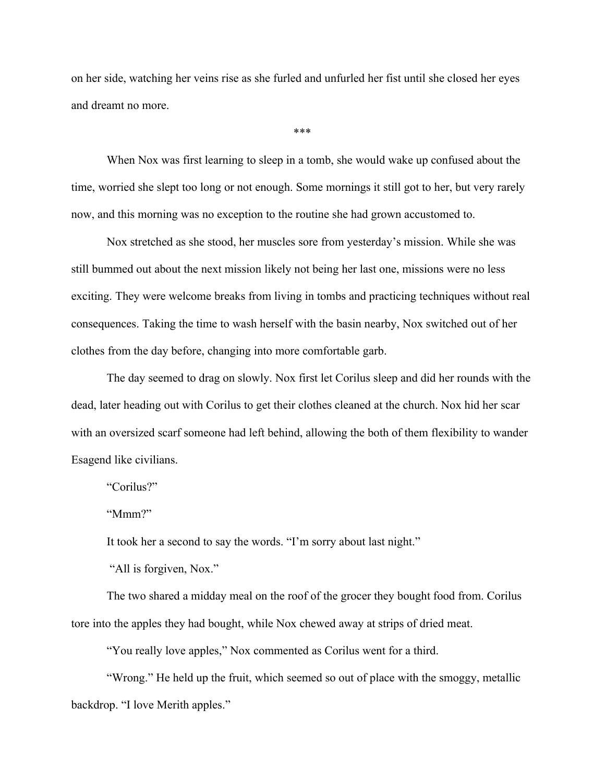on her side, watching her veins rise as she furled and unfurled her fist until she closed her eyes and dreamt no more.

\*\*\*

When Nox was first learning to sleep in a tomb, she would wake up confused about the time, worried she slept too long or not enough. Some mornings it still got to her, but very rarely now, and this morning was no exception to the routine she had grown accustomed to.

Nox stretched as she stood, her muscles sore from yesterday's mission. While she was still bummed out about the next mission likely not being her last one, missions were no less exciting. They were welcome breaks from living in tombs and practicing techniques without real consequences. Taking the time to wash herself with the basin nearby, Nox switched out of her clothes from the day before, changing into more comfortable garb.

The day seemed to drag on slowly. Nox first let Corilus sleep and did her rounds with the dead, later heading out with Corilus to get their clothes cleaned at the church. Nox hid her scar with an oversized scarf someone had left behind, allowing the both of them flexibility to wander Esagend like civilians.

"Corilus?"

"Mmm?"

It took her a second to say the words. "I'm sorry about last night."

"All is forgiven, Nox."

The two shared a midday meal on the roof of the grocer they bought food from. Corilus tore into the apples they had bought, while Nox chewed away at strips of dried meat.

"You really love apples," Nox commented as Corilus went for a third.

"Wrong." He held up the fruit, which seemed so out of place with the smoggy, metallic backdrop. "I love Merith apples."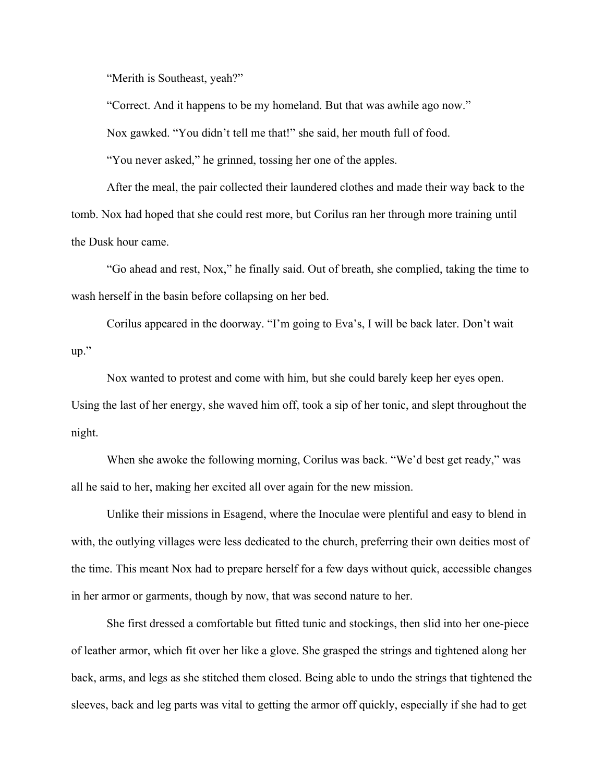"Merith is Southeast, yeah?"

"Correct. And it happens to be my homeland. But that was awhile ago now."

Nox gawked. "You didn't tell me that!" she said, her mouth full of food.

"You never asked," he grinned, tossing her one of the apples.

After the meal, the pair collected their laundered clothes and made their way back to the tomb. Nox had hoped that she could rest more, but Corilus ran her through more training until the Dusk hour came.

"Go ahead and rest, Nox," he finally said. Out of breath, she complied, taking the time to wash herself in the basin before collapsing on her bed.

Corilus appeared in the doorway. "I'm going to Eva's, I will be back later. Don't wait up."

Nox wanted to protest and come with him, but she could barely keep her eyes open. Using the last of her energy, she waved him off, took a sip of her tonic, and slept throughout the night.

When she awoke the following morning, Corilus was back. "We'd best get ready," was all he said to her, making her excited all over again for the new mission.

Unlike their missions in Esagend, where the Inoculae were plentiful and easy to blend in with, the outlying villages were less dedicated to the church, preferring their own deities most of the time. This meant Nox had to prepare herself for a few days without quick, accessible changes in her armor or garments, though by now, that was second nature to her.

She first dressed a comfortable but fitted tunic and stockings, then slid into her one-piece of leather armor, which fit over her like a glove. She grasped the strings and tightened along her back, arms, and legs as she stitched them closed. Being able to undo the strings that tightened the sleeves, back and leg parts was vital to getting the armor off quickly, especially if she had to get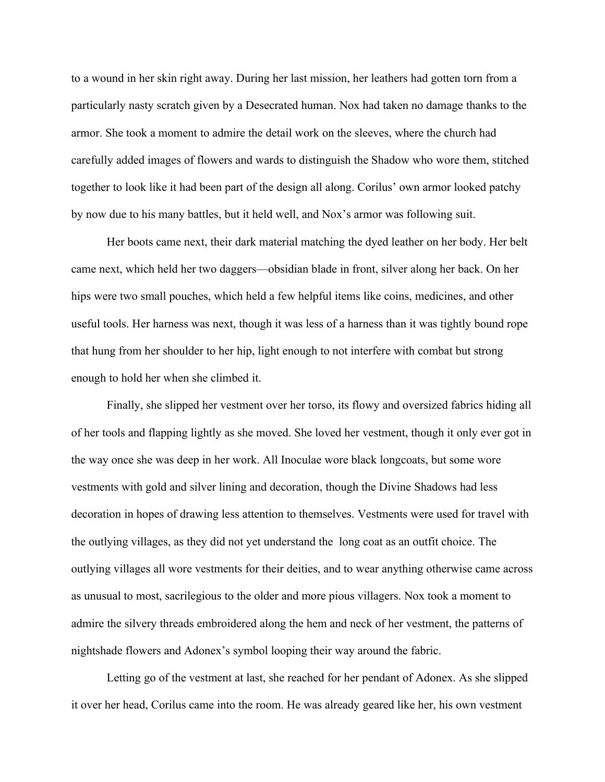to a wound in her skin right away. During her last mission, her leathers had gotten torn from a particularly nasty scratch given by a Desecrated human. Nox had taken no damage thanks to the armor. She took a moment to admire the detail work on the sleeves, where the church had carefully added images of flowers and wards to distinguish the Shadow who wore them, stitched together to look like it had been part of the design all along. Corilus' own armor looked patchy by now due to his many battles, but it held well, and Nox's armor was following suit.

Her boots came next, their dark material matching the dyed leather on her body. Her belt came next, which held her two daggers—obsidian blade in front, silver along her back. On her hips were two small pouches, which held a few helpful items like coins, medicines, and other useful tools. Her harness was next, though it was less of a harness than it was tightly bound rope that hung from her shoulder to her hip, light enough to not interfere with combat but strong enough to hold her when she climbed it.

Finally, she slipped her vestment over her torso, its flowy and oversized fabrics hiding all of her tools and flapping lightly as she moved. She loved her vestment, though it only ever got in the way once she was deep in her work. All Inoculae wore black longcoats, but some wore vestments with gold and silver lining and decoration, though the Divine Shadows had less decoration in hopes of drawing less attention to themselves. Vestments were used for travel with the outlying villages, as they did not yet understand the long coat as an outfit choice. The outlying villages all wore vestments for their deities, and to wear anything otherwise came across as unusual to most, sacrilegious to the older and more pious villagers. Nox took a moment to admire the silvery threads embroidered along the hem and neck of her vestment, the patterns of nightshade flowers and Adonex's symbol looping their way around the fabric.

Letting go of the vestment at last, she reached for her pendant of Adonex. As she slipped it over her head, Corilus came into the room. He was already geared like her, his own vestment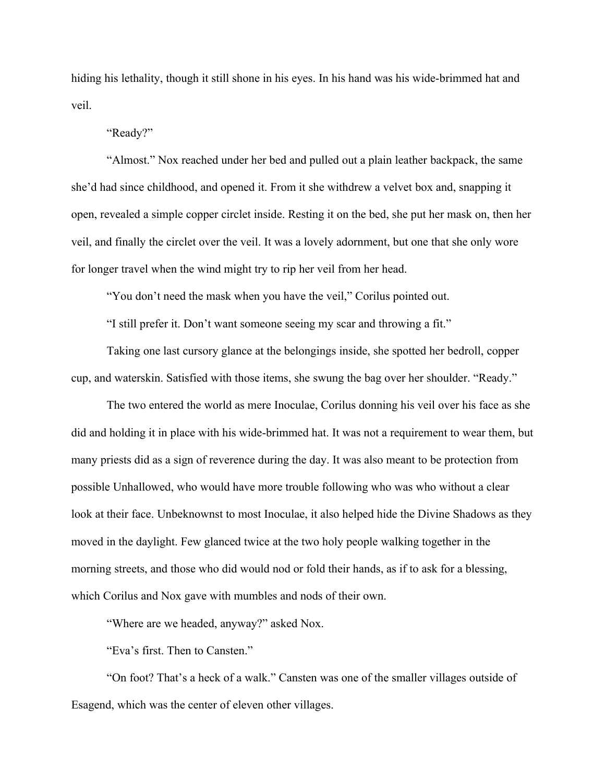hiding his lethality, though it still shone in his eyes. In his hand was his wide-brimmed hat and veil.

"Ready?"

"Almost." Nox reached under her bed and pulled out a plain leather backpack, the same she'd had since childhood, and opened it. From it she withdrew a velvet box and, snapping it open, revealed a simple copper circlet inside. Resting it on the bed, she put her mask on, then her veil, and finally the circlet over the veil. It was a lovely adornment, but one that she only wore for longer travel when the wind might try to rip her veil from her head.

"You don't need the mask when you have the veil," Corilus pointed out.

"I still prefer it. Don't want someone seeing my scar and throwing a fit."

Taking one last cursory glance at the belongings inside, she spotted her bedroll, copper cup, and waterskin. Satisfied with those items, she swung the bag over her shoulder. "Ready."

The two entered the world as mere Inoculae, Corilus donning his veil over his face as she did and holding it in place with his wide-brimmed hat. It was not a requirement to wear them, but many priests did as a sign of reverence during the day. It was also meant to be protection from possible Unhallowed, who would have more trouble following who was who without a clear look at their face. Unbeknownst to most Inoculae, it also helped hide the Divine Shadows as they moved in the daylight. Few glanced twice at the two holy people walking together in the morning streets, and those who did would nod or fold their hands, as if to ask for a blessing, which Corilus and Nox gave with mumbles and nods of their own.

"Where are we headed, anyway?" asked Nox.

"Eva's first. Then to Cansten."

"On foot? That's a heck of a walk." Cansten was one of the smaller villages outside of Esagend, which was the center of eleven other villages.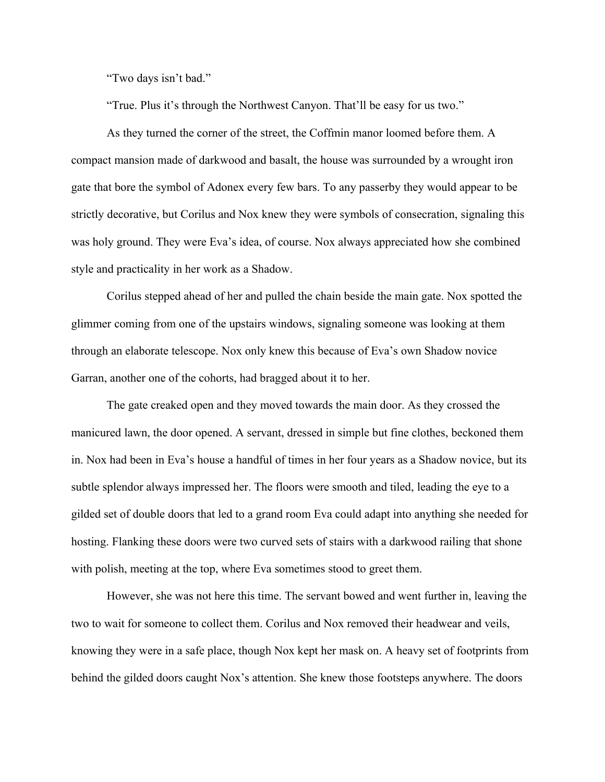"Two days isn't bad."

"True. Plus it's through the Northwest Canyon. That'll be easy for us two."

As they turned the corner of the street, the Coffmin manor loomed before them. A compact mansion made of darkwood and basalt, the house was surrounded by a wrought iron gate that bore the symbol of Adonex every few bars. To any passerby they would appear to be strictly decorative, but Corilus and Nox knew they were symbols of consecration, signaling this was holy ground. They were Eva's idea, of course. Nox always appreciated how she combined style and practicality in her work as a Shadow.

Corilus stepped ahead of her and pulled the chain beside the main gate. Nox spotted the glimmer coming from one of the upstairs windows, signaling someone was looking at them through an elaborate telescope. Nox only knew this because of Eva's own Shadow novice Garran, another one of the cohorts, had bragged about it to her.

The gate creaked open and they moved towards the main door. As they crossed the manicured lawn, the door opened. A servant, dressed in simple but fine clothes, beckoned them in. Nox had been in Eva's house a handful of times in her four years as a Shadow novice, but its subtle splendor always impressed her. The floors were smooth and tiled, leading the eye to a gilded set of double doors that led to a grand room Eva could adapt into anything she needed for hosting. Flanking these doors were two curved sets of stairs with a darkwood railing that shone with polish, meeting at the top, where Eva sometimes stood to greet them.

However, she was not here this time. The servant bowed and went further in, leaving the two to wait for someone to collect them. Corilus and Nox removed their headwear and veils, knowing they were in a safe place, though Nox kept her mask on. A heavy set of footprints from behind the gilded doors caught Nox's attention. She knew those footsteps anywhere. The doors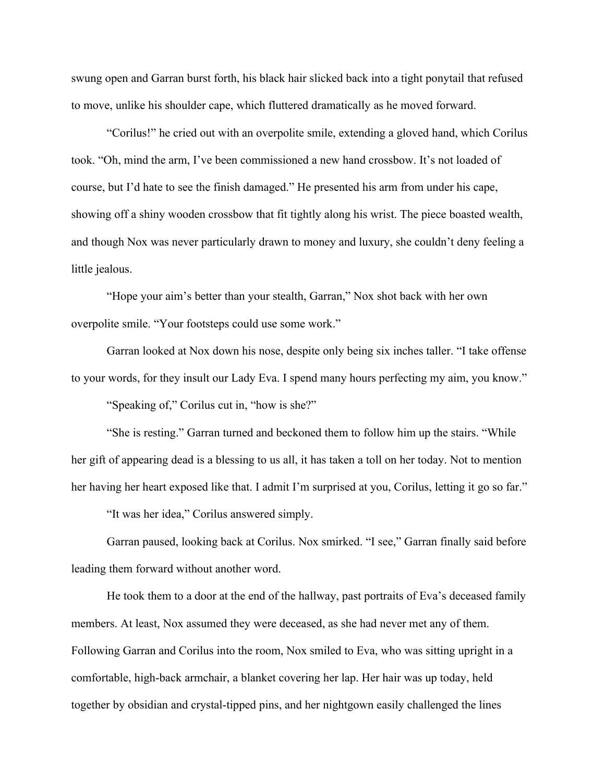swung open and Garran burst forth, his black hair slicked back into a tight ponytail that refused to move, unlike his shoulder cape, which fluttered dramatically as he moved forward.

"Corilus!" he cried out with an overpolite smile, extending a gloved hand, which Corilus took. "Oh, mind the arm, I've been commissioned a new hand crossbow. It's not loaded of course, but I'd hate to see the finish damaged." He presented his arm from under his cape, showing off a shiny wooden crossbow that fit tightly along his wrist. The piece boasted wealth, and though Nox was never particularly drawn to money and luxury, she couldn't deny feeling a little jealous.

"Hope your aim's better than your stealth, Garran," Nox shot back with her own overpolite smile. "Your footsteps could use some work."

Garran looked at Nox down his nose, despite only being six inches taller. "I take offense to your words, for they insult our Lady Eva. I spend many hours perfecting my aim, you know."

"Speaking of," Corilus cut in, "how is she?"

"She is resting." Garran turned and beckoned them to follow him up the stairs. "While her gift of appearing dead is a blessing to us all, it has taken a toll on her today. Not to mention her having her heart exposed like that. I admit I'm surprised at you, Corilus, letting it go so far."

"It was her idea," Corilus answered simply.

Garran paused, looking back at Corilus. Nox smirked. "I see," Garran finally said before leading them forward without another word.

He took them to a door at the end of the hallway, past portraits of Eva's deceased family members. At least, Nox assumed they were deceased, as she had never met any of them. Following Garran and Corilus into the room, Nox smiled to Eva, who was sitting upright in a comfortable, high-back armchair, a blanket covering her lap. Her hair was up today, held together by obsidian and crystal-tipped pins, and her nightgown easily challenged the lines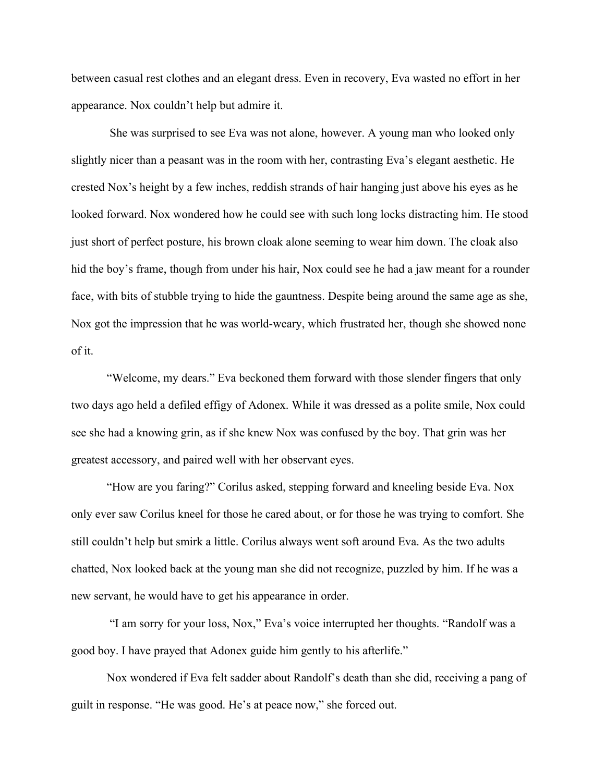between casual rest clothes and an elegant dress. Even in recovery, Eva wasted no effort in her appearance. Nox couldn't help but admire it.

 She was surprised to see Eva was not alone, however. A young man who looked only slightly nicer than a peasant was in the room with her, contrasting Eva's elegant aesthetic. He crested Nox's height by a few inches, reddish strands of hair hanging just above his eyes as he looked forward. Nox wondered how he could see with such long locks distracting him. He stood just short of perfect posture, his brown cloak alone seeming to wear him down. The cloak also hid the boy's frame, though from under his hair, Nox could see he had a jaw meant for a rounder face, with bits of stubble trying to hide the gauntness. Despite being around the same age as she, Nox got the impression that he was world-weary, which frustrated her, though she showed none of it.

"Welcome, my dears." Eva beckoned them forward with those slender fingers that only two days ago held a defiled effigy of Adonex. While it was dressed as a polite smile, Nox could see she had a knowing grin, as if she knew Nox was confused by the boy. That grin was her greatest accessory, and paired well with her observant eyes.

"How are you faring?" Corilus asked, stepping forward and kneeling beside Eva. Nox only ever saw Corilus kneel for those he cared about, or for those he was trying to comfort. She still couldn't help but smirk a little. Corilus always went soft around Eva. As the two adults chatted, Nox looked back at the young man she did not recognize, puzzled by him. If he was a new servant, he would have to get his appearance in order.

 "I am sorry for your loss, Nox," Eva's voice interrupted her thoughts. "Randolf was a good boy. I have prayed that Adonex guide him gently to his afterlife."

Nox wondered if Eva felt sadder about Randolf's death than she did, receiving a pang of guilt in response. "He was good. He's at peace now," she forced out.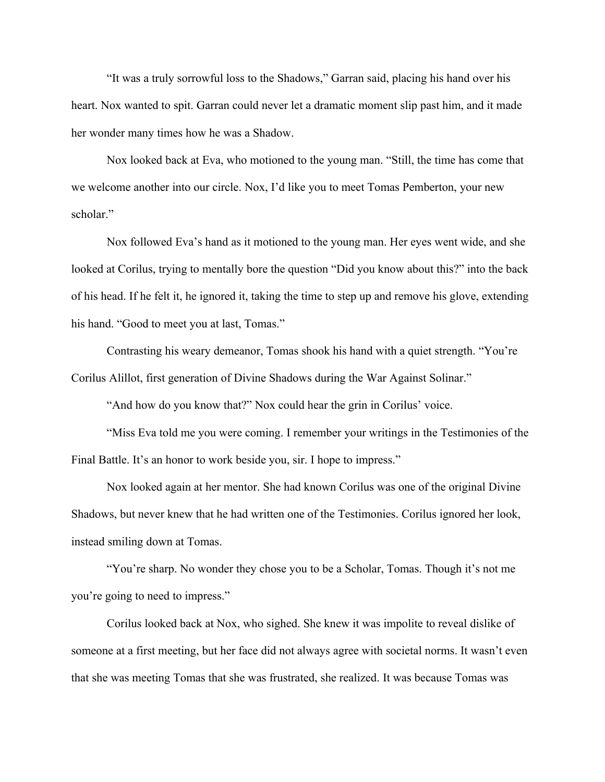"It was a truly sorrowful loss to the Shadows," Garran said, placing his hand over his heart. Nox wanted to spit. Garran could never let a dramatic moment slip past him, and it made her wonder many times how he was a Shadow.

Nox looked back at Eva, who motioned to the young man. "Still, the time has come that we welcome another into our circle. Nox, I'd like you to meet Tomas Pemberton, your new scholar."

Nox followed Eva's hand as it motioned to the young man. Her eyes went wide, and she looked at Corilus, trying to mentally bore the question "Did you know about this?" into the back of his head. If he felt it, he ignored it, taking the time to step up and remove his glove, extending his hand. "Good to meet you at last, Tomas."

Contrasting his weary demeanor, Tomas shook his hand with a quiet strength. "You're Corilus Alillot, first generation of Divine Shadows during the War Against Solinar."

"And how do you know that?" Nox could hear the grin in Corilus' voice.

"Miss Eva told me you were coming. I remember your writings in the Testimonies of the Final Battle. It's an honor to work beside you, sir. I hope to impress."

Nox looked again at her mentor. She had known Corilus was one of the original Divine Shadows, but never knew that he had written one of the Testimonies. Corilus ignored her look, instead smiling down at Tomas.

"You're sharp. No wonder they chose you to be a Scholar, Tomas. Though it's not me you're going to need to impress."

Corilus looked back at Nox, who sighed. She knew it was impolite to reveal dislike of someone at a first meeting, but her face did not always agree with societal norms. It wasn't even that she was meeting Tomas that she was frustrated, she realized. It was because Tomas was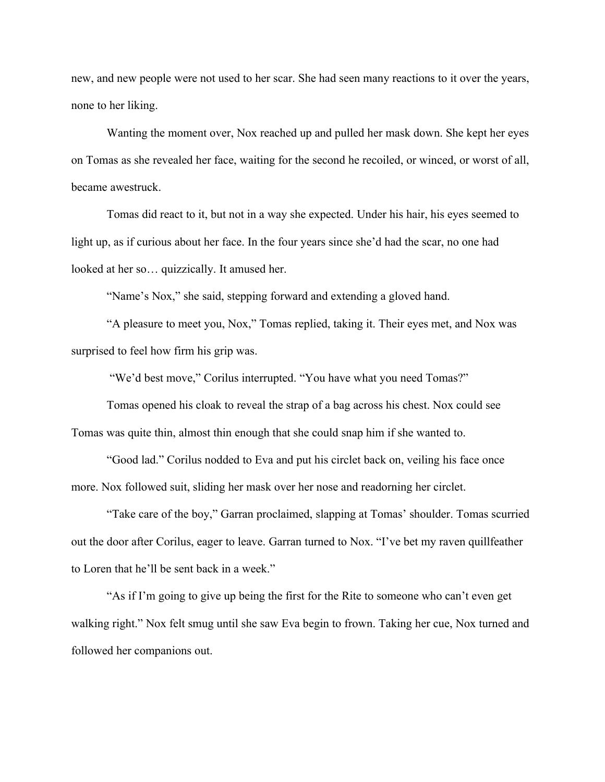new, and new people were not used to her scar. She had seen many reactions to it over the years, none to her liking.

Wanting the moment over, Nox reached up and pulled her mask down. She kept her eyes on Tomas as she revealed her face, waiting for the second he recoiled, or winced, or worst of all, became awestruck.

Tomas did react to it, but not in a way she expected. Under his hair, his eyes seemed to light up, as if curious about her face. In the four years since she'd had the scar, no one had looked at her so… quizzically. It amused her.

"Name's Nox," she said, stepping forward and extending a gloved hand.

"A pleasure to meet you, Nox," Tomas replied, taking it. Their eyes met, and Nox was surprised to feel how firm his grip was.

"We'd best move," Corilus interrupted. "You have what you need Tomas?"

Tomas opened his cloak to reveal the strap of a bag across his chest. Nox could see Tomas was quite thin, almost thin enough that she could snap him if she wanted to.

"Good lad." Corilus nodded to Eva and put his circlet back on, veiling his face once more. Nox followed suit, sliding her mask over her nose and readorning her circlet.

"Take care of the boy," Garran proclaimed, slapping at Tomas' shoulder. Tomas scurried out the door after Corilus, eager to leave. Garran turned to Nox. "I've bet my raven quillfeather to Loren that he'll be sent back in a week."

"As if I'm going to give up being the first for the Rite to someone who can't even get walking right." Nox felt smug until she saw Eva begin to frown. Taking her cue, Nox turned and followed her companions out.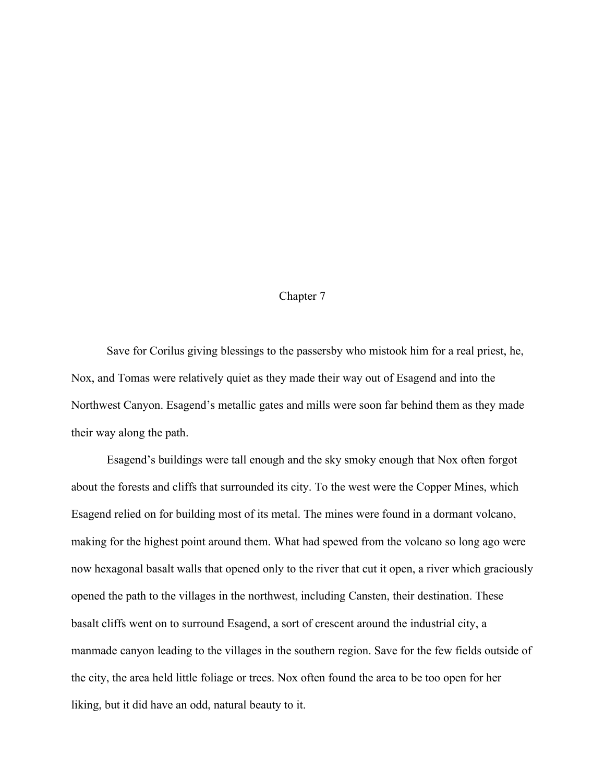## Chapter 7

Save for Corilus giving blessings to the passersby who mistook him for a real priest, he, Nox, and Tomas were relatively quiet as they made their way out of Esagend and into the Northwest Canyon. Esagend's metallic gates and mills were soon far behind them as they made their way along the path.

Esagend's buildings were tall enough and the sky smoky enough that Nox often forgot about the forests and cliffs that surrounded its city. To the west were the Copper Mines, which Esagend relied on for building most of its metal. The mines were found in a dormant volcano, making for the highest point around them. What had spewed from the volcano so long ago were now hexagonal basalt walls that opened only to the river that cut it open, a river which graciously opened the path to the villages in the northwest, including Cansten, their destination. These basalt cliffs went on to surround Esagend, a sort of crescent around the industrial city, a manmade canyon leading to the villages in the southern region. Save for the few fields outside of the city, the area held little foliage or trees. Nox often found the area to be too open for her liking, but it did have an odd, natural beauty to it.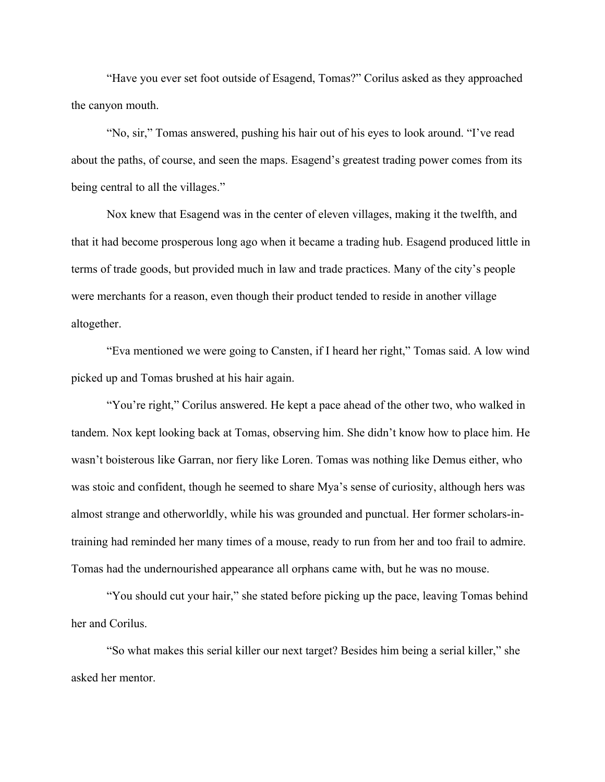"Have you ever set foot outside of Esagend, Tomas?" Corilus asked as they approached the canyon mouth.

"No, sir," Tomas answered, pushing his hair out of his eyes to look around. "I've read about the paths, of course, and seen the maps. Esagend's greatest trading power comes from its being central to all the villages."

Nox knew that Esagend was in the center of eleven villages, making it the twelfth, and that it had become prosperous long ago when it became a trading hub. Esagend produced little in terms of trade goods, but provided much in law and trade practices. Many of the city's people were merchants for a reason, even though their product tended to reside in another village altogether.

"Eva mentioned we were going to Cansten, if I heard her right," Tomas said. A low wind picked up and Tomas brushed at his hair again.

"You're right," Corilus answered. He kept a pace ahead of the other two, who walked in tandem. Nox kept looking back at Tomas, observing him. She didn't know how to place him. He wasn't boisterous like Garran, nor fiery like Loren. Tomas was nothing like Demus either, who was stoic and confident, though he seemed to share Mya's sense of curiosity, although hers was almost strange and otherworldly, while his was grounded and punctual. Her former scholars-intraining had reminded her many times of a mouse, ready to run from her and too frail to admire. Tomas had the undernourished appearance all orphans came with, but he was no mouse.

"You should cut your hair," she stated before picking up the pace, leaving Tomas behind her and Corilus.

"So what makes this serial killer our next target? Besides him being a serial killer," she asked her mentor.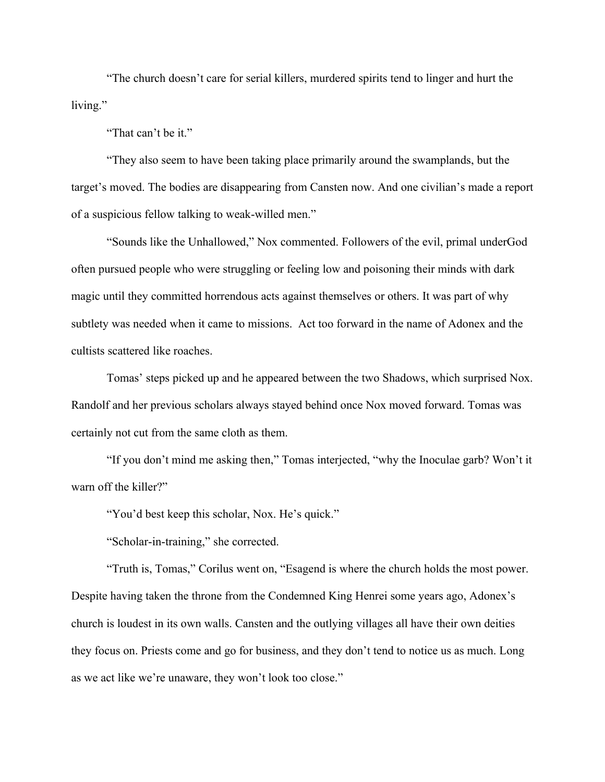"The church doesn't care for serial killers, murdered spirits tend to linger and hurt the living."

"That can't be it."

"They also seem to have been taking place primarily around the swamplands, but the target's moved. The bodies are disappearing from Cansten now. And one civilian's made a report of a suspicious fellow talking to weak-willed men."

"Sounds like the Unhallowed," Nox commented. Followers of the evil, primal underGod often pursued people who were struggling or feeling low and poisoning their minds with dark magic until they committed horrendous acts against themselves or others. It was part of why subtlety was needed when it came to missions. Act too forward in the name of Adonex and the cultists scattered like roaches.

Tomas' steps picked up and he appeared between the two Shadows, which surprised Nox. Randolf and her previous scholars always stayed behind once Nox moved forward. Tomas was certainly not cut from the same cloth as them.

"If you don't mind me asking then," Tomas interjected, "why the Inoculae garb? Won't it warn off the killer?"

"You'd best keep this scholar, Nox. He's quick."

"Scholar-in-training," she corrected.

"Truth is, Tomas," Corilus went on, "Esagend is where the church holds the most power. Despite having taken the throne from the Condemned King Henrei some years ago, Adonex's church is loudest in its own walls. Cansten and the outlying villages all have their own deities they focus on. Priests come and go for business, and they don't tend to notice us as much. Long as we act like we're unaware, they won't look too close."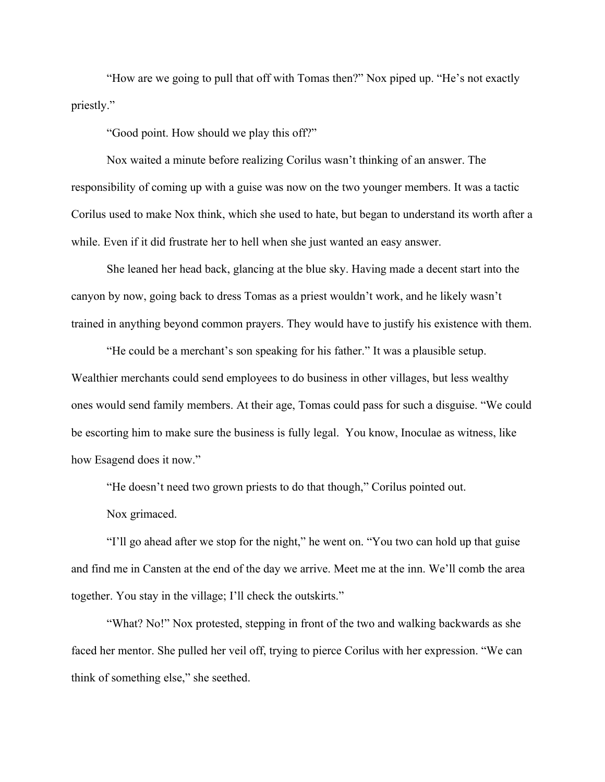"How are we going to pull that off with Tomas then?" Nox piped up. "He's not exactly priestly."

"Good point. How should we play this off?"

Nox waited a minute before realizing Corilus wasn't thinking of an answer. The responsibility of coming up with a guise was now on the two younger members. It was a tactic Corilus used to make Nox think, which she used to hate, but began to understand its worth after a while. Even if it did frustrate her to hell when she just wanted an easy answer.

She leaned her head back, glancing at the blue sky. Having made a decent start into the canyon by now, going back to dress Tomas as a priest wouldn't work, and he likely wasn't trained in anything beyond common prayers. They would have to justify his existence with them.

"He could be a merchant's son speaking for his father." It was a plausible setup. Wealthier merchants could send employees to do business in other villages, but less wealthy ones would send family members. At their age, Tomas could pass for such a disguise. "We could be escorting him to make sure the business is fully legal. You know, Inoculae as witness, like how Esagend does it now."

"He doesn't need two grown priests to do that though," Corilus pointed out.

Nox grimaced.

"I'll go ahead after we stop for the night," he went on. "You two can hold up that guise and find me in Cansten at the end of the day we arrive. Meet me at the inn. We'll comb the area together. You stay in the village; I'll check the outskirts."

"What? No!" Nox protested, stepping in front of the two and walking backwards as she faced her mentor. She pulled her veil off, trying to pierce Corilus with her expression. "We can think of something else," she seethed.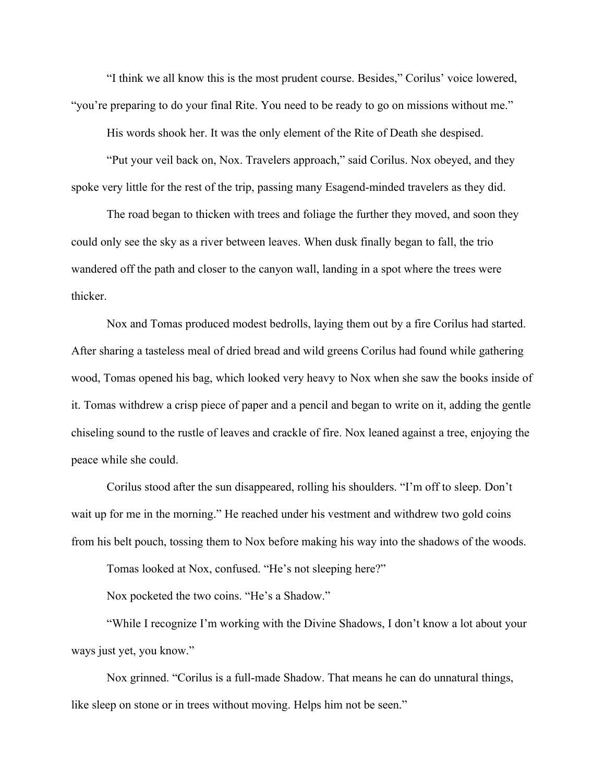"I think we all know this is the most prudent course. Besides," Corilus' voice lowered, "you're preparing to do your final Rite. You need to be ready to go on missions without me."

His words shook her. It was the only element of the Rite of Death she despised.

"Put your veil back on, Nox. Travelers approach," said Corilus. Nox obeyed, and they spoke very little for the rest of the trip, passing many Esagend-minded travelers as they did.

The road began to thicken with trees and foliage the further they moved, and soon they could only see the sky as a river between leaves. When dusk finally began to fall, the trio wandered off the path and closer to the canyon wall, landing in a spot where the trees were thicker.

Nox and Tomas produced modest bedrolls, laying them out by a fire Corilus had started. After sharing a tasteless meal of dried bread and wild greens Corilus had found while gathering wood, Tomas opened his bag, which looked very heavy to Nox when she saw the books inside of it. Tomas withdrew a crisp piece of paper and a pencil and began to write on it, adding the gentle chiseling sound to the rustle of leaves and crackle of fire. Nox leaned against a tree, enjoying the peace while she could.

Corilus stood after the sun disappeared, rolling his shoulders. "I'm off to sleep. Don't wait up for me in the morning." He reached under his vestment and withdrew two gold coins from his belt pouch, tossing them to Nox before making his way into the shadows of the woods.

Tomas looked at Nox, confused. "He's not sleeping here?"

Nox pocketed the two coins. "He's a Shadow."

"While I recognize I'm working with the Divine Shadows, I don't know a lot about your ways just yet, you know."

Nox grinned. "Corilus is a full-made Shadow. That means he can do unnatural things, like sleep on stone or in trees without moving. Helps him not be seen."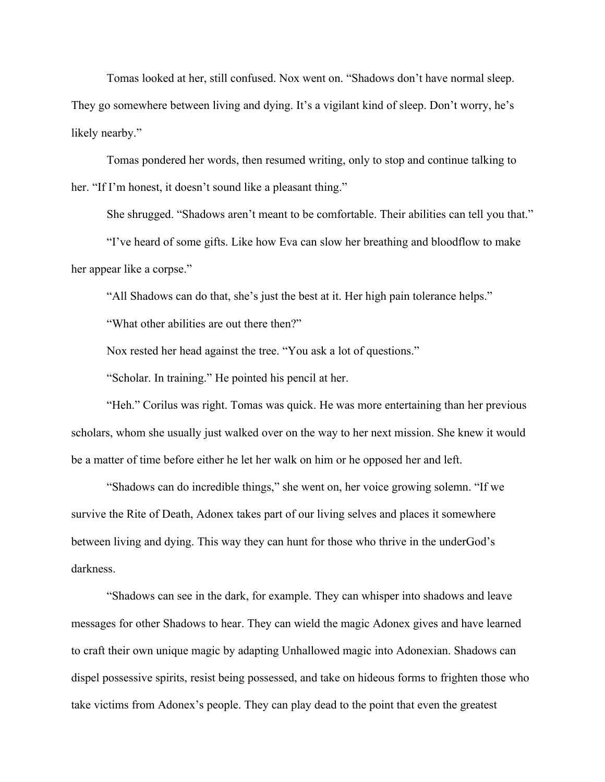Tomas looked at her, still confused. Nox went on. "Shadows don't have normal sleep. They go somewhere between living and dying. It's a vigilant kind of sleep. Don't worry, he's likely nearby."

Tomas pondered her words, then resumed writing, only to stop and continue talking to her. "If I'm honest, it doesn't sound like a pleasant thing."

She shrugged. "Shadows aren't meant to be comfortable. Their abilities can tell you that." "I've heard of some gifts. Like how Eva can slow her breathing and bloodflow to make her appear like a corpse."

"All Shadows can do that, she's just the best at it. Her high pain tolerance helps."

"What other abilities are out there then?"

Nox rested her head against the tree. "You ask a lot of questions."

"Scholar. In training." He pointed his pencil at her.

"Heh." Corilus was right. Tomas was quick. He was more entertaining than her previous scholars, whom she usually just walked over on the way to her next mission. She knew it would be a matter of time before either he let her walk on him or he opposed her and left.

"Shadows can do incredible things," she went on, her voice growing solemn. "If we survive the Rite of Death, Adonex takes part of our living selves and places it somewhere between living and dying. This way they can hunt for those who thrive in the underGod's darkness.

"Shadows can see in the dark, for example. They can whisper into shadows and leave messages for other Shadows to hear. They can wield the magic Adonex gives and have learned to craft their own unique magic by adapting Unhallowed magic into Adonexian. Shadows can dispel possessive spirits, resist being possessed, and take on hideous forms to frighten those who take victims from Adonex's people. They can play dead to the point that even the greatest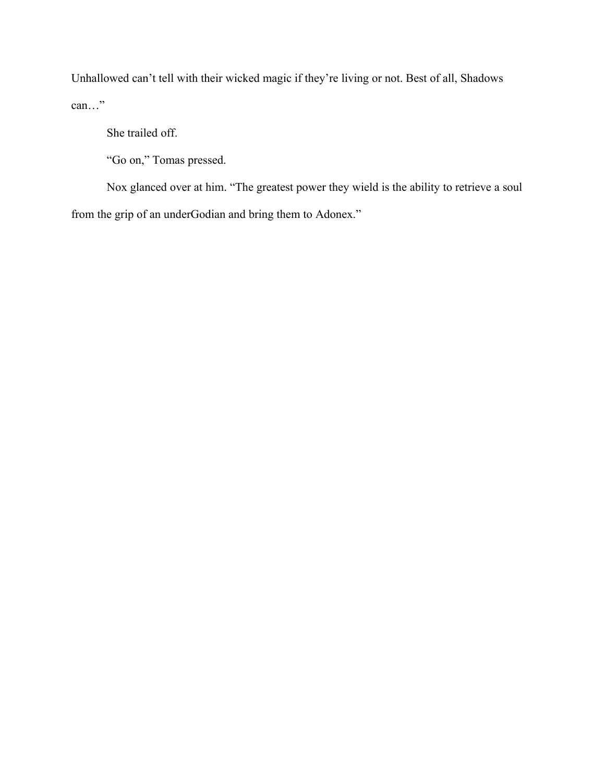Unhallowed can't tell with their wicked magic if they're living or not. Best of all, Shadows can…"

She trailed off.

"Go on," Tomas pressed.

Nox glanced over at him. "The greatest power they wield is the ability to retrieve a soul from the grip of an underGodian and bring them to Adonex."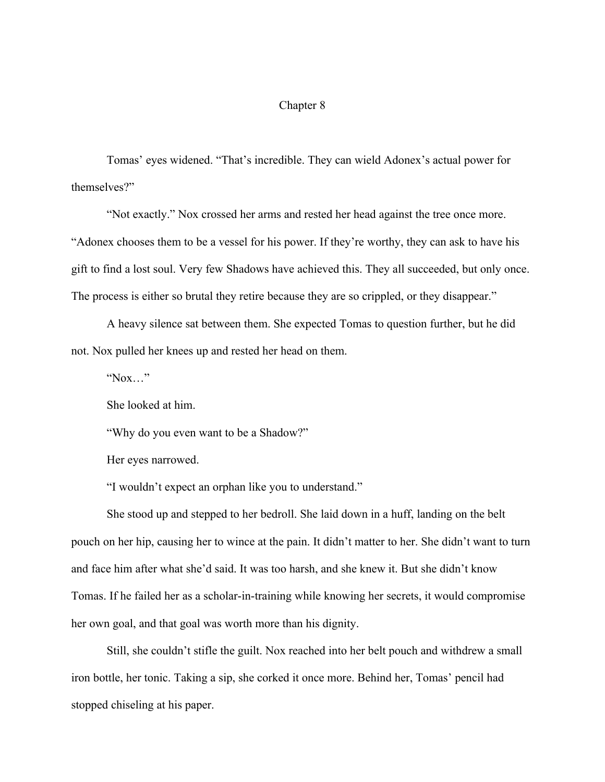## Chapter 8

Tomas' eyes widened. "That's incredible. They can wield Adonex's actual power for themselves?"

"Not exactly." Nox crossed her arms and rested her head against the tree once more. "Adonex chooses them to be a vessel for his power. If they're worthy, they can ask to have his gift to find a lost soul. Very few Shadows have achieved this. They all succeeded, but only once. The process is either so brutal they retire because they are so crippled, or they disappear."

A heavy silence sat between them. She expected Tomas to question further, but he did not. Nox pulled her knees up and rested her head on them.

 $"Now..."$ 

She looked at him.

"Why do you even want to be a Shadow?"

Her eyes narrowed.

"I wouldn't expect an orphan like you to understand."

She stood up and stepped to her bedroll. She laid down in a huff, landing on the belt pouch on her hip, causing her to wince at the pain. It didn't matter to her. She didn't want to turn and face him after what she'd said. It was too harsh, and she knew it. But she didn't know Tomas. If he failed her as a scholar-in-training while knowing her secrets, it would compromise her own goal, and that goal was worth more than his dignity.

Still, she couldn't stifle the guilt. Nox reached into her belt pouch and withdrew a small iron bottle, her tonic. Taking a sip, she corked it once more. Behind her, Tomas' pencil had stopped chiseling at his paper.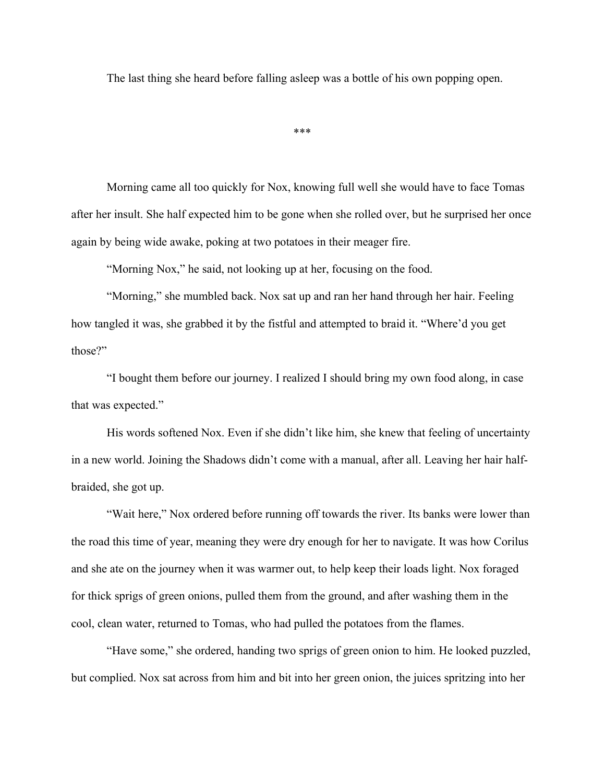The last thing she heard before falling asleep was a bottle of his own popping open.

\*\*\*

Morning came all too quickly for Nox, knowing full well she would have to face Tomas after her insult. She half expected him to be gone when she rolled over, but he surprised her once again by being wide awake, poking at two potatoes in their meager fire.

"Morning Nox," he said, not looking up at her, focusing on the food.

"Morning," she mumbled back. Nox sat up and ran her hand through her hair. Feeling how tangled it was, she grabbed it by the fistful and attempted to braid it. "Where'd you get those?"

"I bought them before our journey. I realized I should bring my own food along, in case that was expected."

His words softened Nox. Even if she didn't like him, she knew that feeling of uncertainty in a new world. Joining the Shadows didn't come with a manual, after all. Leaving her hair halfbraided, she got up.

"Wait here," Nox ordered before running off towards the river. Its banks were lower than the road this time of year, meaning they were dry enough for her to navigate. It was how Corilus and she ate on the journey when it was warmer out, to help keep their loads light. Nox foraged for thick sprigs of green onions, pulled them from the ground, and after washing them in the cool, clean water, returned to Tomas, who had pulled the potatoes from the flames.

"Have some," she ordered, handing two sprigs of green onion to him. He looked puzzled, but complied. Nox sat across from him and bit into her green onion, the juices spritzing into her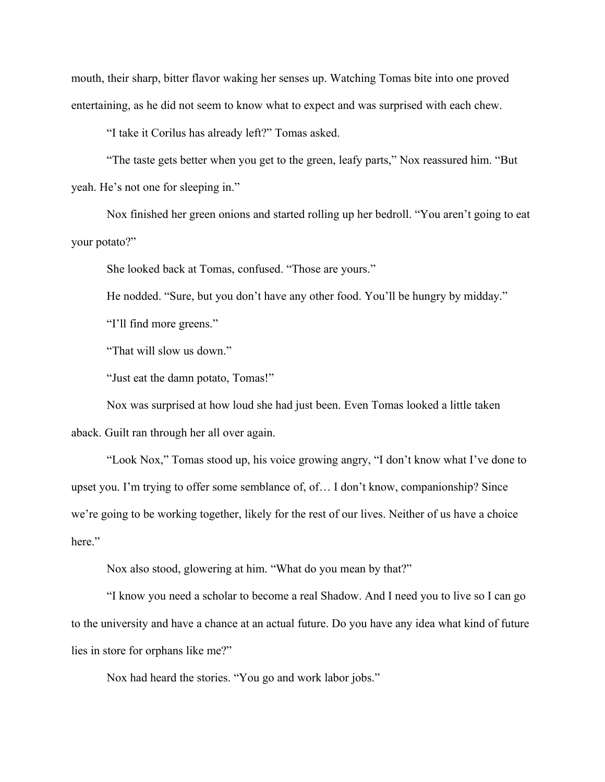mouth, their sharp, bitter flavor waking her senses up. Watching Tomas bite into one proved entertaining, as he did not seem to know what to expect and was surprised with each chew.

"I take it Corilus has already left?" Tomas asked.

"The taste gets better when you get to the green, leafy parts," Nox reassured him. "But yeah. He's not one for sleeping in."

Nox finished her green onions and started rolling up her bedroll. "You aren't going to eat your potato?"

She looked back at Tomas, confused. "Those are yours."

He nodded. "Sure, but you don't have any other food. You'll be hungry by midday."

"I'll find more greens."

"That will slow us down."

"Just eat the damn potato, Tomas!"

Nox was surprised at how loud she had just been. Even Tomas looked a little taken aback. Guilt ran through her all over again.

"Look Nox," Tomas stood up, his voice growing angry, "I don't know what I've done to upset you. I'm trying to offer some semblance of, of… I don't know, companionship? Since we're going to be working together, likely for the rest of our lives. Neither of us have a choice here."

Nox also stood, glowering at him. "What do you mean by that?"

"I know you need a scholar to become a real Shadow. And I need you to live so I can go to the university and have a chance at an actual future. Do you have any idea what kind of future lies in store for orphans like me?"

Nox had heard the stories. "You go and work labor jobs."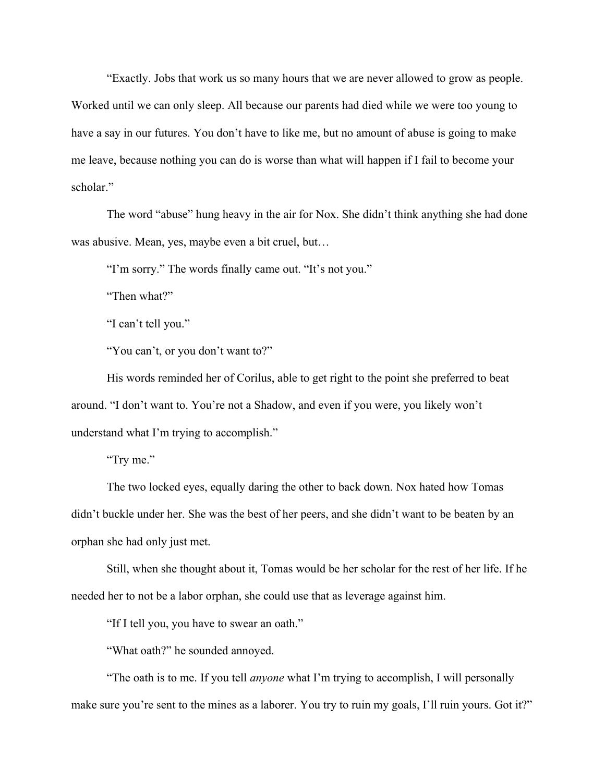"Exactly. Jobs that work us so many hours that we are never allowed to grow as people. Worked until we can only sleep. All because our parents had died while we were too young to have a say in our futures. You don't have to like me, but no amount of abuse is going to make me leave, because nothing you can do is worse than what will happen if I fail to become your scholar"

The word "abuse" hung heavy in the air for Nox. She didn't think anything she had done was abusive. Mean, yes, maybe even a bit cruel, but…

"I'm sorry." The words finally came out. "It's not you."

"Then what?"

"I can't tell you."

"You can't, or you don't want to?"

His words reminded her of Corilus, able to get right to the point she preferred to beat around. "I don't want to. You're not a Shadow, and even if you were, you likely won't understand what I'm trying to accomplish."

"Try me."

The two locked eyes, equally daring the other to back down. Nox hated how Tomas didn't buckle under her. She was the best of her peers, and she didn't want to be beaten by an orphan she had only just met.

Still, when she thought about it, Tomas would be her scholar for the rest of her life. If he needed her to not be a labor orphan, she could use that as leverage against him.

"If I tell you, you have to swear an oath."

"What oath?" he sounded annoyed.

"The oath is to me. If you tell *anyone* what I'm trying to accomplish, I will personally make sure you're sent to the mines as a laborer. You try to ruin my goals, I'll ruin yours. Got it?"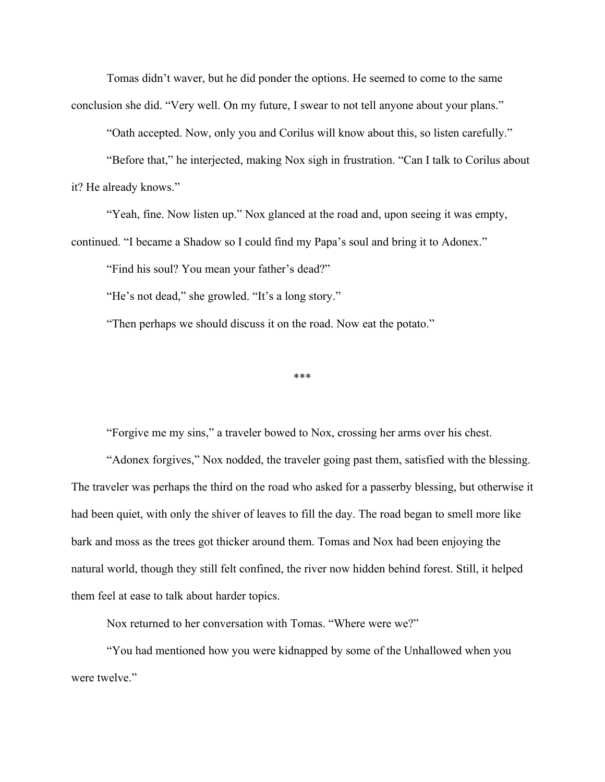Tomas didn't waver, but he did ponder the options. He seemed to come to the same conclusion she did. "Very well. On my future, I swear to not tell anyone about your plans."

"Oath accepted. Now, only you and Corilus will know about this, so listen carefully."

"Before that," he interjected, making Nox sigh in frustration. "Can I talk to Corilus about it? He already knows."

"Yeah, fine. Now listen up." Nox glanced at the road and, upon seeing it was empty, continued. "I became a Shadow so I could find my Papa's soul and bring it to Adonex."

"Find his soul? You mean your father's dead?"

"He's not dead," she growled. "It's a long story."

"Then perhaps we should discuss it on the road. Now eat the potato."

\*\*\*

"Forgive me my sins," a traveler bowed to Nox, crossing her arms over his chest.

"Adonex forgives," Nox nodded, the traveler going past them, satisfied with the blessing. The traveler was perhaps the third on the road who asked for a passerby blessing, but otherwise it had been quiet, with only the shiver of leaves to fill the day. The road began to smell more like bark and moss as the trees got thicker around them. Tomas and Nox had been enjoying the natural world, though they still felt confined, the river now hidden behind forest. Still, it helped them feel at ease to talk about harder topics.

Nox returned to her conversation with Tomas. "Where were we?"

"You had mentioned how you were kidnapped by some of the Unhallowed when you were twelve."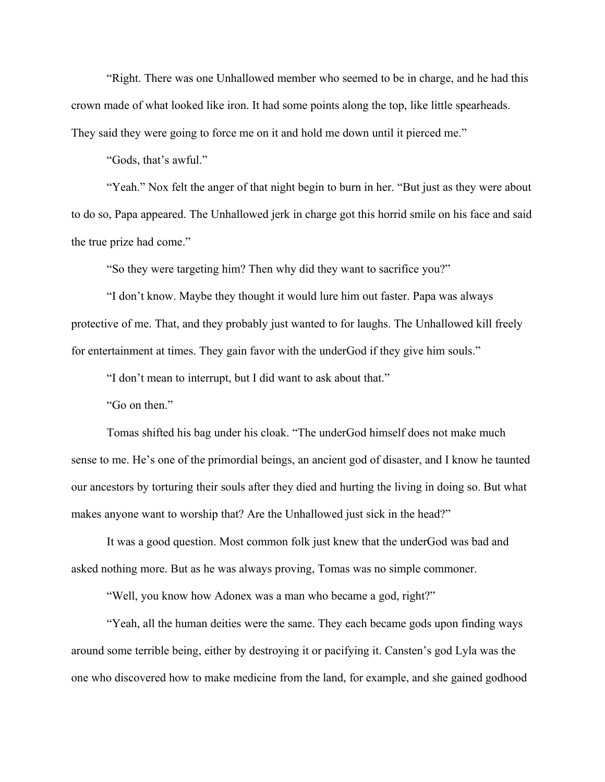"Right. There was one Unhallowed member who seemed to be in charge, and he had this crown made of what looked like iron. It had some points along the top, like little spearheads. They said they were going to force me on it and hold me down until it pierced me."

"Gods, that's awful."

"Yeah." Nox felt the anger of that night begin to burn in her. "But just as they were about to do so, Papa appeared. The Unhallowed jerk in charge got this horrid smile on his face and said the true prize had come."

"So they were targeting him? Then why did they want to sacrifice you?"

"I don't know. Maybe they thought it would lure him out faster. Papa was always protective of me. That, and they probably just wanted to for laughs. The Unhallowed kill freely for entertainment at times. They gain favor with the underGod if they give him souls."

"I don't mean to interrupt, but I did want to ask about that."

"Go on then."

Tomas shifted his bag under his cloak. "The underGod himself does not make much sense to me. He's one of the primordial beings, an ancient god of disaster, and I know he taunted our ancestors by torturing their souls after they died and hurting the living in doing so. But what makes anyone want to worship that? Are the Unhallowed just sick in the head?"

It was a good question. Most common folk just knew that the underGod was bad and asked nothing more. But as he was always proving, Tomas was no simple commoner.

"Well, you know how Adonex was a man who became a god, right?"

"Yeah, all the human deities were the same. They each became gods upon finding ways around some terrible being, either by destroying it or pacifying it. Cansten's god Lyla was the one who discovered how to make medicine from the land, for example, and she gained godhood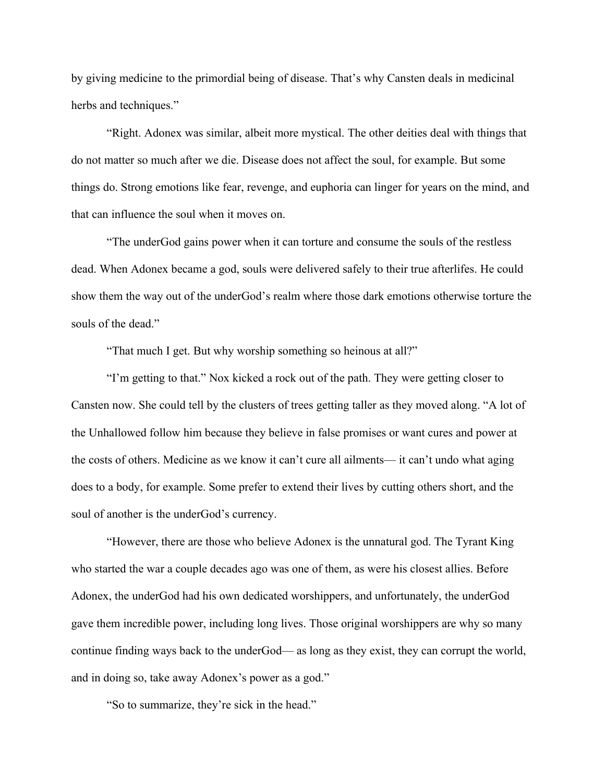by giving medicine to the primordial being of disease. That's why Cansten deals in medicinal herbs and techniques."

"Right. Adonex was similar, albeit more mystical. The other deities deal with things that do not matter so much after we die. Disease does not affect the soul, for example. But some things do. Strong emotions like fear, revenge, and euphoria can linger for years on the mind, and that can influence the soul when it moves on.

"The underGod gains power when it can torture and consume the souls of the restless dead. When Adonex became a god, souls were delivered safely to their true afterlifes. He could show them the way out of the underGod's realm where those dark emotions otherwise torture the souls of the dead."

"That much I get. But why worship something so heinous at all?"

"I'm getting to that." Nox kicked a rock out of the path. They were getting closer to Cansten now. She could tell by the clusters of trees getting taller as they moved along. "A lot of the Unhallowed follow him because they believe in false promises or want cures and power at the costs of others. Medicine as we know it can't cure all ailments— it can't undo what aging does to a body, for example. Some prefer to extend their lives by cutting others short, and the soul of another is the underGod's currency.

"However, there are those who believe Adonex is the unnatural god. The Tyrant King who started the war a couple decades ago was one of them, as were his closest allies. Before Adonex, the underGod had his own dedicated worshippers, and unfortunately, the underGod gave them incredible power, including long lives. Those original worshippers are why so many continue finding ways back to the underGod— as long as they exist, they can corrupt the world, and in doing so, take away Adonex's power as a god."

"So to summarize, they're sick in the head."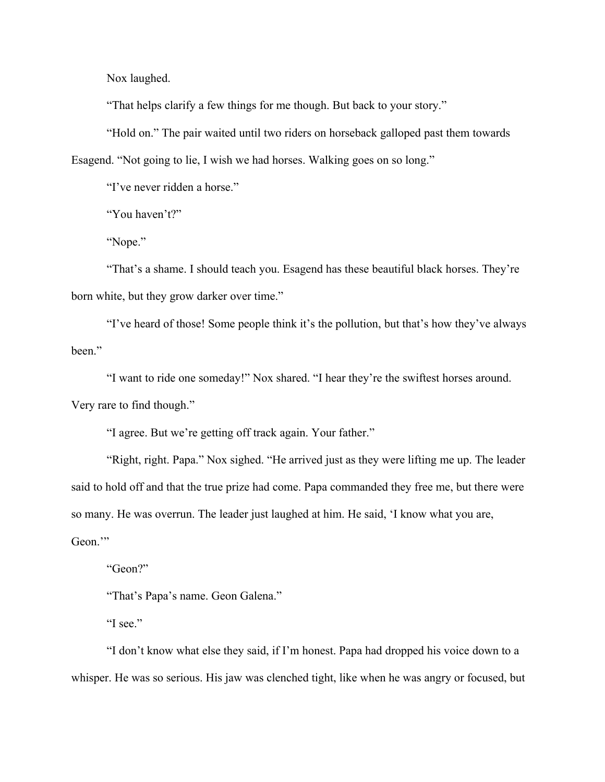Nox laughed.

"That helps clarify a few things for me though. But back to your story."

"Hold on." The pair waited until two riders on horseback galloped past them towards Esagend. "Not going to lie, I wish we had horses. Walking goes on so long."

"I've never ridden a horse."

"You haven't?"

"Nope."

"That's a shame. I should teach you. Esagend has these beautiful black horses. They're born white, but they grow darker over time."

"I've heard of those! Some people think it's the pollution, but that's how they've always been."

"I want to ride one someday!" Nox shared. "I hear they're the swiftest horses around.

Very rare to find though."

"I agree. But we're getting off track again. Your father."

"Right, right. Papa." Nox sighed. "He arrived just as they were lifting me up. The leader said to hold off and that the true prize had come. Papa commanded they free me, but there were so many. He was overrun. The leader just laughed at him. He said, 'I know what you are, Geon."

"Geon?"

"That's Papa's name. Geon Galena."

"I see."

"I don't know what else they said, if I'm honest. Papa had dropped his voice down to a whisper. He was so serious. His jaw was clenched tight, like when he was angry or focused, but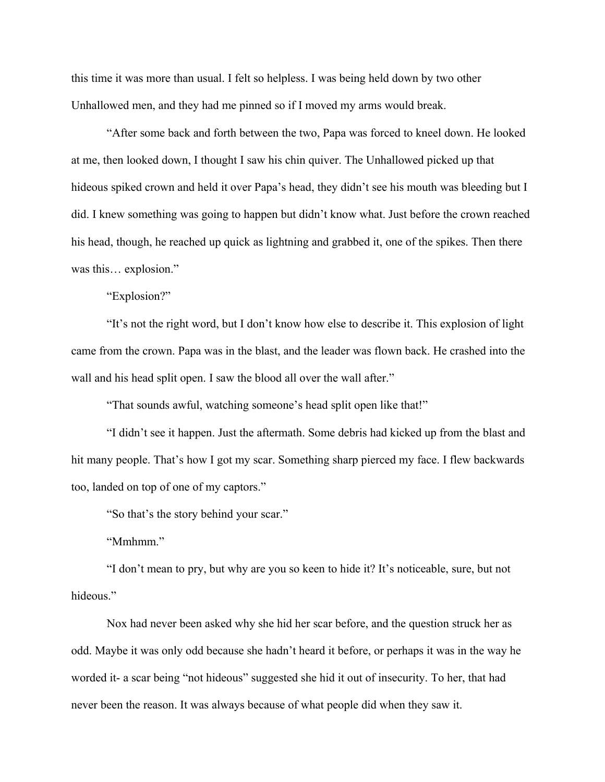this time it was more than usual. I felt so helpless. I was being held down by two other Unhallowed men, and they had me pinned so if I moved my arms would break.

"After some back and forth between the two, Papa was forced to kneel down. He looked at me, then looked down, I thought I saw his chin quiver. The Unhallowed picked up that hideous spiked crown and held it over Papa's head, they didn't see his mouth was bleeding but I did. I knew something was going to happen but didn't know what. Just before the crown reached his head, though, he reached up quick as lightning and grabbed it, one of the spikes. Then there was this… explosion."

"Explosion?"

"It's not the right word, but I don't know how else to describe it. This explosion of light came from the crown. Papa was in the blast, and the leader was flown back. He crashed into the wall and his head split open. I saw the blood all over the wall after."

"That sounds awful, watching someone's head split open like that!"

"I didn't see it happen. Just the aftermath. Some debris had kicked up from the blast and hit many people. That's how I got my scar. Something sharp pierced my face. I flew backwards too, landed on top of one of my captors."

"So that's the story behind your scar."

"Mmhmm."

"I don't mean to pry, but why are you so keen to hide it? It's noticeable, sure, but not hideous."

Nox had never been asked why she hid her scar before, and the question struck her as odd. Maybe it was only odd because she hadn't heard it before, or perhaps it was in the way he worded it- a scar being "not hideous" suggested she hid it out of insecurity. To her, that had never been the reason. It was always because of what people did when they saw it.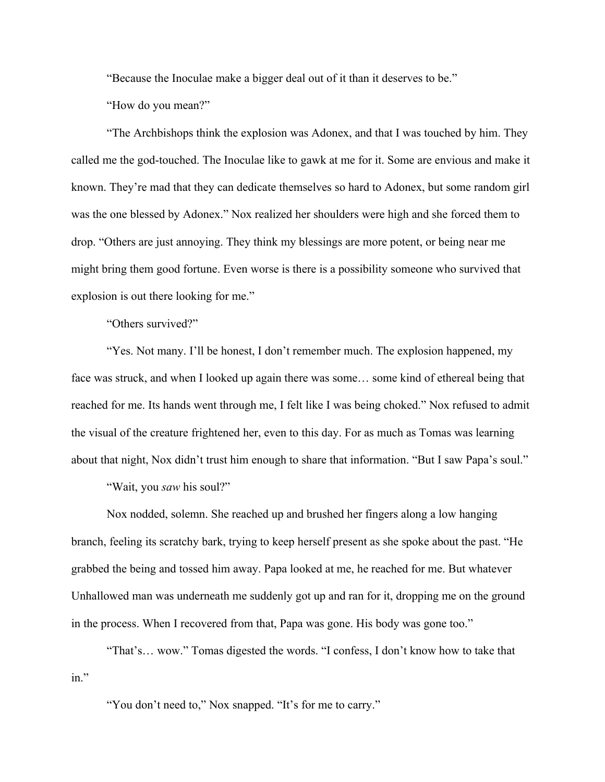"Because the Inoculae make a bigger deal out of it than it deserves to be."

"How do you mean?"

"The Archbishops think the explosion was Adonex, and that I was touched by him. They called me the god-touched. The Inoculae like to gawk at me for it. Some are envious and make it known. They're mad that they can dedicate themselves so hard to Adonex, but some random girl was the one blessed by Adonex." Nox realized her shoulders were high and she forced them to drop. "Others are just annoying. They think my blessings are more potent, or being near me might bring them good fortune. Even worse is there is a possibility someone who survived that explosion is out there looking for me."

"Others survived?"

"Yes. Not many. I'll be honest, I don't remember much. The explosion happened, my face was struck, and when I looked up again there was some... some kind of ethereal being that reached for me. Its hands went through me, I felt like I was being choked." Nox refused to admit the visual of the creature frightened her, even to this day. For as much as Tomas was learning about that night, Nox didn't trust him enough to share that information. "But I saw Papa's soul."

"Wait, you *saw* his soul?"

Nox nodded, solemn. She reached up and brushed her fingers along a low hanging branch, feeling its scratchy bark, trying to keep herself present as she spoke about the past. "He grabbed the being and tossed him away. Papa looked at me, he reached for me. But whatever Unhallowed man was underneath me suddenly got up and ran for it, dropping me on the ground in the process. When I recovered from that, Papa was gone. His body was gone too."

"That's… wow." Tomas digested the words. "I confess, I don't know how to take that in."

"You don't need to," Nox snapped. "It's for me to carry."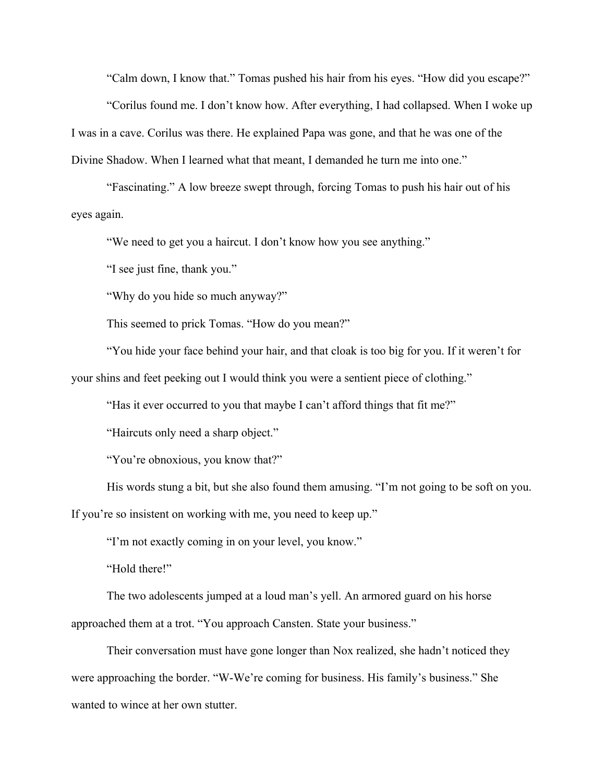"Calm down, I know that." Tomas pushed his hair from his eyes. "How did you escape?"

"Corilus found me. I don't know how. After everything, I had collapsed. When I woke up I was in a cave. Corilus was there. He explained Papa was gone, and that he was one of the Divine Shadow. When I learned what that meant, I demanded he turn me into one."

"Fascinating." A low breeze swept through, forcing Tomas to push his hair out of his eyes again.

"We need to get you a haircut. I don't know how you see anything."

"I see just fine, thank you."

"Why do you hide so much anyway?"

This seemed to prick Tomas. "How do you mean?"

"You hide your face behind your hair, and that cloak is too big for you. If it weren't for your shins and feet peeking out I would think you were a sentient piece of clothing."

"Has it ever occurred to you that maybe I can't afford things that fit me?"

"Haircuts only need a sharp object."

"You're obnoxious, you know that?"

His words stung a bit, but she also found them amusing. "I'm not going to be soft on you.

If you're so insistent on working with me, you need to keep up."

"I'm not exactly coming in on your level, you know."

"Hold there!"

The two adolescents jumped at a loud man's yell. An armored guard on his horse approached them at a trot. "You approach Cansten. State your business."

Their conversation must have gone longer than Nox realized, she hadn't noticed they were approaching the border. "W-We're coming for business. His family's business." She wanted to wince at her own stutter.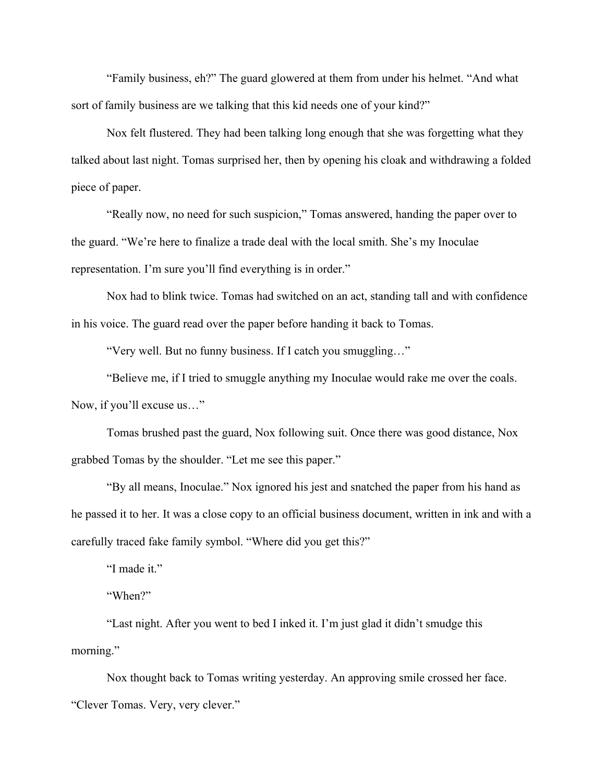"Family business, eh?" The guard glowered at them from under his helmet. "And what sort of family business are we talking that this kid needs one of your kind?"

Nox felt flustered. They had been talking long enough that she was forgetting what they talked about last night. Tomas surprised her, then by opening his cloak and withdrawing a folded piece of paper.

"Really now, no need for such suspicion," Tomas answered, handing the paper over to the guard. "We're here to finalize a trade deal with the local smith. She's my Inoculae representation. I'm sure you'll find everything is in order."

Nox had to blink twice. Tomas had switched on an act, standing tall and with confidence in his voice. The guard read over the paper before handing it back to Tomas.

"Very well. But no funny business. If I catch you smuggling…"

"Believe me, if I tried to smuggle anything my Inoculae would rake me over the coals. Now, if you'll excuse us…"

Tomas brushed past the guard, Nox following suit. Once there was good distance, Nox grabbed Tomas by the shoulder. "Let me see this paper."

"By all means, Inoculae." Nox ignored his jest and snatched the paper from his hand as he passed it to her. It was a close copy to an official business document, written in ink and with a carefully traced fake family symbol. "Where did you get this?"

"I made it."

"When?"

"Last night. After you went to bed I inked it. I'm just glad it didn't smudge this morning."

Nox thought back to Tomas writing yesterday. An approving smile crossed her face. "Clever Tomas. Very, very clever."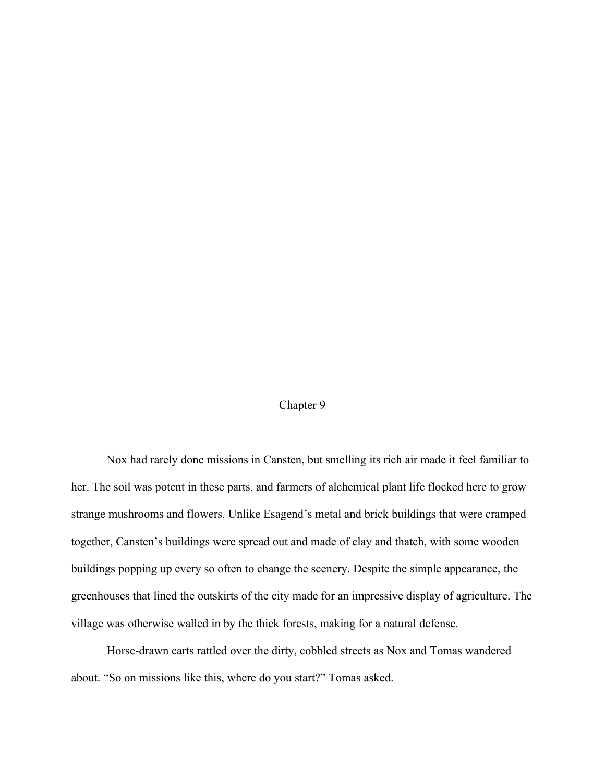## Chapter 9

Nox had rarely done missions in Cansten, but smelling its rich air made it feel familiar to her. The soil was potent in these parts, and farmers of alchemical plant life flocked here to grow strange mushrooms and flowers. Unlike Esagend's metal and brick buildings that were cramped together, Cansten's buildings were spread out and made of clay and thatch, with some wooden buildings popping up every so often to change the scenery. Despite the simple appearance, the greenhouses that lined the outskirts of the city made for an impressive display of agriculture. The village was otherwise walled in by the thick forests, making for a natural defense.

Horse-drawn carts rattled over the dirty, cobbled streets as Nox and Tomas wandered about. "So on missions like this, where do you start?" Tomas asked.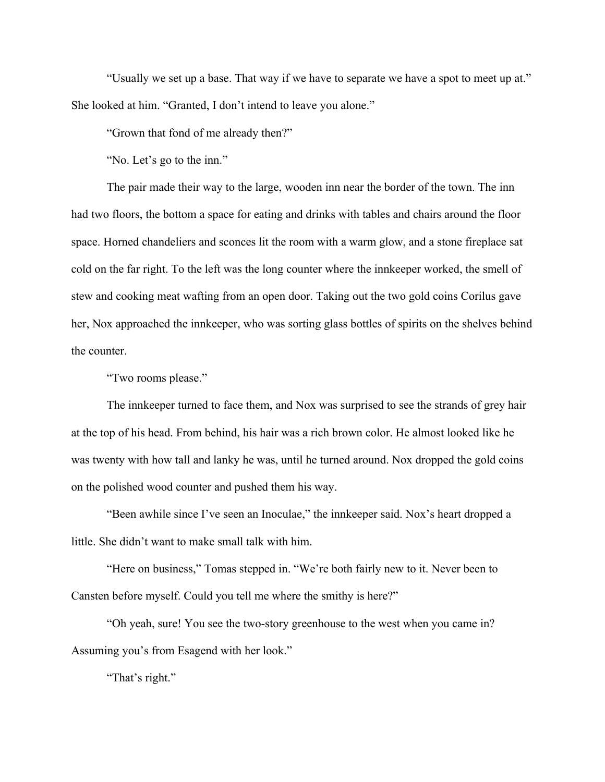"Usually we set up a base. That way if we have to separate we have a spot to meet up at." She looked at him. "Granted, I don't intend to leave you alone."

"Grown that fond of me already then?"

"No. Let's go to the inn."

The pair made their way to the large, wooden inn near the border of the town. The inn had two floors, the bottom a space for eating and drinks with tables and chairs around the floor space. Horned chandeliers and sconces lit the room with a warm glow, and a stone fireplace sat cold on the far right. To the left was the long counter where the innkeeper worked, the smell of stew and cooking meat wafting from an open door. Taking out the two gold coins Corilus gave her, Nox approached the innkeeper, who was sorting glass bottles of spirits on the shelves behind the counter.

"Two rooms please."

The innkeeper turned to face them, and Nox was surprised to see the strands of grey hair at the top of his head. From behind, his hair was a rich brown color. He almost looked like he was twenty with how tall and lanky he was, until he turned around. Nox dropped the gold coins on the polished wood counter and pushed them his way.

"Been awhile since I've seen an Inoculae," the innkeeper said. Nox's heart dropped a little. She didn't want to make small talk with him.

"Here on business," Tomas stepped in. "We're both fairly new to it. Never been to Cansten before myself. Could you tell me where the smithy is here?"

"Oh yeah, sure! You see the two-story greenhouse to the west when you came in? Assuming you's from Esagend with her look."

"That's right."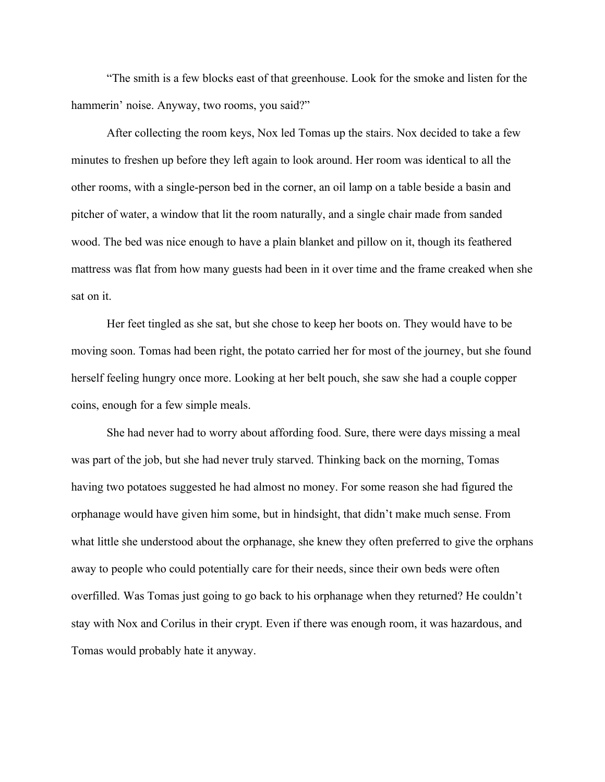"The smith is a few blocks east of that greenhouse. Look for the smoke and listen for the hammerin' noise. Anyway, two rooms, you said?"

After collecting the room keys, Nox led Tomas up the stairs. Nox decided to take a few minutes to freshen up before they left again to look around. Her room was identical to all the other rooms, with a single-person bed in the corner, an oil lamp on a table beside a basin and pitcher of water, a window that lit the room naturally, and a single chair made from sanded wood. The bed was nice enough to have a plain blanket and pillow on it, though its feathered mattress was flat from how many guests had been in it over time and the frame creaked when she sat on it.

Her feet tingled as she sat, but she chose to keep her boots on. They would have to be moving soon. Tomas had been right, the potato carried her for most of the journey, but she found herself feeling hungry once more. Looking at her belt pouch, she saw she had a couple copper coins, enough for a few simple meals.

She had never had to worry about affording food. Sure, there were days missing a meal was part of the job, but she had never truly starved. Thinking back on the morning, Tomas having two potatoes suggested he had almost no money. For some reason she had figured the orphanage would have given him some, but in hindsight, that didn't make much sense. From what little she understood about the orphanage, she knew they often preferred to give the orphans away to people who could potentially care for their needs, since their own beds were often overfilled. Was Tomas just going to go back to his orphanage when they returned? He couldn't stay with Nox and Corilus in their crypt. Even if there was enough room, it was hazardous, and Tomas would probably hate it anyway.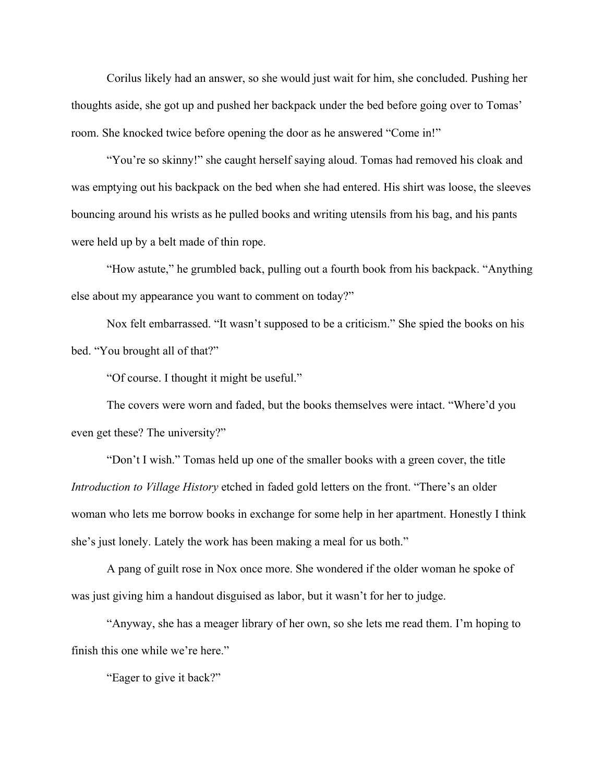Corilus likely had an answer, so she would just wait for him, she concluded. Pushing her thoughts aside, she got up and pushed her backpack under the bed before going over to Tomas' room. She knocked twice before opening the door as he answered "Come in!"

"You're so skinny!" she caught herself saying aloud. Tomas had removed his cloak and was emptying out his backpack on the bed when she had entered. His shirt was loose, the sleeves bouncing around his wrists as he pulled books and writing utensils from his bag, and his pants were held up by a belt made of thin rope.

"How astute," he grumbled back, pulling out a fourth book from his backpack. "Anything else about my appearance you want to comment on today?"

Nox felt embarrassed. "It wasn't supposed to be a criticism." She spied the books on his bed. "You brought all of that?"

"Of course. I thought it might be useful."

The covers were worn and faded, but the books themselves were intact. "Where'd you even get these? The university?"

"Don't I wish." Tomas held up one of the smaller books with a green cover, the title *Introduction to Village History* etched in faded gold letters on the front. "There's an older woman who lets me borrow books in exchange for some help in her apartment. Honestly I think she's just lonely. Lately the work has been making a meal for us both."

A pang of guilt rose in Nox once more. She wondered if the older woman he spoke of was just giving him a handout disguised as labor, but it wasn't for her to judge.

"Anyway, she has a meager library of her own, so she lets me read them. I'm hoping to finish this one while we're here."

"Eager to give it back?"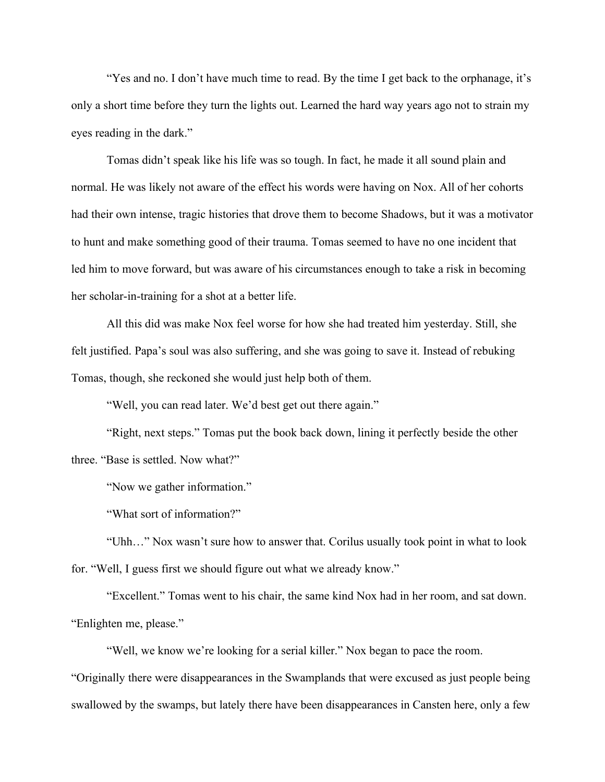"Yes and no. I don't have much time to read. By the time I get back to the orphanage, it's only a short time before they turn the lights out. Learned the hard way years ago not to strain my eyes reading in the dark."

Tomas didn't speak like his life was so tough. In fact, he made it all sound plain and normal. He was likely not aware of the effect his words were having on Nox. All of her cohorts had their own intense, tragic histories that drove them to become Shadows, but it was a motivator to hunt and make something good of their trauma. Tomas seemed to have no one incident that led him to move forward, but was aware of his circumstances enough to take a risk in becoming her scholar-in-training for a shot at a better life.

All this did was make Nox feel worse for how she had treated him yesterday. Still, she felt justified. Papa's soul was also suffering, and she was going to save it. Instead of rebuking Tomas, though, she reckoned she would just help both of them.

"Well, you can read later. We'd best get out there again."

"Right, next steps." Tomas put the book back down, lining it perfectly beside the other three. "Base is settled. Now what?"

"Now we gather information."

"What sort of information?"

"Uhh…" Nox wasn't sure how to answer that. Corilus usually took point in what to look for. "Well, I guess first we should figure out what we already know."

"Excellent." Tomas went to his chair, the same kind Nox had in her room, and sat down. "Enlighten me, please."

"Well, we know we're looking for a serial killer." Nox began to pace the room.

"Originally there were disappearances in the Swamplands that were excused as just people being swallowed by the swamps, but lately there have been disappearances in Cansten here, only a few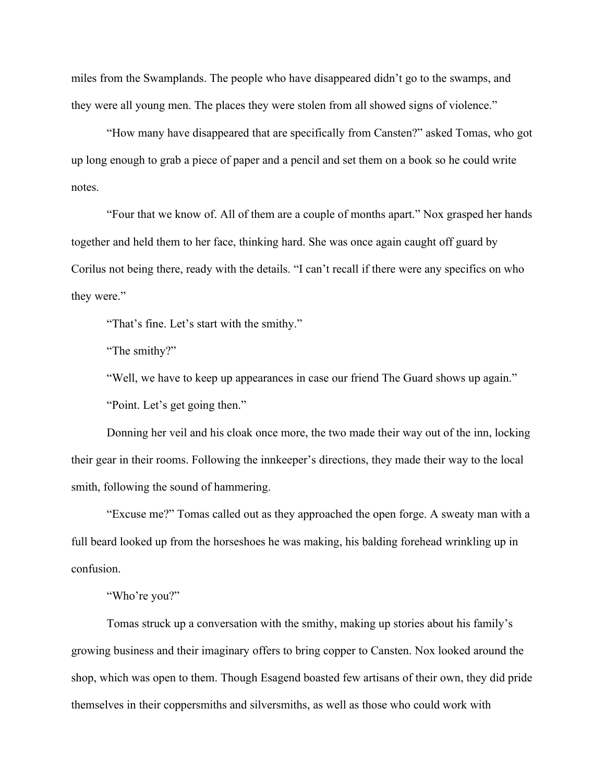miles from the Swamplands. The people who have disappeared didn't go to the swamps, and they were all young men. The places they were stolen from all showed signs of violence."

"How many have disappeared that are specifically from Cansten?" asked Tomas, who got up long enough to grab a piece of paper and a pencil and set them on a book so he could write notes.

"Four that we know of. All of them are a couple of months apart." Nox grasped her hands together and held them to her face, thinking hard. She was once again caught off guard by Corilus not being there, ready with the details. "I can't recall if there were any specifics on who they were."

"That's fine. Let's start with the smithy."

"The smithy?"

"Well, we have to keep up appearances in case our friend The Guard shows up again."

"Point. Let's get going then."

Donning her veil and his cloak once more, the two made their way out of the inn, locking their gear in their rooms. Following the innkeeper's directions, they made their way to the local smith, following the sound of hammering.

"Excuse me?" Tomas called out as they approached the open forge. A sweaty man with a full beard looked up from the horseshoes he was making, his balding forehead wrinkling up in confusion.

"Who're you?"

Tomas struck up a conversation with the smithy, making up stories about his family's growing business and their imaginary offers to bring copper to Cansten. Nox looked around the shop, which was open to them. Though Esagend boasted few artisans of their own, they did pride themselves in their coppersmiths and silversmiths, as well as those who could work with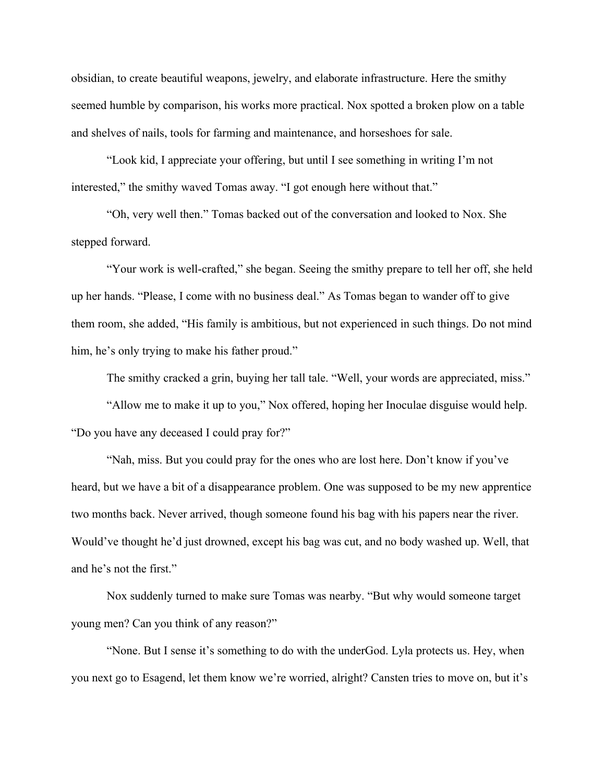obsidian, to create beautiful weapons, jewelry, and elaborate infrastructure. Here the smithy seemed humble by comparison, his works more practical. Nox spotted a broken plow on a table and shelves of nails, tools for farming and maintenance, and horseshoes for sale.

"Look kid, I appreciate your offering, but until I see something in writing I'm not interested," the smithy waved Tomas away. "I got enough here without that."

"Oh, very well then." Tomas backed out of the conversation and looked to Nox. She stepped forward.

"Your work is well-crafted," she began. Seeing the smithy prepare to tell her off, she held up her hands. "Please, I come with no business deal." As Tomas began to wander off to give them room, she added, "His family is ambitious, but not experienced in such things. Do not mind him, he's only trying to make his father proud."

The smithy cracked a grin, buying her tall tale. "Well, your words are appreciated, miss."

"Allow me to make it up to you," Nox offered, hoping her Inoculae disguise would help. "Do you have any deceased I could pray for?"

"Nah, miss. But you could pray for the ones who are lost here. Don't know if you've heard, but we have a bit of a disappearance problem. One was supposed to be my new apprentice two months back. Never arrived, though someone found his bag with his papers near the river. Would've thought he'd just drowned, except his bag was cut, and no body washed up. Well, that and he's not the first."

Nox suddenly turned to make sure Tomas was nearby. "But why would someone target young men? Can you think of any reason?"

"None. But I sense it's something to do with the underGod. Lyla protects us. Hey, when you next go to Esagend, let them know we're worried, alright? Cansten tries to move on, but it's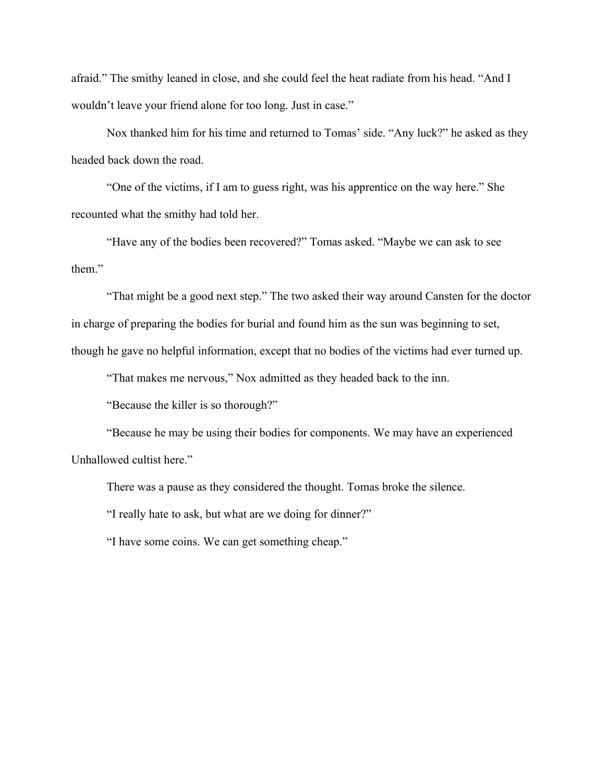afraid." The smithy leaned in close, and she could feel the heat radiate from his head. "And I wouldn't leave your friend alone for too long. Just in case."

Nox thanked him for his time and returned to Tomas' side. "Any luck?" he asked as they headed back down the road.

"One of the victims, if I am to guess right, was his apprentice on the way here." She recounted what the smithy had told her.

"Have any of the bodies been recovered?" Tomas asked. "Maybe we can ask to see them."

"That might be a good next step." The two asked their way around Cansten for the doctor in charge of preparing the bodies for burial and found him as the sun was beginning to set, though he gave no helpful information, except that no bodies of the victims had ever turned up.

"That makes me nervous," Nox admitted as they headed back to the inn.

"Because the killer is so thorough?"

"Because he may be using their bodies for components. We may have an experienced Unhallowed cultist here."

There was a pause as they considered the thought. Tomas broke the silence.

"I really hate to ask, but what are we doing for dinner?"

"I have some coins. We can get something cheap."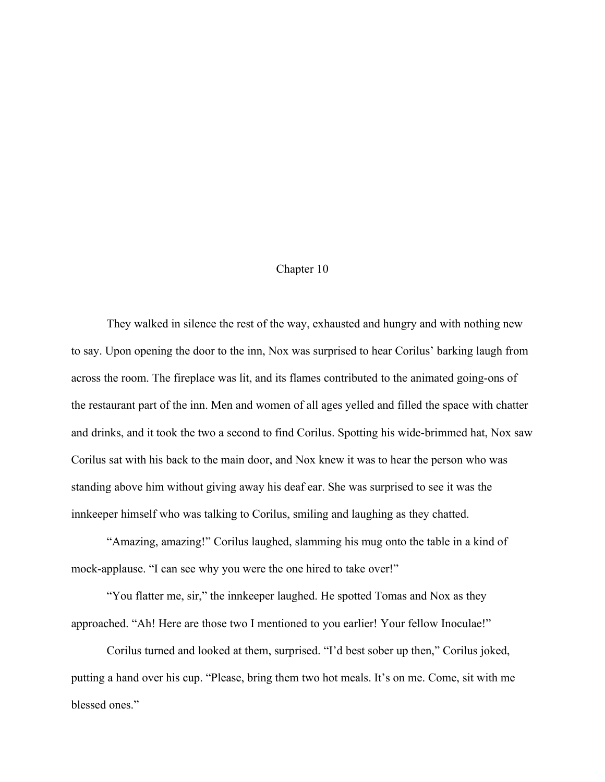## Chapter 10

They walked in silence the rest of the way, exhausted and hungry and with nothing new to say. Upon opening the door to the inn, Nox was surprised to hear Corilus' barking laugh from across the room. The fireplace was lit, and its flames contributed to the animated going-ons of the restaurant part of the inn. Men and women of all ages yelled and filled the space with chatter and drinks, and it took the two a second to find Corilus. Spotting his wide-brimmed hat, Nox saw Corilus sat with his back to the main door, and Nox knew it was to hear the person who was standing above him without giving away his deaf ear. She was surprised to see it was the innkeeper himself who was talking to Corilus, smiling and laughing as they chatted.

"Amazing, amazing!" Corilus laughed, slamming his mug onto the table in a kind of mock-applause. "I can see why you were the one hired to take over!"

"You flatter me, sir," the innkeeper laughed. He spotted Tomas and Nox as they approached. "Ah! Here are those two I mentioned to you earlier! Your fellow Inoculae!"

Corilus turned and looked at them, surprised. "I'd best sober up then," Corilus joked, putting a hand over his cup. "Please, bring them two hot meals. It's on me. Come, sit with me blessed ones."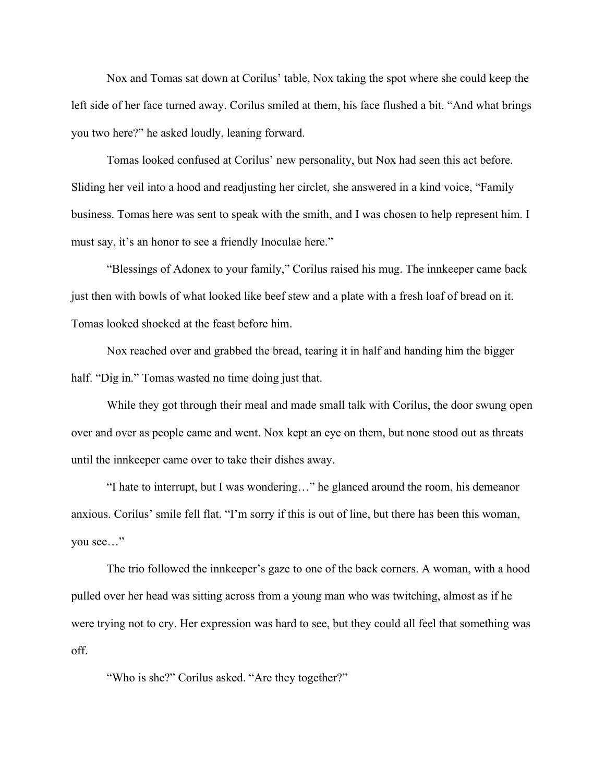Nox and Tomas sat down at Corilus' table, Nox taking the spot where she could keep the left side of her face turned away. Corilus smiled at them, his face flushed a bit. "And what brings you two here?" he asked loudly, leaning forward.

Tomas looked confused at Corilus' new personality, but Nox had seen this act before. Sliding her veil into a hood and readjusting her circlet, she answered in a kind voice, "Family business. Tomas here was sent to speak with the smith, and I was chosen to help represent him. I must say, it's an honor to see a friendly Inoculae here."

"Blessings of Adonex to your family," Corilus raised his mug. The innkeeper came back just then with bowls of what looked like beef stew and a plate with a fresh loaf of bread on it. Tomas looked shocked at the feast before him.

Nox reached over and grabbed the bread, tearing it in half and handing him the bigger half. "Dig in." Tomas wasted no time doing just that.

While they got through their meal and made small talk with Corilus, the door swung open over and over as people came and went. Nox kept an eye on them, but none stood out as threats until the innkeeper came over to take their dishes away.

"I hate to interrupt, but I was wondering…" he glanced around the room, his demeanor anxious. Corilus' smile fell flat. "I'm sorry if this is out of line, but there has been this woman, you see…"

The trio followed the innkeeper's gaze to one of the back corners. A woman, with a hood pulled over her head was sitting across from a young man who was twitching, almost as if he were trying not to cry. Her expression was hard to see, but they could all feel that something was off.

"Who is she?" Corilus asked. "Are they together?"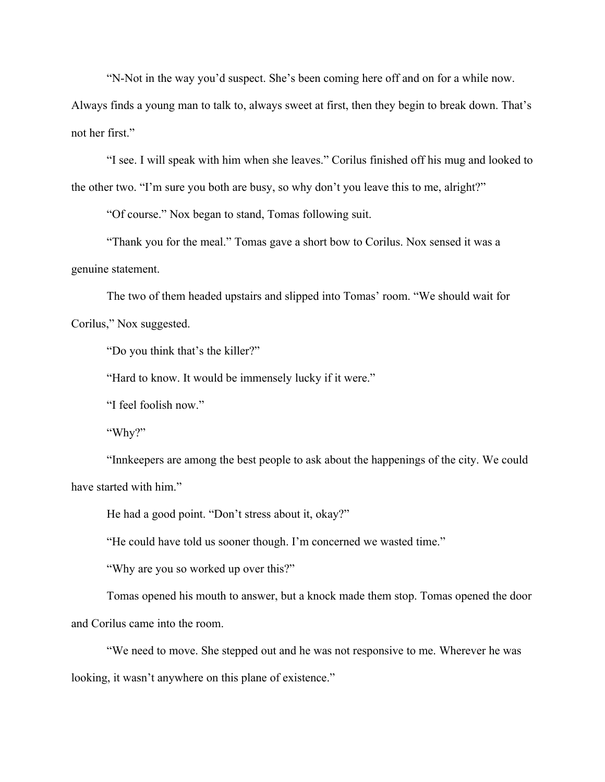"N-Not in the way you'd suspect. She's been coming here off and on for a while now.

Always finds a young man to talk to, always sweet at first, then they begin to break down. That's not her first."

"I see. I will speak with him when she leaves." Corilus finished off his mug and looked to the other two. "I'm sure you both are busy, so why don't you leave this to me, alright?"

"Of course." Nox began to stand, Tomas following suit.

"Thank you for the meal." Tomas gave a short bow to Corilus. Nox sensed it was a genuine statement.

The two of them headed upstairs and slipped into Tomas' room. "We should wait for Corilus," Nox suggested.

"Do you think that's the killer?"

"Hard to know. It would be immensely lucky if it were."

"I feel foolish now."

"Why?"

"Innkeepers are among the best people to ask about the happenings of the city. We could have started with him."

He had a good point. "Don't stress about it, okay?"

"He could have told us sooner though. I'm concerned we wasted time."

"Why are you so worked up over this?"

Tomas opened his mouth to answer, but a knock made them stop. Tomas opened the door and Corilus came into the room.

"We need to move. She stepped out and he was not responsive to me. Wherever he was looking, it wasn't anywhere on this plane of existence."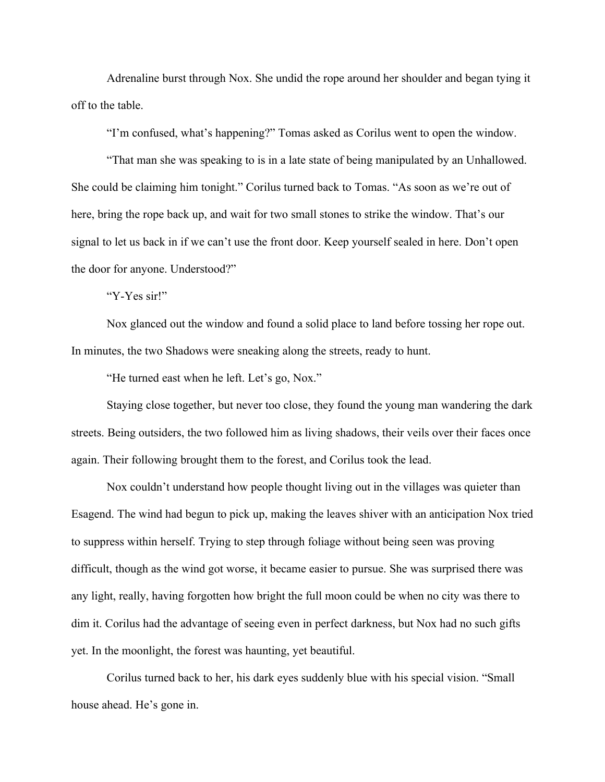Adrenaline burst through Nox. She undid the rope around her shoulder and began tying it off to the table.

"I'm confused, what's happening?" Tomas asked as Corilus went to open the window.

"That man she was speaking to is in a late state of being manipulated by an Unhallowed. She could be claiming him tonight." Corilus turned back to Tomas. "As soon as we're out of here, bring the rope back up, and wait for two small stones to strike the window. That's our signal to let us back in if we can't use the front door. Keep yourself sealed in here. Don't open the door for anyone. Understood?"

"Y-Yes sir!"

Nox glanced out the window and found a solid place to land before tossing her rope out. In minutes, the two Shadows were sneaking along the streets, ready to hunt.

"He turned east when he left. Let's go, Nox."

Staying close together, but never too close, they found the young man wandering the dark streets. Being outsiders, the two followed him as living shadows, their veils over their faces once again. Their following brought them to the forest, and Corilus took the lead.

Nox couldn't understand how people thought living out in the villages was quieter than Esagend. The wind had begun to pick up, making the leaves shiver with an anticipation Nox tried to suppress within herself. Trying to step through foliage without being seen was proving difficult, though as the wind got worse, it became easier to pursue. She was surprised there was any light, really, having forgotten how bright the full moon could be when no city was there to dim it. Corilus had the advantage of seeing even in perfect darkness, but Nox had no such gifts yet. In the moonlight, the forest was haunting, yet beautiful.

Corilus turned back to her, his dark eyes suddenly blue with his special vision. "Small house ahead. He's gone in.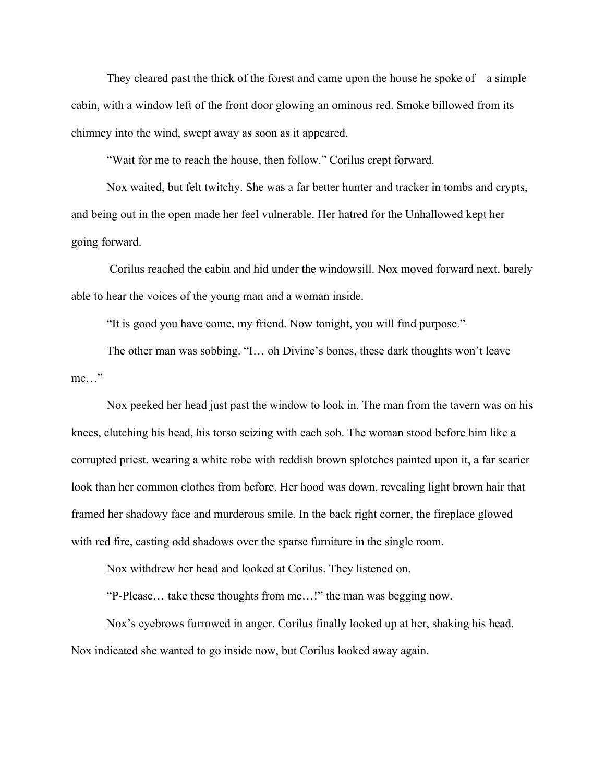They cleared past the thick of the forest and came upon the house he spoke of—a simple cabin, with a window left of the front door glowing an ominous red. Smoke billowed from its chimney into the wind, swept away as soon as it appeared.

"Wait for me to reach the house, then follow." Corilus crept forward.

Nox waited, but felt twitchy. She was a far better hunter and tracker in tombs and crypts, and being out in the open made her feel vulnerable. Her hatred for the Unhallowed kept her going forward.

 Corilus reached the cabin and hid under the windowsill. Nox moved forward next, barely able to hear the voices of the young man and a woman inside.

"It is good you have come, my friend. Now tonight, you will find purpose."

The other man was sobbing. "I… oh Divine's bones, these dark thoughts won't leave me…"

Nox peeked her head just past the window to look in. The man from the tavern was on his knees, clutching his head, his torso seizing with each sob. The woman stood before him like a corrupted priest, wearing a white robe with reddish brown splotches painted upon it, a far scarier look than her common clothes from before. Her hood was down, revealing light brown hair that framed her shadowy face and murderous smile. In the back right corner, the fireplace glowed with red fire, casting odd shadows over the sparse furniture in the single room.

Nox withdrew her head and looked at Corilus. They listened on.

"P-Please… take these thoughts from me…!" the man was begging now.

Nox's eyebrows furrowed in anger. Corilus finally looked up at her, shaking his head. Nox indicated she wanted to go inside now, but Corilus looked away again.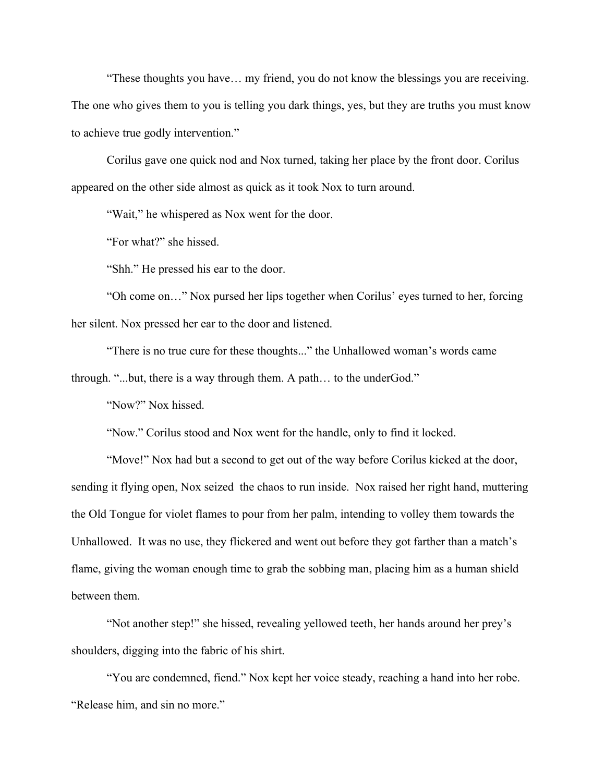"These thoughts you have… my friend, you do not know the blessings you are receiving. The one who gives them to you is telling you dark things, yes, but they are truths you must know to achieve true godly intervention."

Corilus gave one quick nod and Nox turned, taking her place by the front door. Corilus appeared on the other side almost as quick as it took Nox to turn around.

"Wait," he whispered as Nox went for the door.

"For what?" she hissed.

"Shh." He pressed his ear to the door.

"Oh come on…" Nox pursed her lips together when Corilus' eyes turned to her, forcing her silent. Nox pressed her ear to the door and listened.

"There is no true cure for these thoughts..." the Unhallowed woman's words came through. "...but, there is a way through them. A path… to the underGod."

"Now?" Nox hissed.

"Now." Corilus stood and Nox went for the handle, only to find it locked.

"Move!" Nox had but a second to get out of the way before Corilus kicked at the door, sending it flying open, Nox seized the chaos to run inside. Nox raised her right hand, muttering the Old Tongue for violet flames to pour from her palm, intending to volley them towards the Unhallowed. It was no use, they flickered and went out before they got farther than a match's flame, giving the woman enough time to grab the sobbing man, placing him as a human shield between them.

"Not another step!" she hissed, revealing yellowed teeth, her hands around her prey's shoulders, digging into the fabric of his shirt.

"You are condemned, fiend." Nox kept her voice steady, reaching a hand into her robe. "Release him, and sin no more."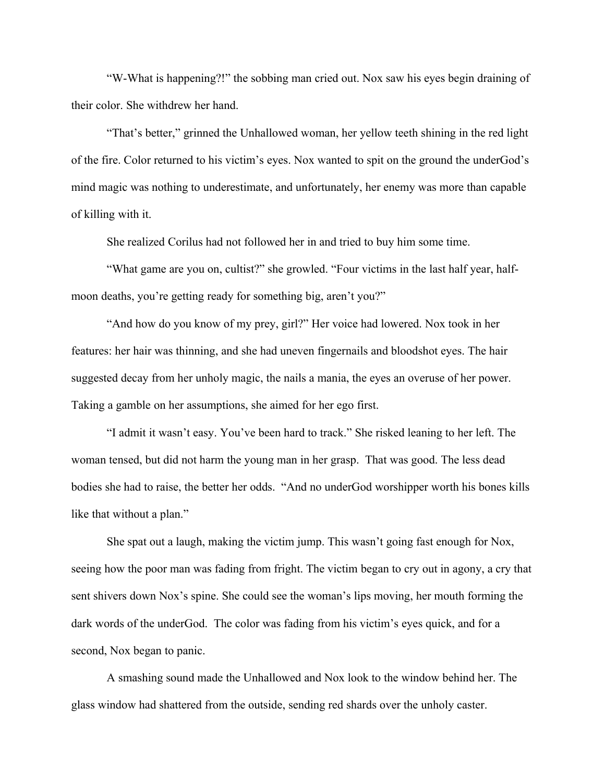"W-What is happening?!" the sobbing man cried out. Nox saw his eyes begin draining of their color. She withdrew her hand.

"That's better," grinned the Unhallowed woman, her yellow teeth shining in the red light of the fire. Color returned to his victim's eyes. Nox wanted to spit on the ground the underGod's mind magic was nothing to underestimate, and unfortunately, her enemy was more than capable of killing with it.

She realized Corilus had not followed her in and tried to buy him some time.

"What game are you on, cultist?" she growled. "Four victims in the last half year, halfmoon deaths, you're getting ready for something big, aren't you?"

"And how do you know of my prey, girl?" Her voice had lowered. Nox took in her features: her hair was thinning, and she had uneven fingernails and bloodshot eyes. The hair suggested decay from her unholy magic, the nails a mania, the eyes an overuse of her power. Taking a gamble on her assumptions, she aimed for her ego first.

"I admit it wasn't easy. You've been hard to track." She risked leaning to her left. The woman tensed, but did not harm the young man in her grasp. That was good. The less dead bodies she had to raise, the better her odds. "And no underGod worshipper worth his bones kills like that without a plan."

She spat out a laugh, making the victim jump. This wasn't going fast enough for Nox, seeing how the poor man was fading from fright. The victim began to cry out in agony, a cry that sent shivers down Nox's spine. She could see the woman's lips moving, her mouth forming the dark words of the underGod. The color was fading from his victim's eyes quick, and for a second, Nox began to panic.

A smashing sound made the Unhallowed and Nox look to the window behind her. The glass window had shattered from the outside, sending red shards over the unholy caster.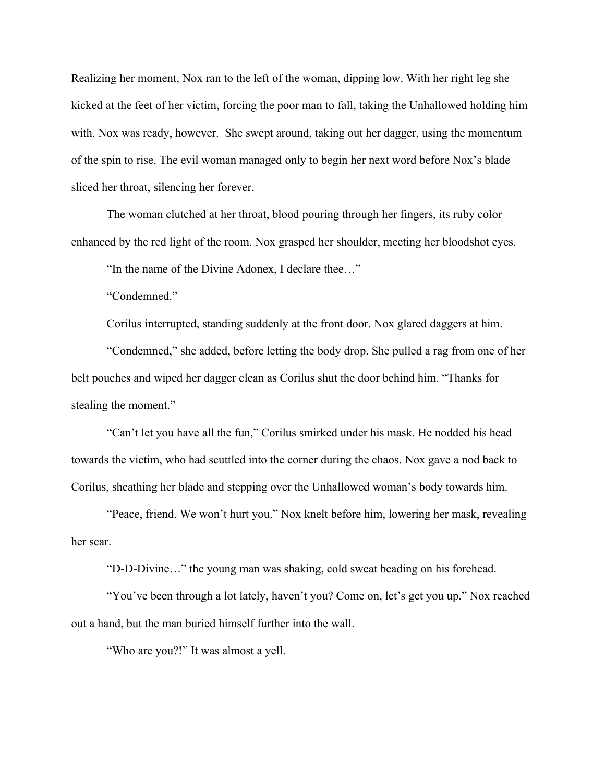Realizing her moment, Nox ran to the left of the woman, dipping low. With her right leg she kicked at the feet of her victim, forcing the poor man to fall, taking the Unhallowed holding him with. Nox was ready, however. She swept around, taking out her dagger, using the momentum of the spin to rise. The evil woman managed only to begin her next word before Nox's blade sliced her throat, silencing her forever.

The woman clutched at her throat, blood pouring through her fingers, its ruby color enhanced by the red light of the room. Nox grasped her shoulder, meeting her bloodshot eyes.

"In the name of the Divine Adonex, I declare thee…"

"Condemned."

Corilus interrupted, standing suddenly at the front door. Nox glared daggers at him.

"Condemned," she added, before letting the body drop. She pulled a rag from one of her belt pouches and wiped her dagger clean as Corilus shut the door behind him. "Thanks for stealing the moment."

"Can't let you have all the fun," Corilus smirked under his mask. He nodded his head towards the victim, who had scuttled into the corner during the chaos. Nox gave a nod back to Corilus, sheathing her blade and stepping over the Unhallowed woman's body towards him.

"Peace, friend. We won't hurt you." Nox knelt before him, lowering her mask, revealing her scar.

"D-D-Divine…" the young man was shaking, cold sweat beading on his forehead.

"You've been through a lot lately, haven't you? Come on, let's get you up." Nox reached out a hand, but the man buried himself further into the wall.

"Who are you?!" It was almost a yell.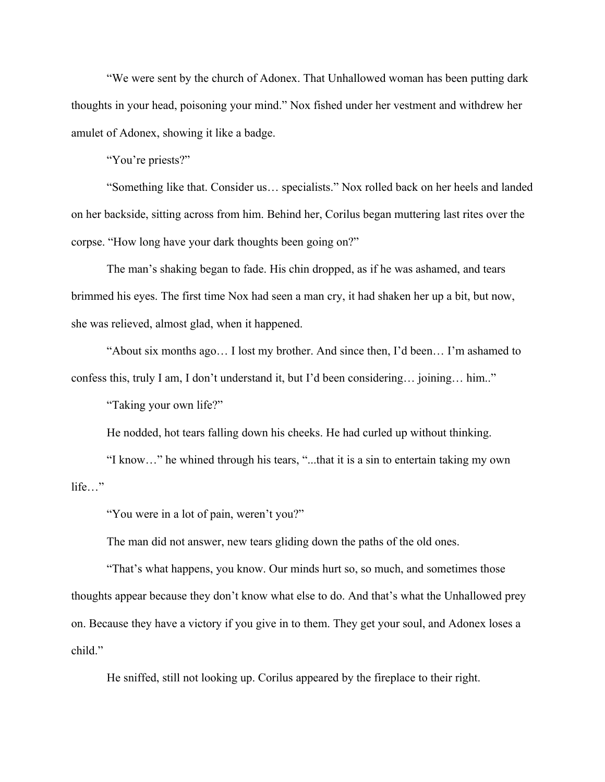"We were sent by the church of Adonex. That Unhallowed woman has been putting dark thoughts in your head, poisoning your mind." Nox fished under her vestment and withdrew her amulet of Adonex, showing it like a badge.

"You're priests?"

"Something like that. Consider us… specialists." Nox rolled back on her heels and landed on her backside, sitting across from him. Behind her, Corilus began muttering last rites over the corpse. "How long have your dark thoughts been going on?"

The man's shaking began to fade. His chin dropped, as if he was ashamed, and tears brimmed his eyes. The first time Nox had seen a man cry, it had shaken her up a bit, but now, she was relieved, almost glad, when it happened.

"About six months ago… I lost my brother. And since then, I'd been… I'm ashamed to confess this, truly I am, I don't understand it, but I'd been considering… joining… him.."

"Taking your own life?"

He nodded, hot tears falling down his cheeks. He had curled up without thinking.

"I know…" he whined through his tears, "...that it is a sin to entertain taking my own life…"

"You were in a lot of pain, weren't you?"

The man did not answer, new tears gliding down the paths of the old ones.

"That's what happens, you know. Our minds hurt so, so much, and sometimes those thoughts appear because they don't know what else to do. And that's what the Unhallowed prey on. Because they have a victory if you give in to them. They get your soul, and Adonex loses a child."

He sniffed, still not looking up. Corilus appeared by the fireplace to their right.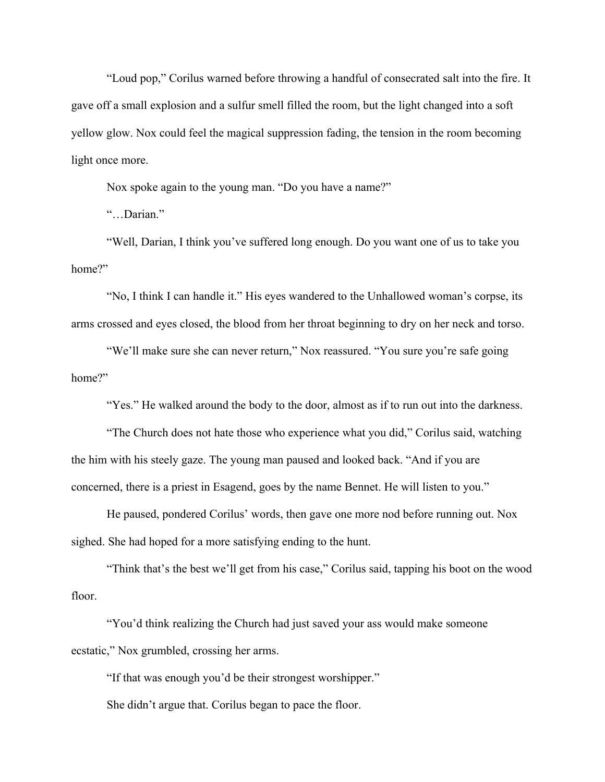"Loud pop," Corilus warned before throwing a handful of consecrated salt into the fire. It gave off a small explosion and a sulfur smell filled the room, but the light changed into a soft yellow glow. Nox could feel the magical suppression fading, the tension in the room becoming light once more.

Nox spoke again to the young man. "Do you have a name?"

"…Darian."

"Well, Darian, I think you've suffered long enough. Do you want one of us to take you home?"

"No, I think I can handle it." His eyes wandered to the Unhallowed woman's corpse, its arms crossed and eyes closed, the blood from her throat beginning to dry on her neck and torso.

"We'll make sure she can never return," Nox reassured. "You sure you're safe going home?"

"Yes." He walked around the body to the door, almost as if to run out into the darkness.

"The Church does not hate those who experience what you did," Corilus said, watching the him with his steely gaze. The young man paused and looked back. "And if you are concerned, there is a priest in Esagend, goes by the name Bennet. He will listen to you."

He paused, pondered Corilus' words, then gave one more nod before running out. Nox sighed. She had hoped for a more satisfying ending to the hunt.

"Think that's the best we'll get from his case," Corilus said, tapping his boot on the wood floor.

"You'd think realizing the Church had just saved your ass would make someone ecstatic," Nox grumbled, crossing her arms.

"If that was enough you'd be their strongest worshipper."

She didn't argue that. Corilus began to pace the floor.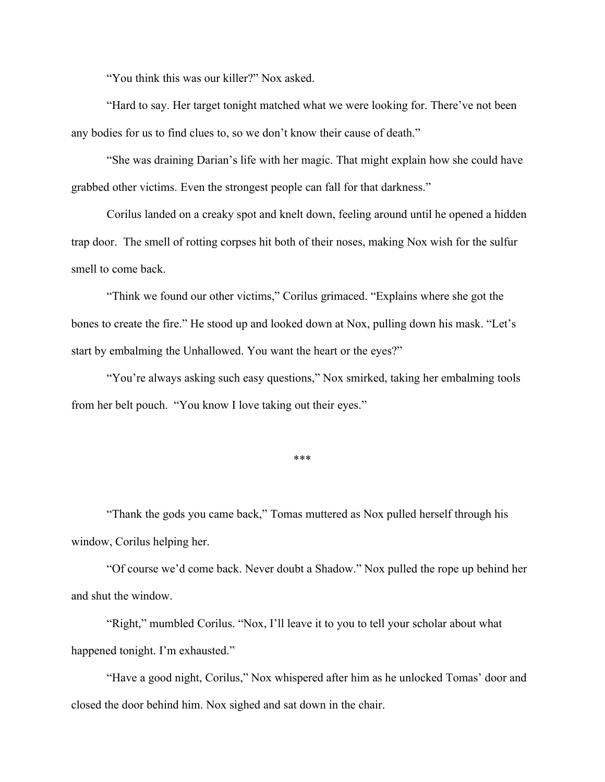"You think this was our killer?" Nox asked.

"Hard to say. Her target tonight matched what we were looking for. There've not been any bodies for us to find clues to, so we don't know their cause of death."

"She was draining Darian's life with her magic. That might explain how she could have grabbed other victims. Even the strongest people can fall for that darkness."

Corilus landed on a creaky spot and knelt down, feeling around until he opened a hidden trap door. The smell of rotting corpses hit both of their noses, making Nox wish for the sulfur smell to come back.

"Think we found our other victims," Corilus grimaced. "Explains where she got the bones to create the fire." He stood up and looked down at Nox, pulling down his mask. "Let's start by embalming the Unhallowed. You want the heart or the eyes?"

"You're always asking such easy questions," Nox smirked, taking her embalming tools from her belt pouch. "You know I love taking out their eyes."

\*\*\*

"Thank the gods you came back," Tomas muttered as Nox pulled herself through his window, Corilus helping her.

"Of course we'd come back. Never doubt a Shadow." Nox pulled the rope up behind her and shut the window.

"Right," mumbled Corilus. "Nox, I'll leave it to you to tell your scholar about what happened tonight. I'm exhausted."

"Have a good night, Corilus," Nox whispered after him as he unlocked Tomas' door and closed the door behind him. Nox sighed and sat down in the chair.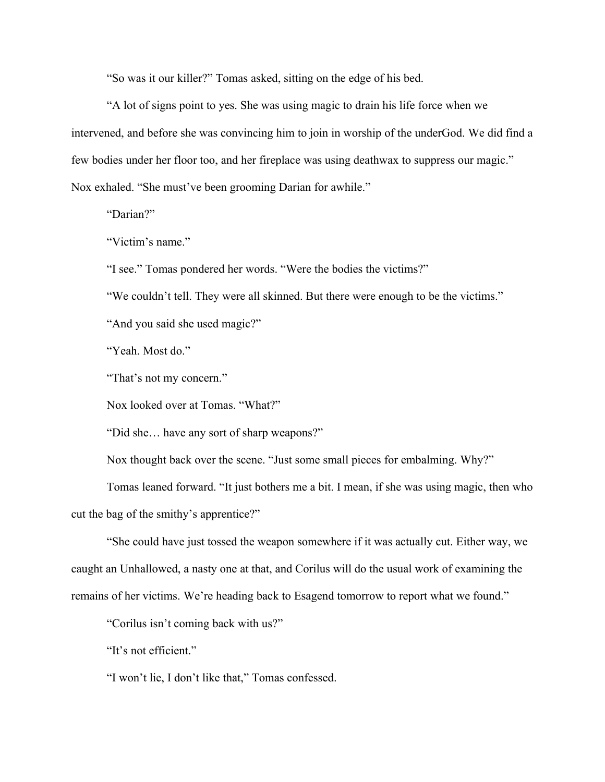"So was it our killer?" Tomas asked, sitting on the edge of his bed.

"A lot of signs point to yes. She was using magic to drain his life force when we intervened, and before she was convincing him to join in worship of the underGod. We did find a few bodies under her floor too, and her fireplace was using deathwax to suppress our magic." Nox exhaled. "She must've been grooming Darian for awhile."

"Darian?"

"Victim's name."

"I see." Tomas pondered her words. "Were the bodies the victims?"

"We couldn't tell. They were all skinned. But there were enough to be the victims."

"And you said she used magic?"

"Yeah. Most do."

"That's not my concern."

Nox looked over at Tomas. "What?"

"Did she… have any sort of sharp weapons?"

Nox thought back over the scene. "Just some small pieces for embalming. Why?"

Tomas leaned forward. "It just bothers me a bit. I mean, if she was using magic, then who cut the bag of the smithy's apprentice?"

"She could have just tossed the weapon somewhere if it was actually cut. Either way, we caught an Unhallowed, a nasty one at that, and Corilus will do the usual work of examining the remains of her victims. We're heading back to Esagend tomorrow to report what we found."

"Corilus isn't coming back with us?"

"It's not efficient."

"I won't lie, I don't like that," Tomas confessed.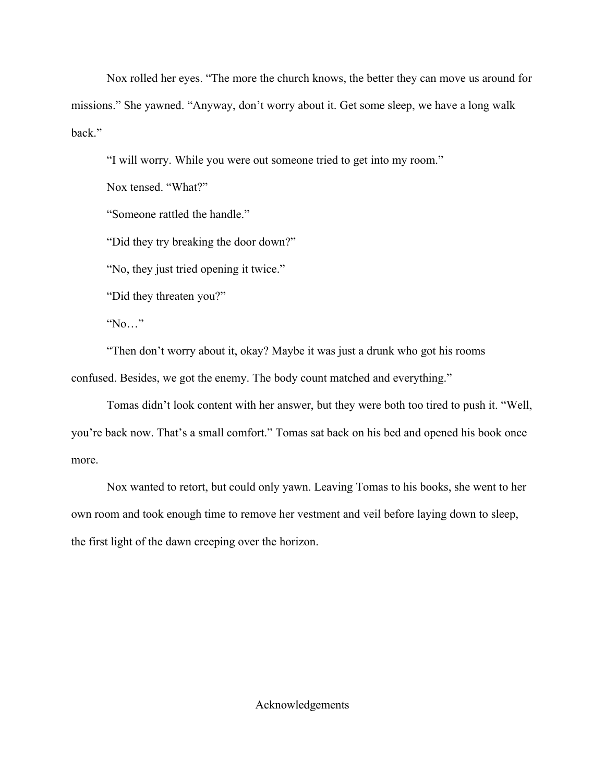Nox rolled her eyes. "The more the church knows, the better they can move us around for missions." She yawned. "Anyway, don't worry about it. Get some sleep, we have a long walk back."

"I will worry. While you were out someone tried to get into my room."

Nox tensed. "What?"

"Someone rattled the handle."

"Did they try breaking the door down?"

"No, they just tried opening it twice."

"Did they threaten you?"

"No…"

"Then don't worry about it, okay? Maybe it was just a drunk who got his rooms confused. Besides, we got the enemy. The body count matched and everything."

Tomas didn't look content with her answer, but they were both too tired to push it. "Well, you're back now. That's a small comfort." Tomas sat back on his bed and opened his book once more.

Nox wanted to retort, but could only yawn. Leaving Tomas to his books, she went to her own room and took enough time to remove her vestment and veil before laying down to sleep, the first light of the dawn creeping over the horizon.